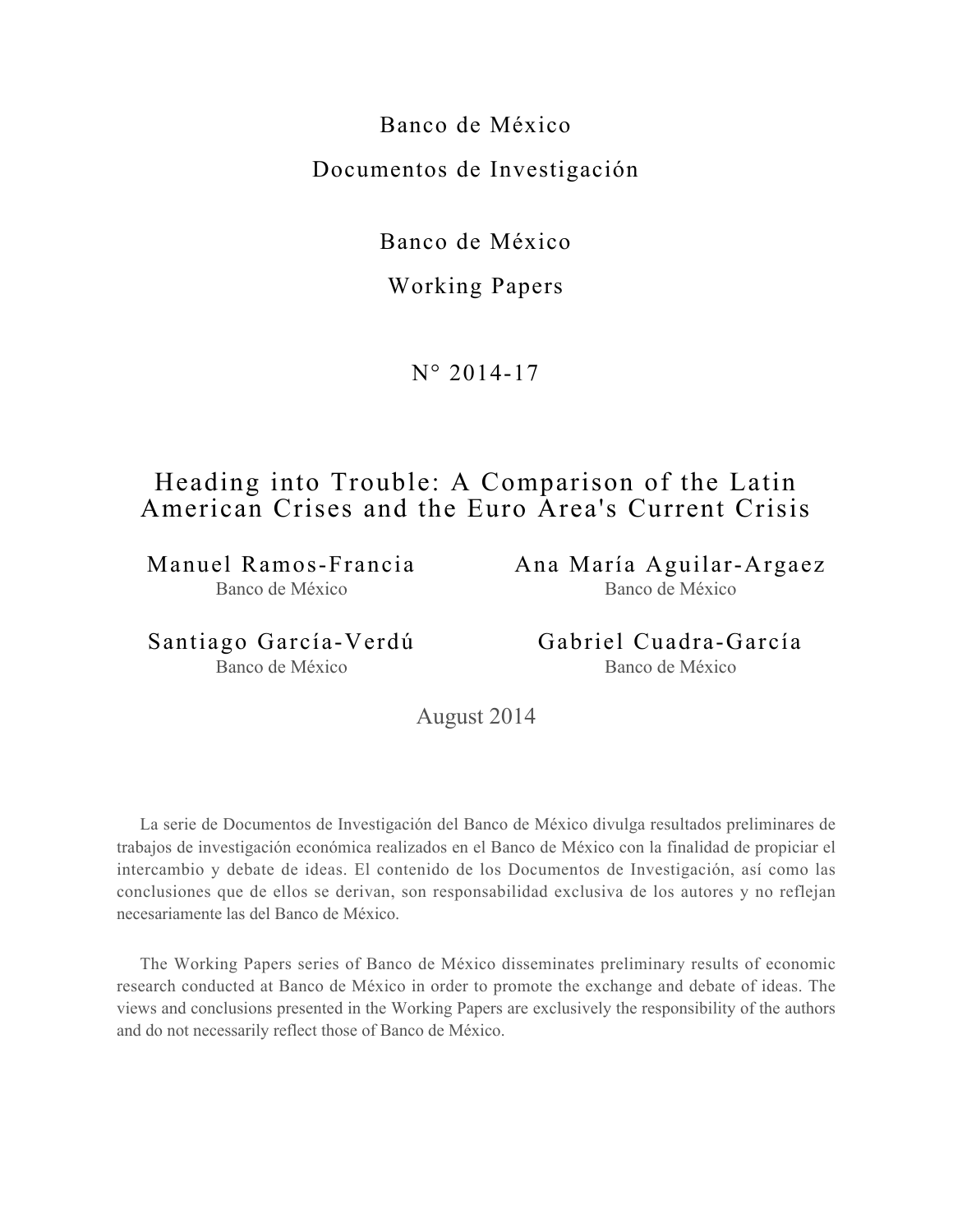Banco de México Documentos de Investigación

Banco de México

# Working Papers

N° 2014-17

# Heading into Trouble: A Comparison of the Latin American Crises and the Euro Area's Current Crisis

Manuel Ramos-Francia Banco de México

Ana María Aguilar-Argaez Banco de México

Santiago García-Verdú Banco de México

Gabriel Cuadra-García Banco de México

August 2014

La serie de Documentos de Investigación del Banco de México divulga resultados preliminares de trabajos de investigación económica realizados en el Banco de México con la finalidad de propiciar el intercambio y debate de ideas. El contenido de los Documentos de Investigación, así como las conclusiones que de ellos se derivan, son responsabilidad exclusiva de los autores y no reflejan necesariamente las del Banco de México.

The Working Papers series of Banco de México disseminates preliminary results of economic research conducted at Banco de México in order to promote the exchange and debate of ideas. The views and conclusions presented in the Working Papers are exclusively the responsibility of the authors and do not necessarily reflect those of Banco de México.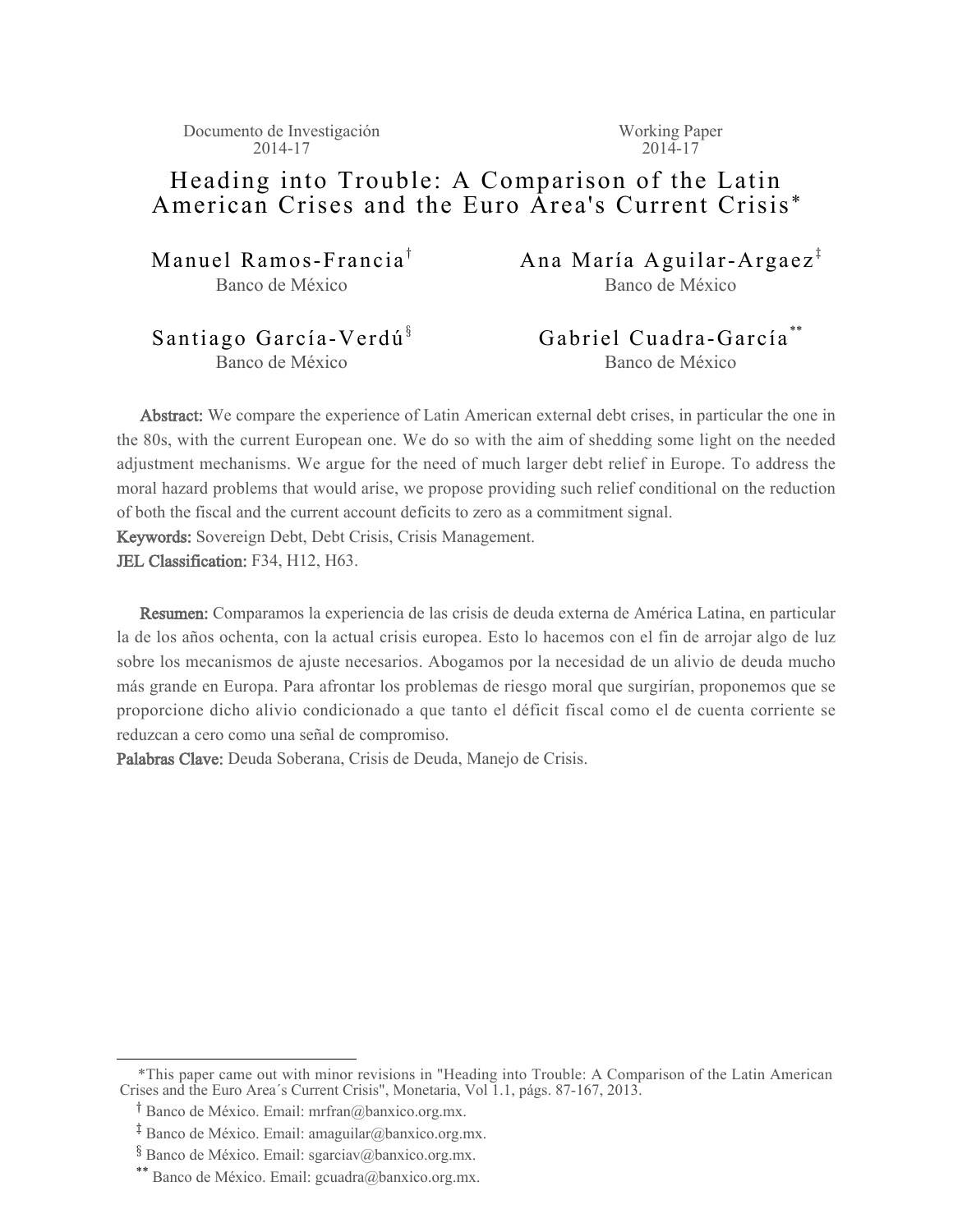Documento de Investigación 2014-17

Working Paper  $2014 - 17$ 

# Heading into Trouble: A Comparison of the Latin American Crises and the Euro Area's Current Crisis \*

Manuel Ramos-Francia<sup>†</sup> Banco de México

Ana María Aguilar-Argaez<sup>†</sup> Banco de México

# Santiago García-Verdú<sup>§</sup> Banco de México

Gabriel Cuadra-García \*\* Banco de México

Abstract: We compare the experience of Latin American external debt crises, in particular the one in the 80s, with the current European one. We do so with the aim of shedding some light on the needed adjustment mechanisms. We argue for the need of much larger debt relief in Europe. To address the moral hazard problems that would arise, we propose providing such relief conditional on the reduction of both the fiscal and the current account deficits to zero as a commitment signal. Keywords: Sovereign Debt, Debt Crisis, Crisis Management.

JEL Classification: F34, H12, H63.

Resumen: Comparamos la experiencia de las crisis de deuda externa de América Latina, en particular la de los años ochenta, con la actual crisis europea. Esto lo hacemos con el fin de arrojar algo de luz sobre los mecanismos de ajuste necesarios. Abogamos por la necesidad de un alivio de deuda mucho más grande en Europa. Para afrontar los problemas de riesgo moral que surgirían, proponemos que se proporcione dicho alivio condicionado a que tanto el déficit fiscal como el de cuenta corriente se reduzcan a cero como una señal de compromiso.

Palabras Clave: Deuda Soberana, Crisis de Deuda, Manejo de Crisis.

 <sup>\*</sup>This paper came out with minor revisions in "Heading into Trouble: A Comparison of the Latin American Crises and the Euro Area´s Current Crisis", Monetaria, Vol 1.1, págs. 87-167, 2013.

<sup>&</sup>lt;sup>T</sup> Banco de México. Email: mrfran@banxico.org.mx.

<sup>&</sup>lt;sup>‡</sup> Banco de México. Email: amaguilar@banxico.org.mx.

<sup>&</sup>lt;sup>3</sup> Banco de México. Email: sgarciav@banxico.org.mx.

<sup>\*\*</sup> Banco de México. Email: gcuadra@banxico.org.mx.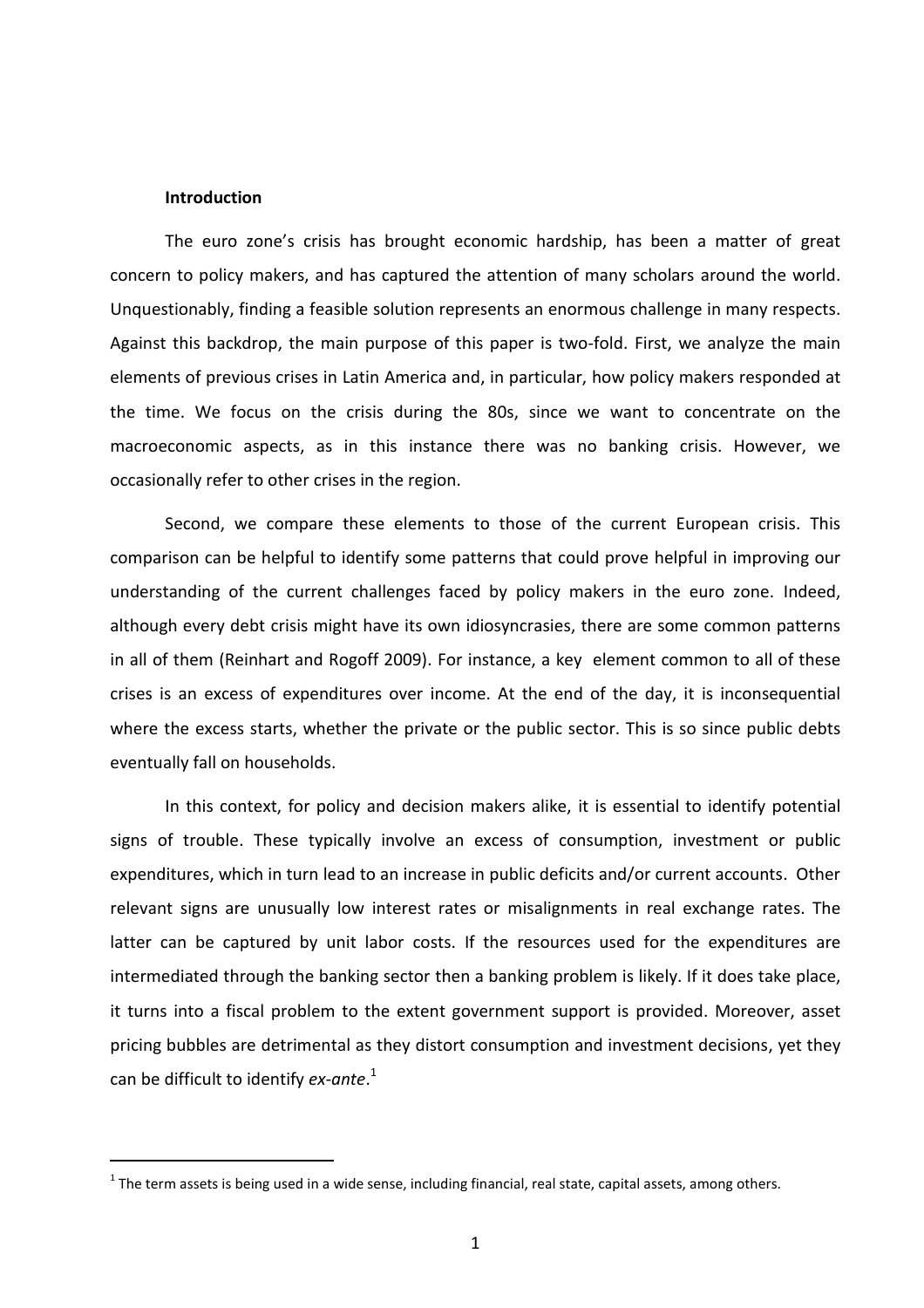#### **Introduction**

 $\overline{a}$ 

The euro zone's crisis has brought economic hardship, has been a matter of great concern to policy makers, and has captured the attention of many scholars around the world. Unquestionably, finding a feasible solution represents an enormous challenge in many respects. Against this backdrop, the main purpose of this paper is two-fold. First, we analyze the main elements of previous crises in Latin America and, in particular, how policy makers responded at the time. We focus on the crisis during the 80s, since we want to concentrate on the macroeconomic aspects, as in this instance there was no banking crisis. However, we occasionally refer to other crises in the region.

Second, we compare these elements to those of the current European crisis. This comparison can be helpful to identify some patterns that could prove helpful in improving our understanding of the current challenges faced by policy makers in the euro zone. Indeed, although every debt crisis might have its own idiosyncrasies, there are some common patterns in all of them (Reinhart and Rogoff 2009). For instance, a key element common to all of these crises is an excess of expenditures over income. At the end of the day, it is inconsequential where the excess starts, whether the private or the public sector. This is so since public debts eventually fall on households.

In this context, for policy and decision makers alike, it is essential to identify potential signs of trouble. These typically involve an excess of consumption, investment or public expenditures, which in turn lead to an increase in public deficits and/or current accounts. Other relevant signs are unusually low interest rates or misalignments in real exchange rates. The latter can be captured by unit labor costs. If the resources used for the expenditures are intermediated through the banking sector then a banking problem is likely. If it does take place, it turns into a fiscal problem to the extent government support is provided. Moreover, asset pricing bubbles are detrimental as they distort consumption and investment decisions, yet they can be difficult to identify *ex-ante*. 1

 $^1$  The term assets is being used in a wide sense, including financial, real state, capital assets, among others.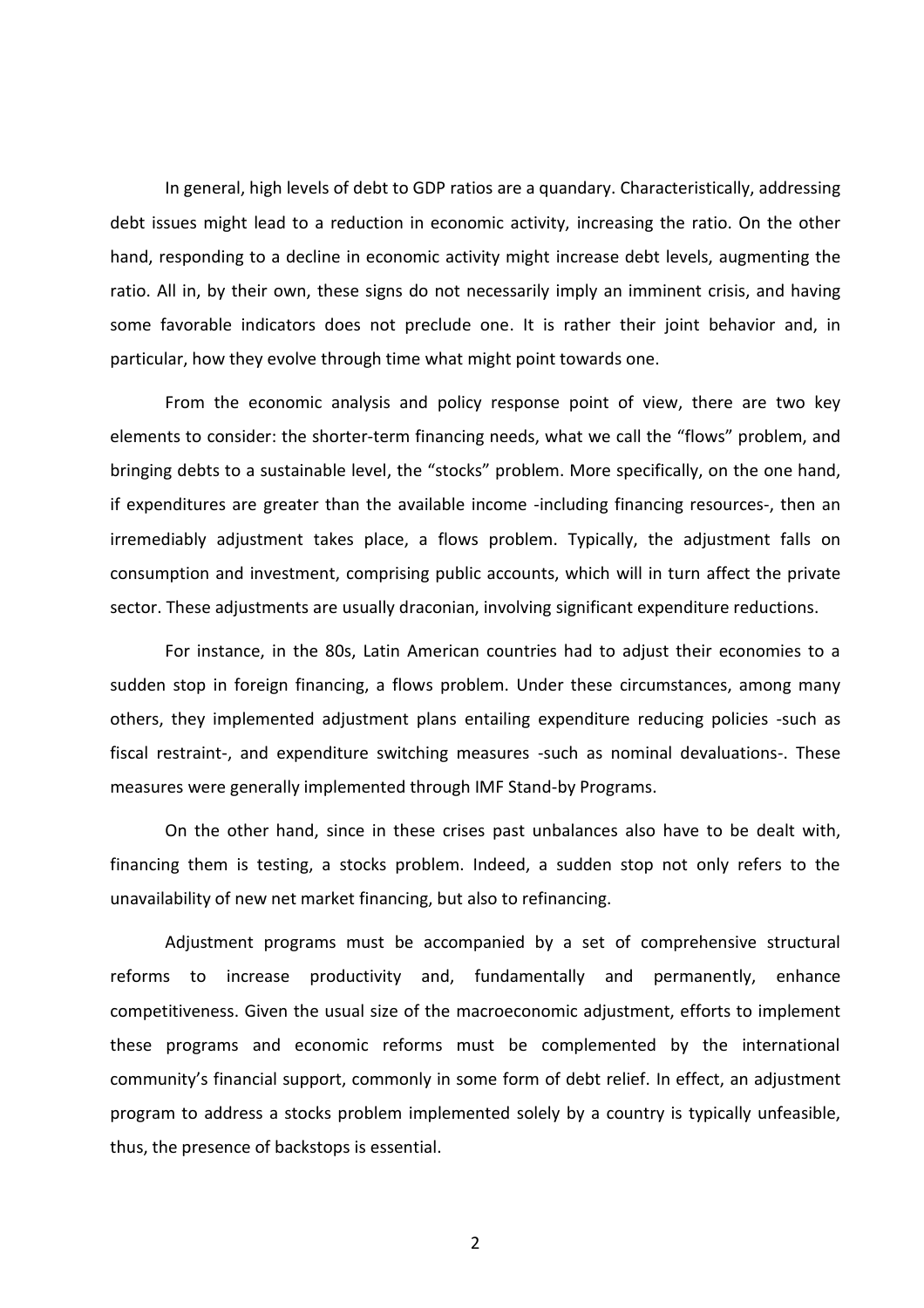In general, high levels of debt to GDP ratios are a quandary. Characteristically, addressing debt issues might lead to a reduction in economic activity, increasing the ratio. On the other hand, responding to a decline in economic activity might increase debt levels, augmenting the ratio. All in, by their own, these signs do not necessarily imply an imminent crisis, and having some favorable indicators does not preclude one. It is rather their joint behavior and, in particular, how they evolve through time what might point towards one.

From the economic analysis and policy response point of view, there are two key elements to consider: the shorter-term financing needs, what we call the "flows" problem, and bringing debts to a sustainable level, the "stocks" problem. More specifically, on the one hand, if expenditures are greater than the available income -including financing resources-, then an irremediably adjustment takes place, a flows problem. Typically, the adjustment falls on consumption and investment, comprising public accounts, which will in turn affect the private sector. These adjustments are usually draconian, involving significant expenditure reductions.

For instance, in the 80s, Latin American countries had to adjust their economies to a sudden stop in foreign financing, a flows problem. Under these circumstances, among many others, they implemented adjustment plans entailing expenditure reducing policies -such as fiscal restraint-, and expenditure switching measures -such as nominal devaluations-. These measures were generally implemented through IMF Stand-by Programs.

On the other hand, since in these crises past unbalances also have to be dealt with, financing them is testing, a stocks problem. Indeed, a sudden stop not only refers to the unavailability of new net market financing, but also to refinancing.

Adjustment programs must be accompanied by a set of comprehensive structural reforms to increase productivity and, fundamentally and permanently, enhance competitiveness. Given the usual size of the macroeconomic adjustment, efforts to implement these programs and economic reforms must be complemented by the international community's financial support, commonly in some form of debt relief. In effect, an adjustment program to address a stocks problem implemented solely by a country is typically unfeasible, thus, the presence of backstops is essential.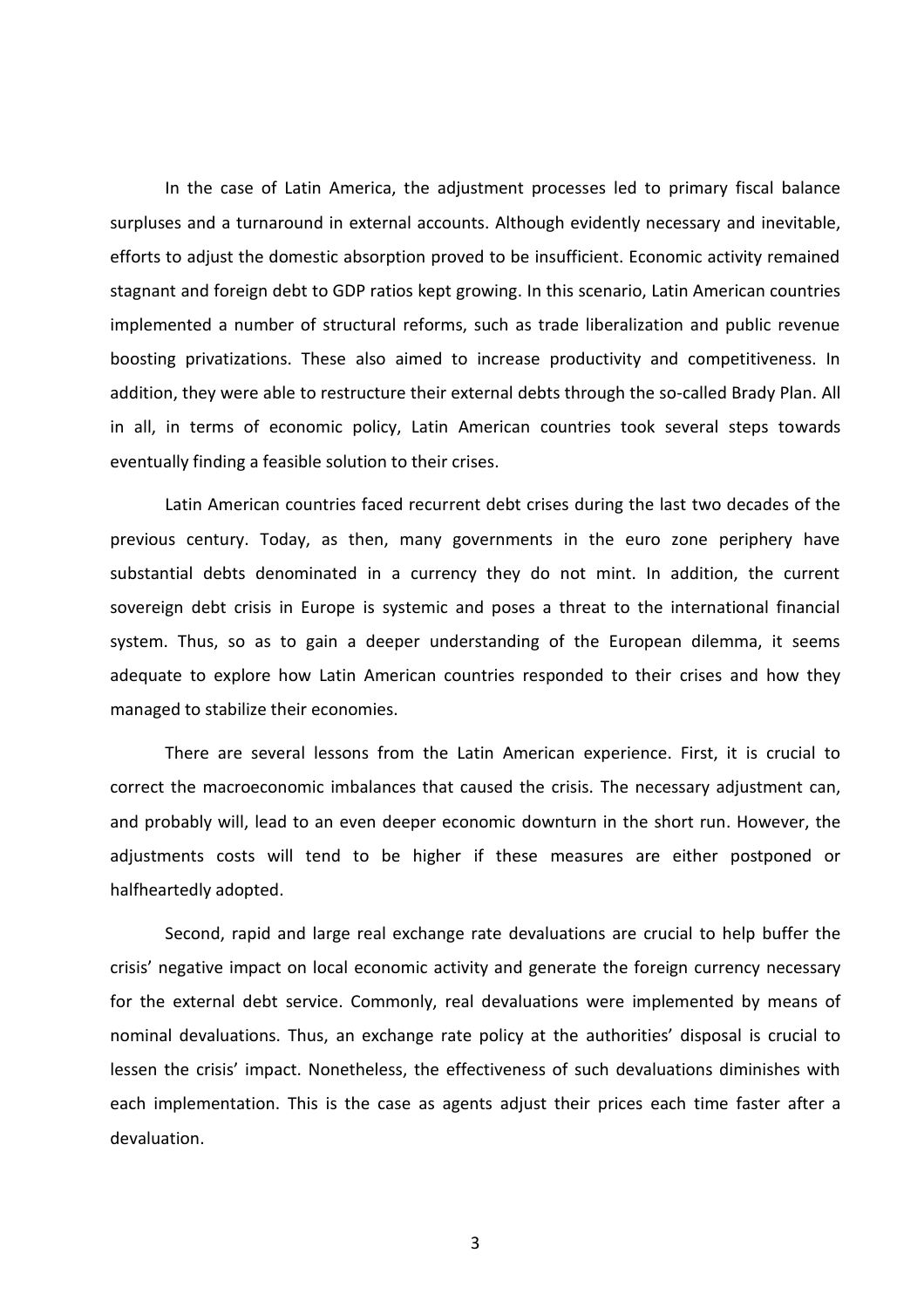In the case of Latin America, the adjustment processes led to primary fiscal balance surpluses and a turnaround in external accounts. Although evidently necessary and inevitable, efforts to adjust the domestic absorption proved to be insufficient. Economic activity remained stagnant and foreign debt to GDP ratios kept growing. In this scenario, Latin American countries implemented a number of structural reforms, such as trade liberalization and public revenue boosting privatizations. These also aimed to increase productivity and competitiveness. In addition, they were able to restructure their external debts through the so-called Brady Plan. All in all, in terms of economic policy, Latin American countries took several steps towards eventually finding a feasible solution to their crises.

Latin American countries faced recurrent debt crises during the last two decades of the previous century. Today, as then, many governments in the euro zone periphery have substantial debts denominated in a currency they do not mint. In addition, the current sovereign debt crisis in Europe is systemic and poses a threat to the international financial system. Thus, so as to gain a deeper understanding of the European dilemma, it seems adequate to explore how Latin American countries responded to their crises and how they managed to stabilize their economies.

There are several lessons from the Latin American experience. First, it is crucial to correct the macroeconomic imbalances that caused the crisis. The necessary adjustment can, and probably will, lead to an even deeper economic downturn in the short run. However, the adjustments costs will tend to be higher if these measures are either postponed or halfheartedly adopted.

Second, rapid and large real exchange rate devaluations are crucial to help buffer the crisis' negative impact on local economic activity and generate the foreign currency necessary for the external debt service. Commonly, real devaluations were implemented by means of nominal devaluations. Thus, an exchange rate policy at the authorities' disposal is crucial to lessen the crisis' impact. Nonetheless, the effectiveness of such devaluations diminishes with each implementation. This is the case as agents adjust their prices each time faster after a devaluation.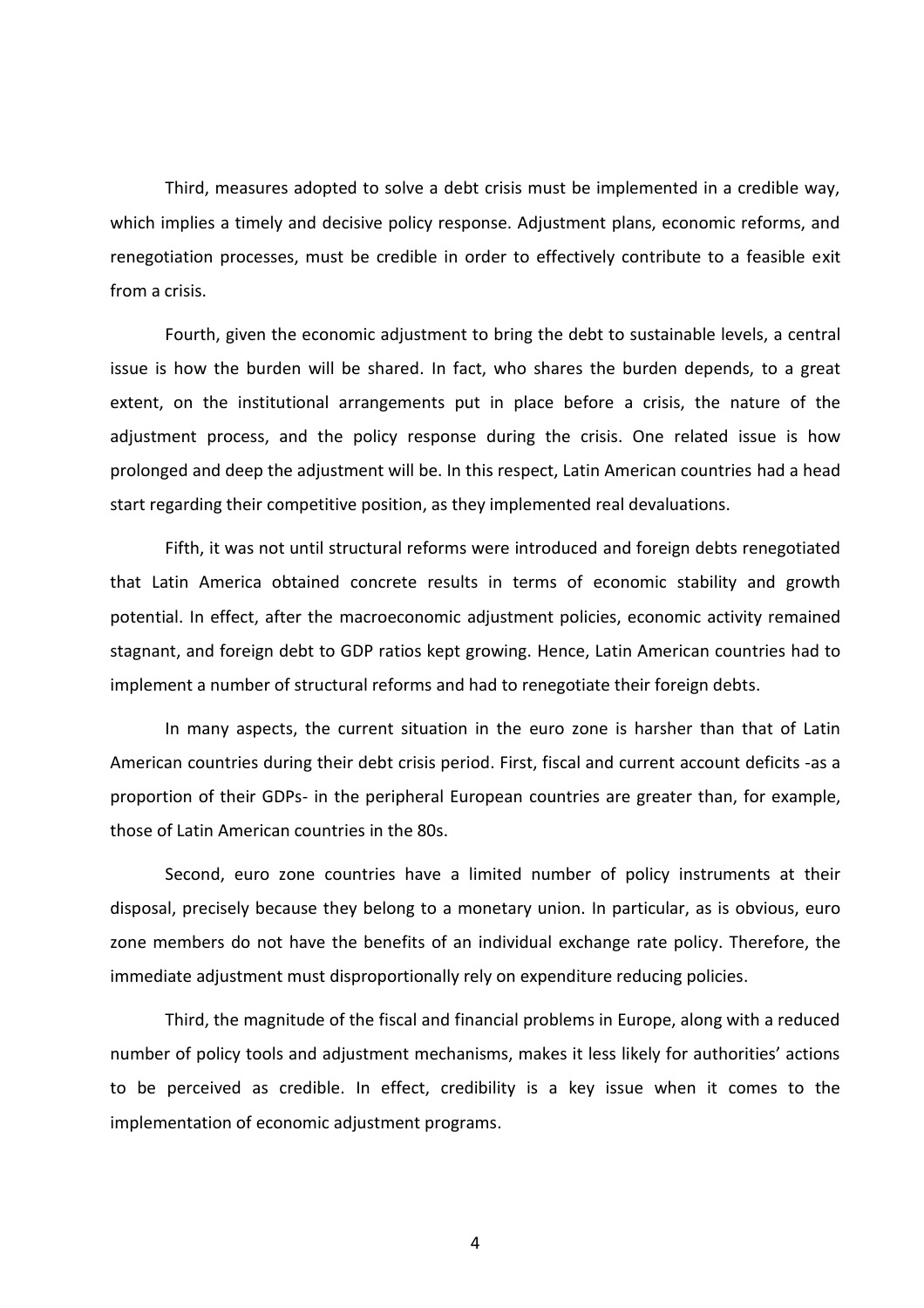Third, measures adopted to solve a debt crisis must be implemented in a credible way, which implies a timely and decisive policy response. Adjustment plans, economic reforms, and renegotiation processes, must be credible in order to effectively contribute to a feasible exit from a crisis.

Fourth, given the economic adjustment to bring the debt to sustainable levels, a central issue is how the burden will be shared. In fact, who shares the burden depends, to a great extent, on the institutional arrangements put in place before a crisis, the nature of the adjustment process, and the policy response during the crisis. One related issue is how prolonged and deep the adjustment will be. In this respect, Latin American countries had a head start regarding their competitive position, as they implemented real devaluations.

Fifth, it was not until structural reforms were introduced and foreign debts renegotiated that Latin America obtained concrete results in terms of economic stability and growth potential. In effect, after the macroeconomic adjustment policies, economic activity remained stagnant, and foreign debt to GDP ratios kept growing. Hence, Latin American countries had to implement a number of structural reforms and had to renegotiate their foreign debts.

In many aspects, the current situation in the euro zone is harsher than that of Latin American countries during their debt crisis period. First, fiscal and current account deficits -as a proportion of their GDPs- in the peripheral European countries are greater than, for example, those of Latin American countries in the 80s.

Second, euro zone countries have a limited number of policy instruments at their disposal, precisely because they belong to a monetary union. In particular, as is obvious, euro zone members do not have the benefits of an individual exchange rate policy. Therefore, the immediate adjustment must disproportionally rely on expenditure reducing policies.

Third, the magnitude of the fiscal and financial problems in Europe, along with a reduced number of policy tools and adjustment mechanisms, makes it less likely for authorities' actions to be perceived as credible. In effect, credibility is a key issue when it comes to the implementation of economic adjustment programs.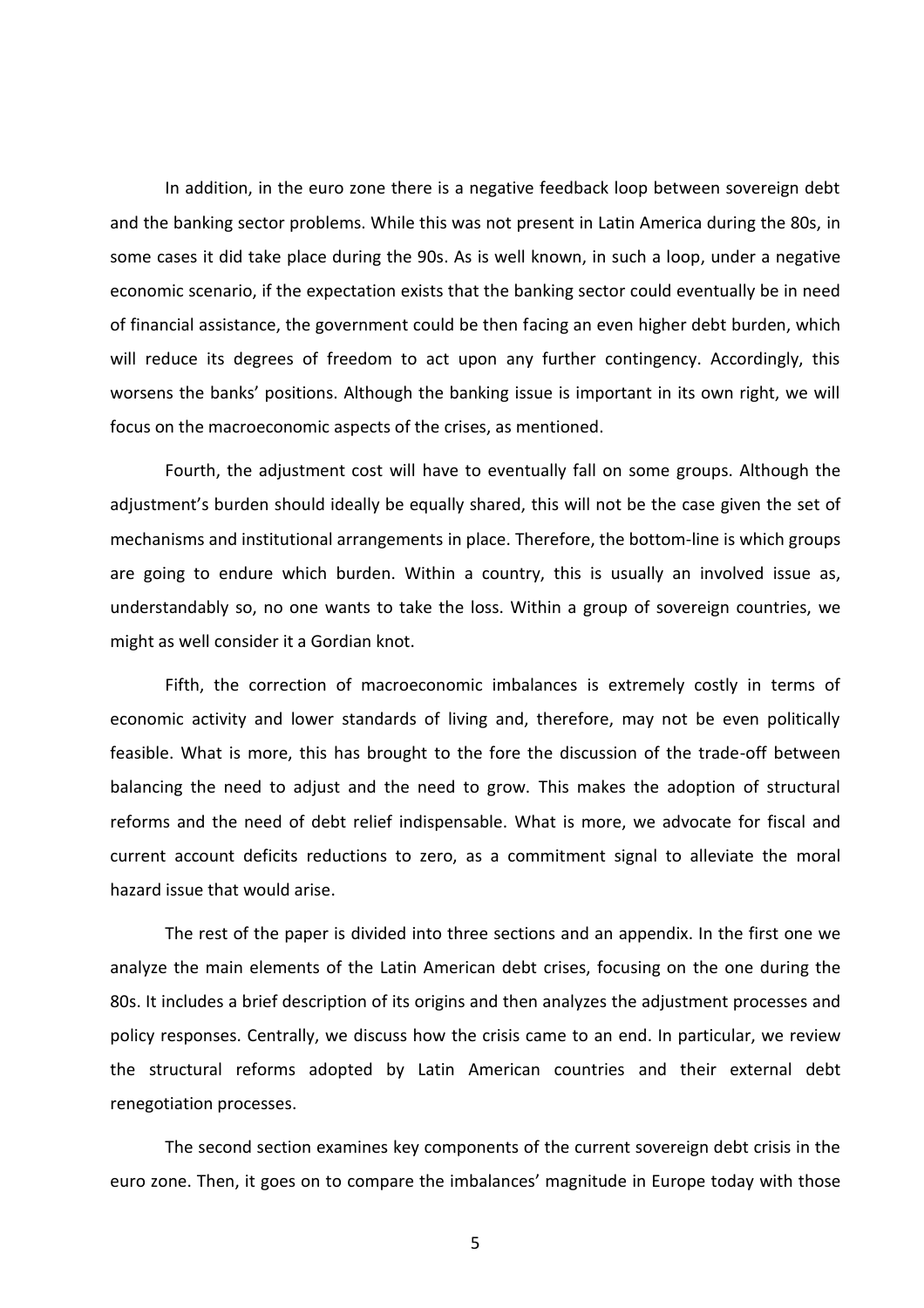In addition, in the euro zone there is a negative feedback loop between sovereign debt and the banking sector problems. While this was not present in Latin America during the 80s, in some cases it did take place during the 90s. As is well known, in such a loop, under a negative economic scenario, if the expectation exists that the banking sector could eventually be in need of financial assistance, the government could be then facing an even higher debt burden, which will reduce its degrees of freedom to act upon any further contingency. Accordingly, this worsens the banks' positions. Although the banking issue is important in its own right, we will focus on the macroeconomic aspects of the crises, as mentioned.

Fourth, the adjustment cost will have to eventually fall on some groups. Although the adjustment's burden should ideally be equally shared, this will not be the case given the set of mechanisms and institutional arrangements in place. Therefore, the bottom-line is which groups are going to endure which burden. Within a country, this is usually an involved issue as, understandably so, no one wants to take the loss. Within a group of sovereign countries, we might as well consider it a Gordian knot.

Fifth, the correction of macroeconomic imbalances is extremely costly in terms of economic activity and lower standards of living and, therefore, may not be even politically feasible. What is more, this has brought to the fore the discussion of the trade-off between balancing the need to adjust and the need to grow. This makes the adoption of structural reforms and the need of debt relief indispensable. What is more, we advocate for fiscal and current account deficits reductions to zero, as a commitment signal to alleviate the moral hazard issue that would arise.

The rest of the paper is divided into three sections and an appendix. In the first one we analyze the main elements of the Latin American debt crises, focusing on the one during the 80s. It includes a brief description of its origins and then analyzes the adjustment processes and policy responses. Centrally, we discuss how the crisis came to an end. In particular, we review the structural reforms adopted by Latin American countries and their external debt renegotiation processes.

The second section examines key components of the current sovereign debt crisis in the euro zone. Then, it goes on to compare the imbalances' magnitude in Europe today with those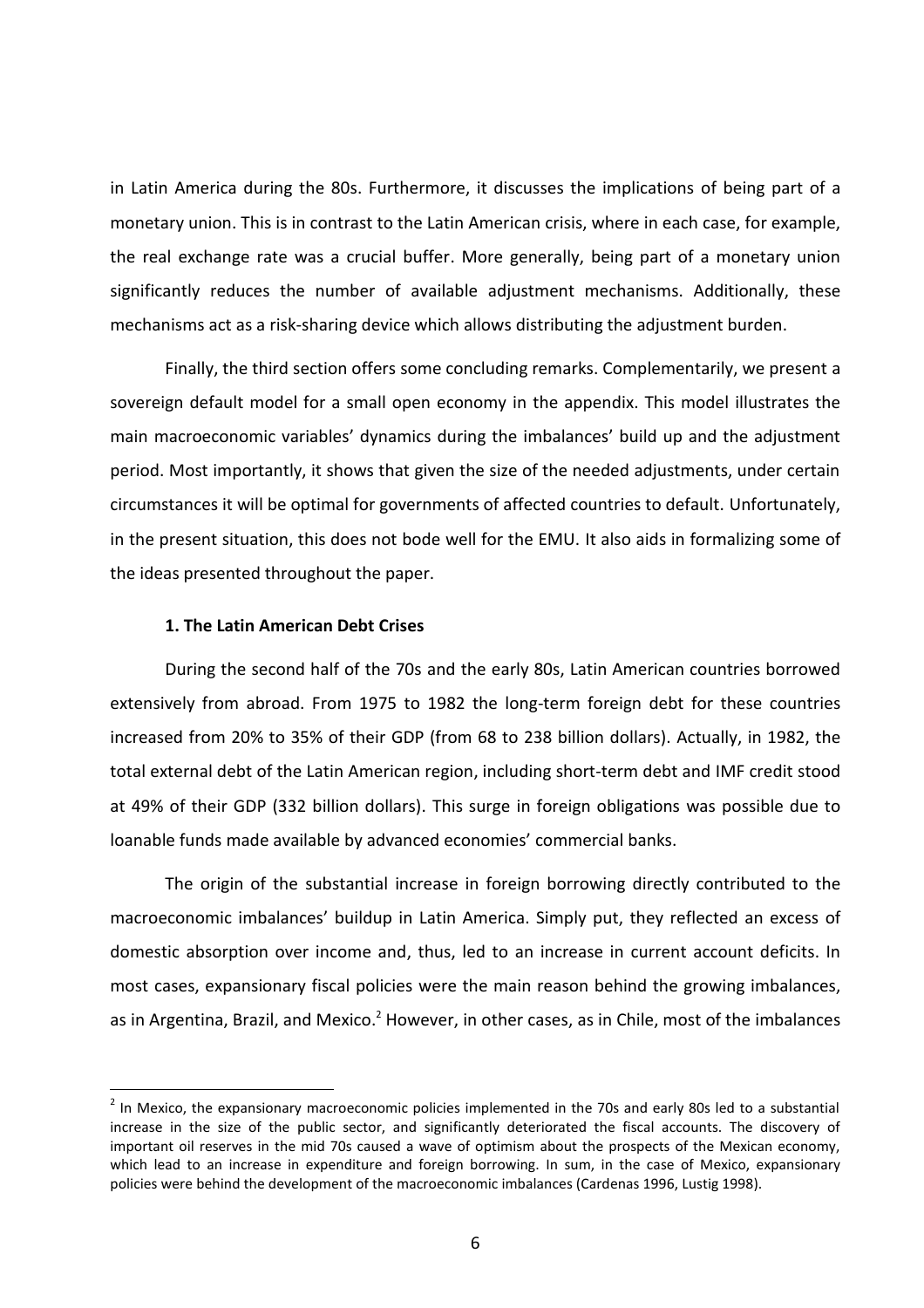in Latin America during the 80s. Furthermore, it discusses the implications of being part of a monetary union. This is in contrast to the Latin American crisis, where in each case, for example, the real exchange rate was a crucial buffer. More generally, being part of a monetary union significantly reduces the number of available adjustment mechanisms. Additionally, these mechanisms act as a risk-sharing device which allows distributing the adjustment burden.

Finally, the third section offers some concluding remarks. Complementarily, we present a sovereign default model for a small open economy in the appendix. This model illustrates the main macroeconomic variables' dynamics during the imbalances' build up and the adjustment period. Most importantly, it shows that given the size of the needed adjustments, under certain circumstances it will be optimal for governments of affected countries to default. Unfortunately, in the present situation, this does not bode well for the EMU. It also aids in formalizing some of the ideas presented throughout the paper.

### **1. The Latin American Debt Crises**

 $\overline{a}$ 

During the second half of the 70s and the early 80s, Latin American countries borrowed extensively from abroad. From 1975 to 1982 the long-term foreign debt for these countries increased from 20% to 35% of their GDP (from 68 to 238 billion dollars). Actually, in 1982, the total external debt of the Latin American region, including short-term debt and IMF credit stood at 49% of their GDP (332 billion dollars). This surge in foreign obligations was possible due to loanable funds made available by advanced economies' commercial banks.

The origin of the substantial increase in foreign borrowing directly contributed to the macroeconomic imbalances' buildup in Latin America. Simply put, they reflected an excess of domestic absorption over income and, thus, led to an increase in current account deficits. In most cases, expansionary fiscal policies were the main reason behind the growing imbalances, as in Argentina, Brazil, and Mexico.<sup>2</sup> However, in other cases, as in Chile, most of the imbalances

 $^2$  In Mexico, the expansionary macroeconomic policies implemented in the 70s and early 80s led to a substantial increase in the size of the public sector, and significantly deteriorated the fiscal accounts. The discovery of important oil reserves in the mid 70s caused a wave of optimism about the prospects of the Mexican economy, which lead to an increase in expenditure and foreign borrowing. In sum, in the case of Mexico, expansionary policies were behind the development of the macroeconomic imbalances (Cardenas 1996, Lustig 1998).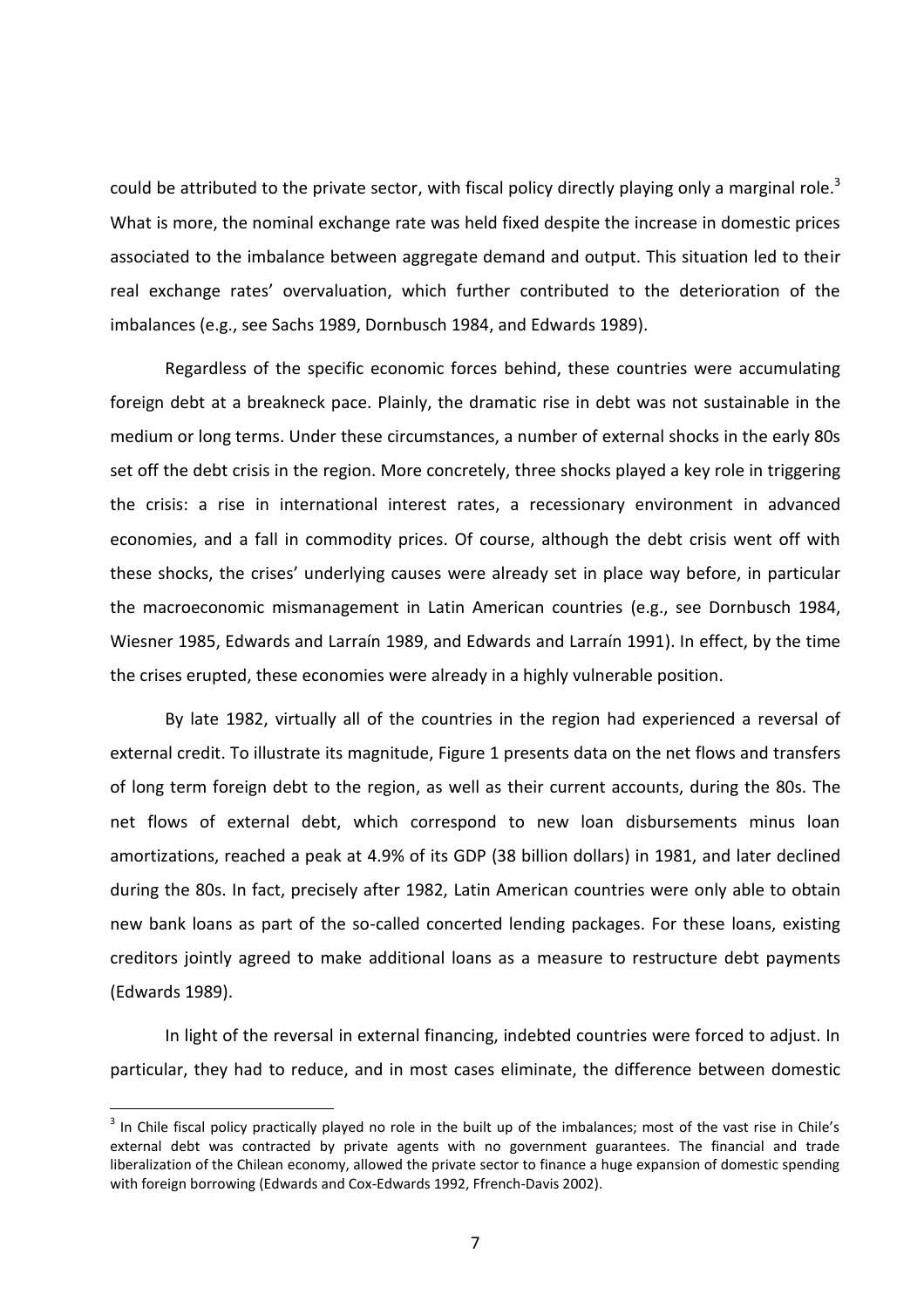could be attributed to the private sector, with fiscal policy directly playing only a marginal role.<sup>3</sup> What is more, the nominal exchange rate was held fixed despite the increase in domestic prices associated to the imbalance between aggregate demand and output. This situation led to their real exchange rates' overvaluation, which further contributed to the deterioration of the imbalances (e.g., see Sachs 1989, Dornbusch 1984, and Edwards 1989).

Regardless of the specific economic forces behind, these countries were accumulating foreign debt at a breakneck pace. Plainly, the dramatic rise in debt was not sustainable in the medium or long terms. Under these circumstances, a number of external shocks in the early 80s set off the debt crisis in the region. More concretely, three shocks played a key role in triggering the crisis: a rise in international interest rates, a recessionary environment in advanced economies, and a fall in commodity prices. Of course, although the debt crisis went off with these shocks, the crises' underlying causes were already set in place way before, in particular the macroeconomic mismanagement in Latin American countries (e.g., see Dornbusch 1984, Wiesner 1985, Edwards and Larraín 1989, and Edwards and Larraín 1991). In effect, by the time the crises erupted, these economies were already in a highly vulnerable position.

By late 1982, virtually all of the countries in the region had experienced a reversal of external credit. To illustrate its magnitude, Figure 1 presents data on the net flows and transfers of long term foreign debt to the region, as well as their current accounts, during the 80s. The net flows of external debt, which correspond to new loan disbursements minus loan amortizations, reached a peak at 4.9% of its GDP (38 billion dollars) in 1981, and later declined during the 80s. In fact, precisely after 1982, Latin American countries were only able to obtain new bank loans as part of the so-called concerted lending packages. For these loans, existing creditors jointly agreed to make additional loans as a measure to restructure debt payments (Edwards 1989).

In light of the reversal in external financing, indebted countries were forced to adjust. In particular, they had to reduce, and in most cases eliminate, the difference between domestic

 $\overline{a}$ 

 $3$  In Chile fiscal policy practically played no role in the built up of the imbalances; most of the vast rise in Chile's external debt was contracted by private agents with no government guarantees. The financial and trade liberalization of the Chilean economy, allowed the private sector to finance a huge expansion of domestic spending with foreign borrowing (Edwards and Cox-Edwards 1992, Ffrench-Davis 2002).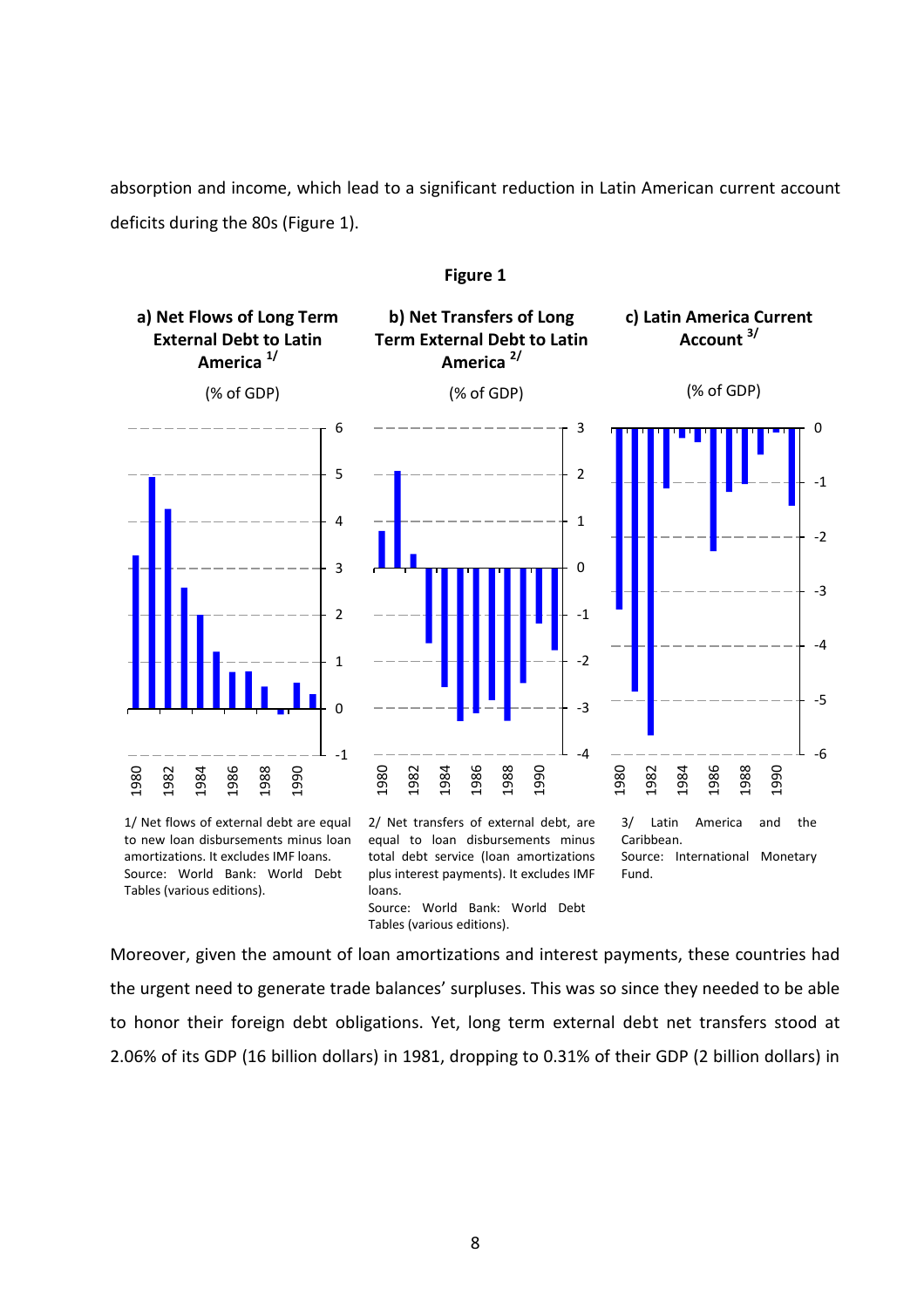absorption and income, which lead to a significant reduction in Latin American current account deficits during the 80s (Figure 1).



### **Figure 1**

to new loan disbursements minus loan amortizations. It excludes IMF loans. Source: World Bank: World Debt Tables (various editions).

2/ Net transfers of external debt, are equal to loan disbursements minus total debt service (loan amortizations plus interest payments). It excludes IMF loans. Source: World Bank: World Debt Tables (various editions).

3/ Latin America and the Caribbean. Source: International Monetary Fund.

Moreover, given the amount of loan amortizations and interest payments, these countries had the urgent need to generate trade balances' surpluses. This was so since they needed to be able to honor their foreign debt obligations. Yet, long term external debt net transfers stood at 2.06% of its GDP (16 billion dollars) in 1981, dropping to 0.31% of their GDP (2 billion dollars) in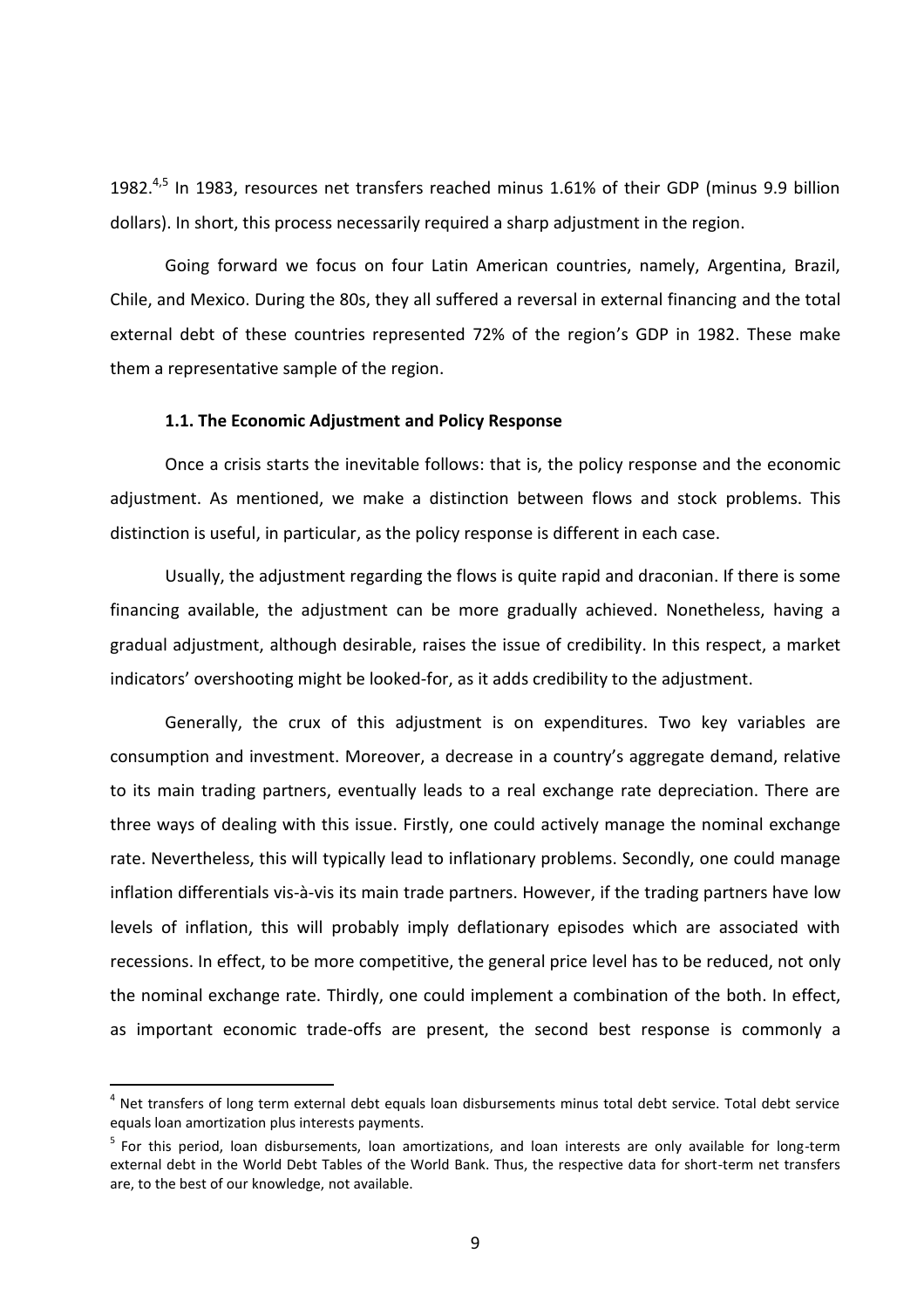1982. $^{4,5}$  In 1983, resources net transfers reached minus 1.61% of their GDP (minus 9.9 billion dollars). In short, this process necessarily required a sharp adjustment in the region.

Going forward we focus on four Latin American countries, namely, Argentina, Brazil, Chile, and Mexico. During the 80s, they all suffered a reversal in external financing and the total external debt of these countries represented 72% of the region's GDP in 1982. These make them a representative sample of the region.

## **1.1. The Economic Adjustment and Policy Response**

Once a crisis starts the inevitable follows: that is, the policy response and the economic adjustment. As mentioned, we make a distinction between flows and stock problems. This distinction is useful, in particular, as the policy response is different in each case.

Usually, the adjustment regarding the flows is quite rapid and draconian. If there is some financing available, the adjustment can be more gradually achieved. Nonetheless, having a gradual adjustment, although desirable, raises the issue of credibility. In this respect, a market indicators' overshooting might be looked-for, as it adds credibility to the adjustment.

Generally, the crux of this adjustment is on expenditures. Two key variables are consumption and investment. Moreover, a decrease in a country's aggregate demand, relative to its main trading partners, eventually leads to a real exchange rate depreciation. There are three ways of dealing with this issue. Firstly, one could actively manage the nominal exchange rate. Nevertheless, this will typically lead to inflationary problems. Secondly, one could manage inflation differentials vis-à-vis its main trade partners. However, if the trading partners have low levels of inflation, this will probably imply deflationary episodes which are associated with recessions. In effect, to be more competitive, the general price level has to be reduced, not only the nominal exchange rate. Thirdly, one could implement a combination of the both. In effect, as important economic trade-offs are present, the second best response is commonly a

 $\overline{a}$ 

<sup>&</sup>lt;sup>4</sup> Net transfers of long term external debt equals loan disbursements minus total debt service. Total debt service equals loan amortization plus interests payments.

<sup>&</sup>lt;sup>5</sup> For this period, loan disbursements, loan amortizations, and loan interests are only available for long-term external debt in the World Debt Tables of the World Bank. Thus, the respective data for short-term net transfers are, to the best of our knowledge, not available.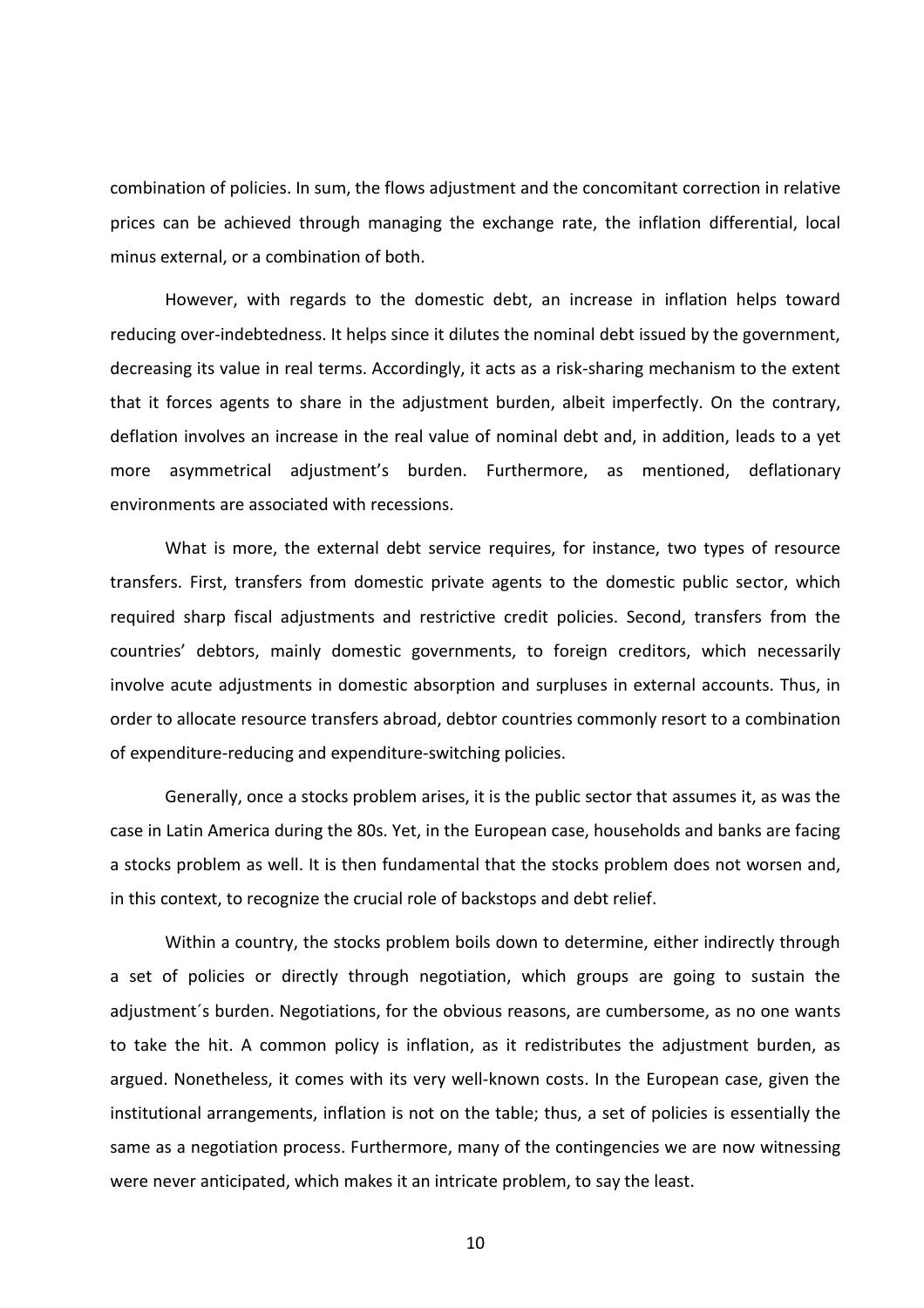combination of policies. In sum, the flows adjustment and the concomitant correction in relative prices can be achieved through managing the exchange rate, the inflation differential, local minus external, or a combination of both.

However, with regards to the domestic debt, an increase in inflation helps toward reducing over-indebtedness. It helps since it dilutes the nominal debt issued by the government, decreasing its value in real terms. Accordingly, it acts as a risk-sharing mechanism to the extent that it forces agents to share in the adjustment burden, albeit imperfectly. On the contrary, deflation involves an increase in the real value of nominal debt and, in addition, leads to a yet more asymmetrical adjustment's burden. Furthermore, as mentioned, deflationary environments are associated with recessions.

What is more, the external debt service requires, for instance, two types of resource transfers. First, transfers from domestic private agents to the domestic public sector, which required sharp fiscal adjustments and restrictive credit policies. Second, transfers from the countries' debtors, mainly domestic governments, to foreign creditors, which necessarily involve acute adjustments in domestic absorption and surpluses in external accounts. Thus, in order to allocate resource transfers abroad, debtor countries commonly resort to a combination of expenditure-reducing and expenditure-switching policies.

Generally, once a stocks problem arises, it is the public sector that assumes it, as was the case in Latin America during the 80s. Yet, in the European case, households and banks are facing a stocks problem as well. It is then fundamental that the stocks problem does not worsen and, in this context, to recognize the crucial role of backstops and debt relief.

Within a country, the stocks problem boils down to determine, either indirectly through a set of policies or directly through negotiation, which groups are going to sustain the adjustment´s burden. Negotiations, for the obvious reasons, are cumbersome, as no one wants to take the hit. A common policy is inflation, as it redistributes the adjustment burden, as argued. Nonetheless, it comes with its very well-known costs. In the European case, given the institutional arrangements, inflation is not on the table; thus, a set of policies is essentially the same as a negotiation process. Furthermore, many of the contingencies we are now witnessing were never anticipated, which makes it an intricate problem, to say the least.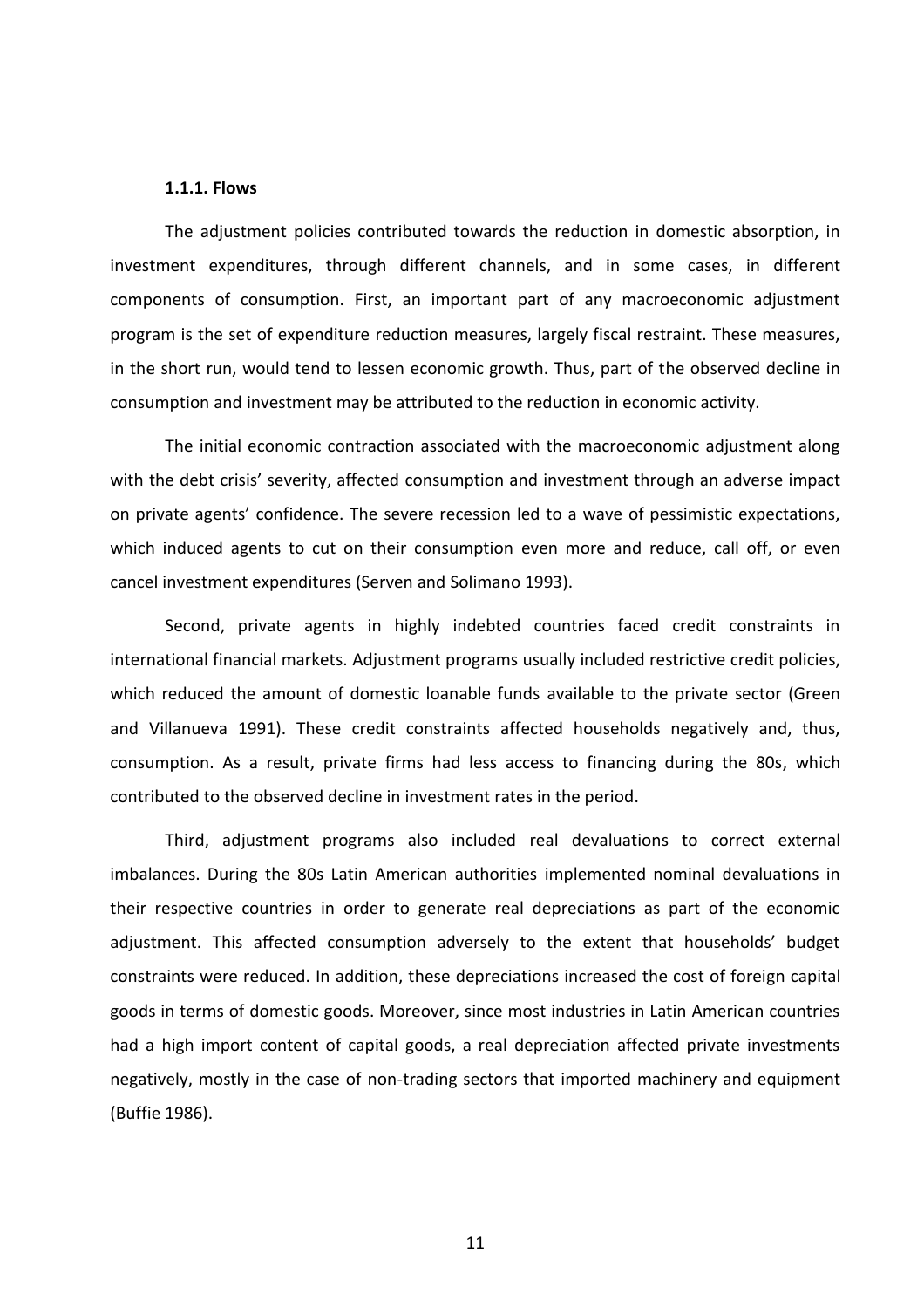#### **1.1.1. Flows**

The adjustment policies contributed towards the reduction in domestic absorption, in investment expenditures, through different channels, and in some cases, in different components of consumption. First, an important part of any macroeconomic adjustment program is the set of expenditure reduction measures, largely fiscal restraint. These measures, in the short run, would tend to lessen economic growth. Thus, part of the observed decline in consumption and investment may be attributed to the reduction in economic activity.

The initial economic contraction associated with the macroeconomic adjustment along with the debt crisis' severity, affected consumption and investment through an adverse impact on private agents' confidence. The severe recession led to a wave of pessimistic expectations, which induced agents to cut on their consumption even more and reduce, call off, or even cancel investment expenditures (Serven and Solimano 1993).

Second, private agents in highly indebted countries faced credit constraints in international financial markets. Adjustment programs usually included restrictive credit policies, which reduced the amount of domestic loanable funds available to the private sector (Green and Villanueva 1991). These credit constraints affected households negatively and, thus, consumption. As a result, private firms had less access to financing during the 80s, which contributed to the observed decline in investment rates in the period.

Third, adjustment programs also included real devaluations to correct external imbalances. During the 80s Latin American authorities implemented nominal devaluations in their respective countries in order to generate real depreciations as part of the economic adjustment. This affected consumption adversely to the extent that households' budget constraints were reduced. In addition, these depreciations increased the cost of foreign capital goods in terms of domestic goods. Moreover, since most industries in Latin American countries had a high import content of capital goods, a real depreciation affected private investments negatively, mostly in the case of non-trading sectors that imported machinery and equipment (Buffie 1986).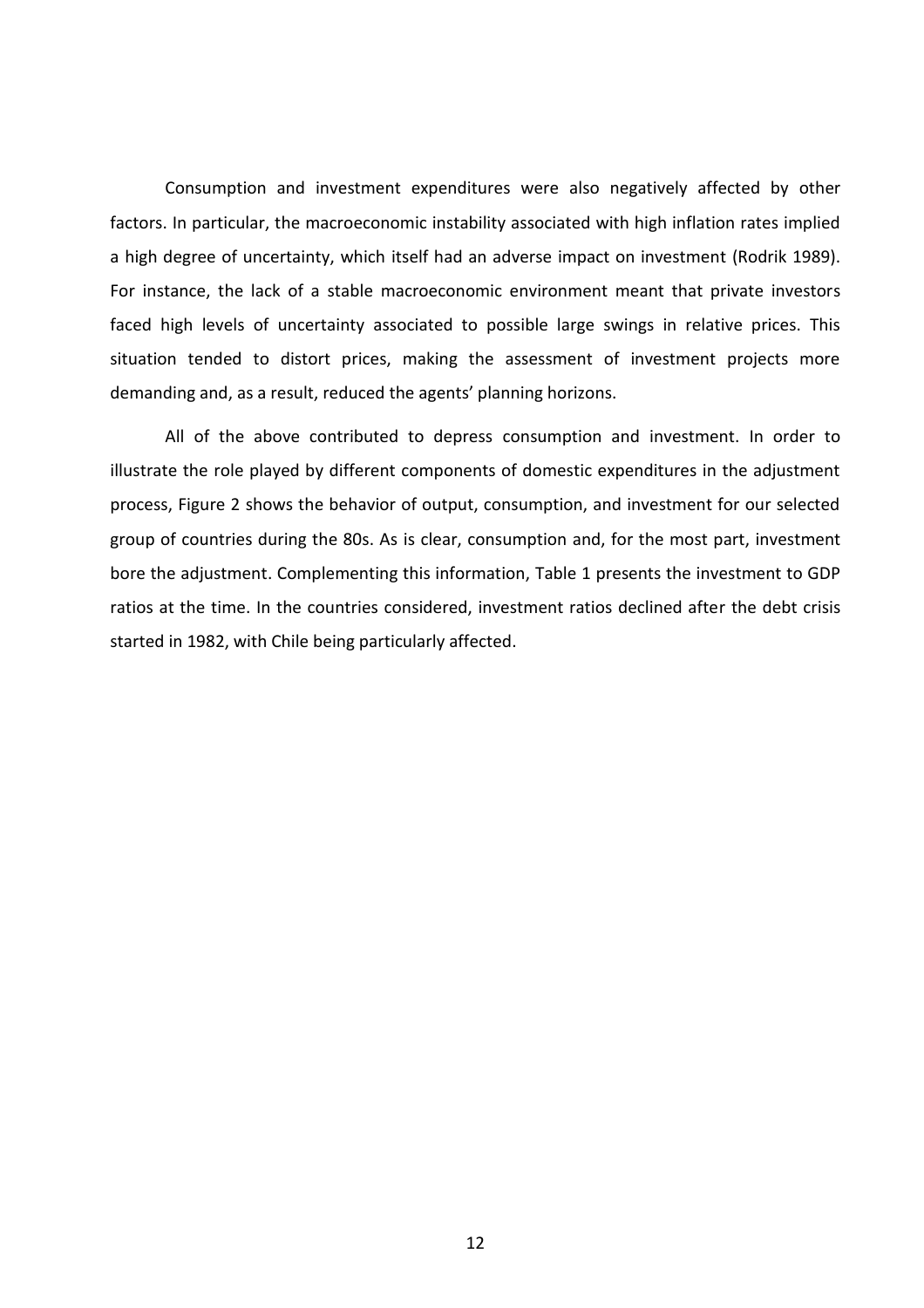Consumption and investment expenditures were also negatively affected by other factors. In particular, the macroeconomic instability associated with high inflation rates implied a high degree of uncertainty, which itself had an adverse impact on investment (Rodrik 1989). For instance, the lack of a stable macroeconomic environment meant that private investors faced high levels of uncertainty associated to possible large swings in relative prices. This situation tended to distort prices, making the assessment of investment projects more demanding and, as a result, reduced the agents' planning horizons.

All of the above contributed to depress consumption and investment. In order to illustrate the role played by different components of domestic expenditures in the adjustment process, Figure 2 shows the behavior of output, consumption, and investment for our selected group of countries during the 80s. As is clear, consumption and, for the most part, investment bore the adjustment. Complementing this information, Table 1 presents the investment to GDP ratios at the time. In the countries considered, investment ratios declined after the debt crisis started in 1982, with Chile being particularly affected.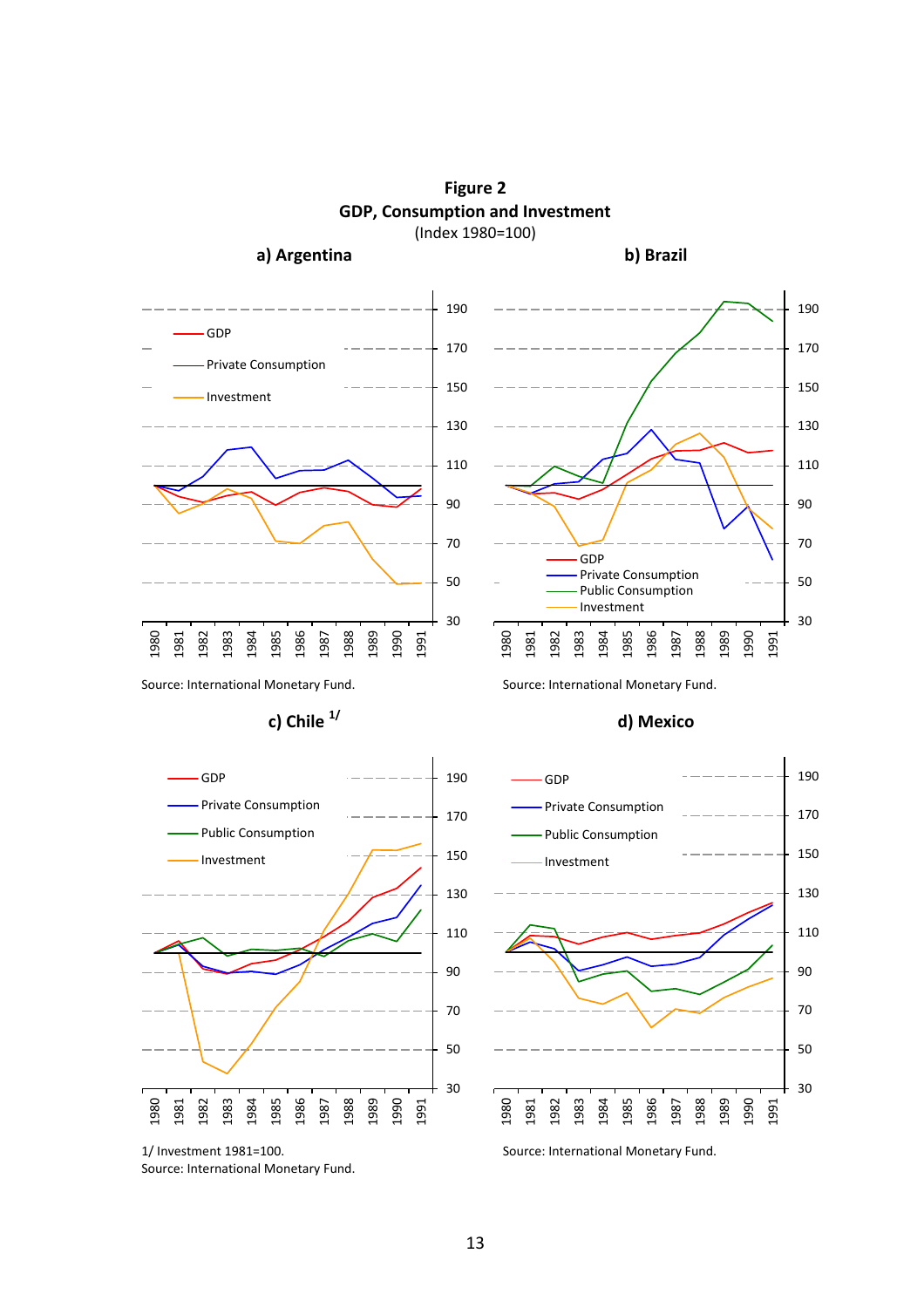GDP Private Consumption Investment GDP Private Consumption Public Consumption Investment

**Figure 2 GDP, Consumption and Investment** (Index 1980=100)

**a) Argentina b) Brazil**

Source: International Monetary Fund. Source: International Monetary Fund.



<sup>1/</sup> Investment 1981=100. Source: International Monetary Fund.





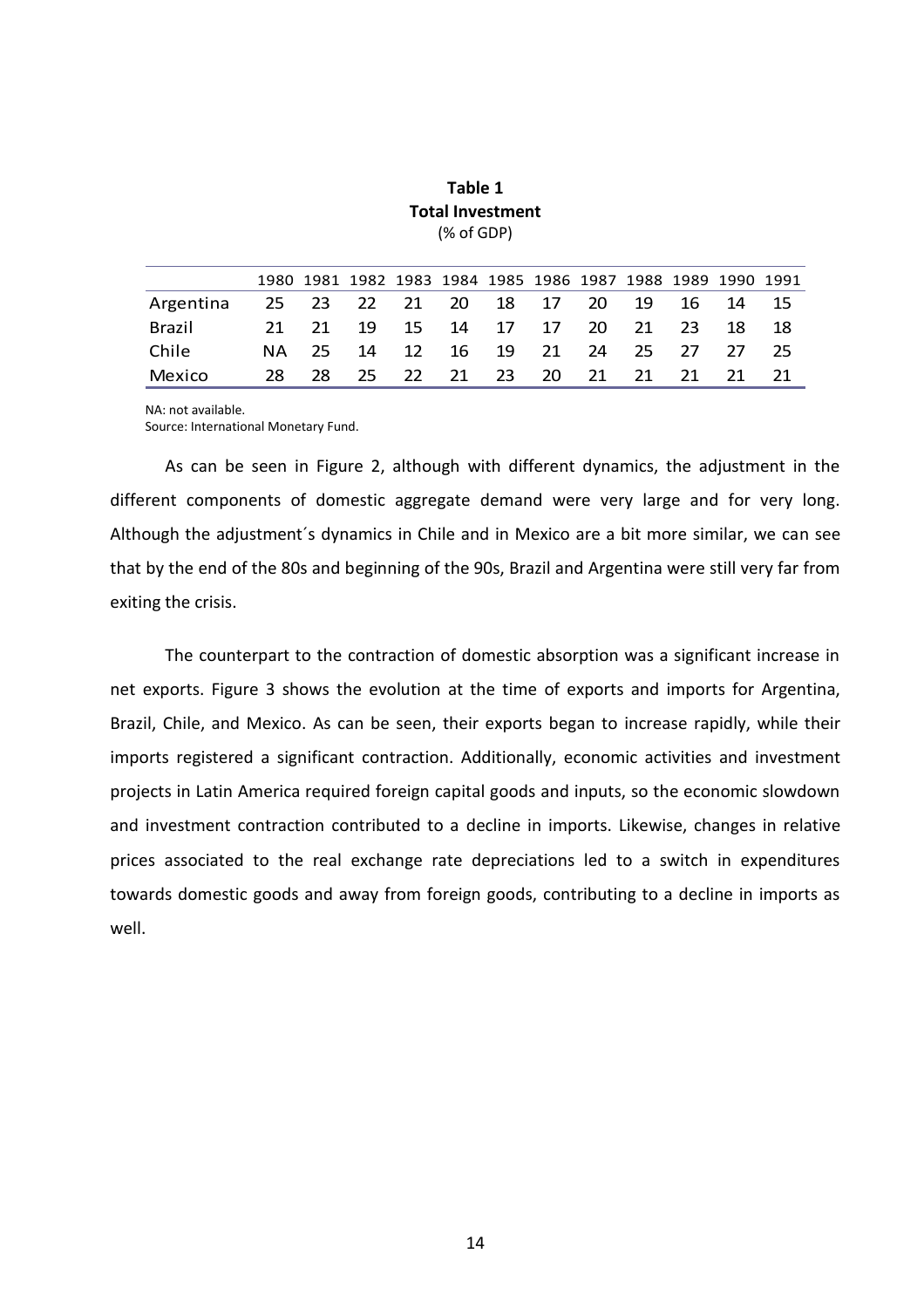|           |      |      |  |  | 1980 1981 1982 1983 1984 1985 1986 1987 1988 1989 1990 1991 |  |       |     |
|-----------|------|------|--|--|-------------------------------------------------------------|--|-------|-----|
| Argentina |      |      |  |  | 25  23  22  21  20  18  17  20  19  16  14  15              |  |       |     |
| Brazil    |      |      |  |  | 21 21 19 15 14 17 17 20 21 23                               |  | -18 - | -18 |
| Chile     |      |      |  |  | NA 25 14 12 16 19 21 24 25 27 27 25                         |  |       |     |
| Mexico    | 28 L | - 28 |  |  | 25 22 21 23 20 21 21 21 21 21                               |  |       |     |

**Table 1 Total Investment** (% of GDP)

NA: not available. Source: International Monetary Fund.

As can be seen in Figure 2, although with different dynamics, the adjustment in the different components of domestic aggregate demand were very large and for very long. Although the adjustment´s dynamics in Chile and in Mexico are a bit more similar, we can see that by the end of the 80s and beginning of the 90s, Brazil and Argentina were still very far from exiting the crisis.

The counterpart to the contraction of domestic absorption was a significant increase in net exports. Figure 3 shows the evolution at the time of exports and imports for Argentina, Brazil, Chile, and Mexico. As can be seen, their exports began to increase rapidly, while their imports registered a significant contraction. Additionally, economic activities and investment projects in Latin America required foreign capital goods and inputs, so the economic slowdown and investment contraction contributed to a decline in imports. Likewise, changes in relative prices associated to the real exchange rate depreciations led to a switch in expenditures towards domestic goods and away from foreign goods, contributing to a decline in imports as well.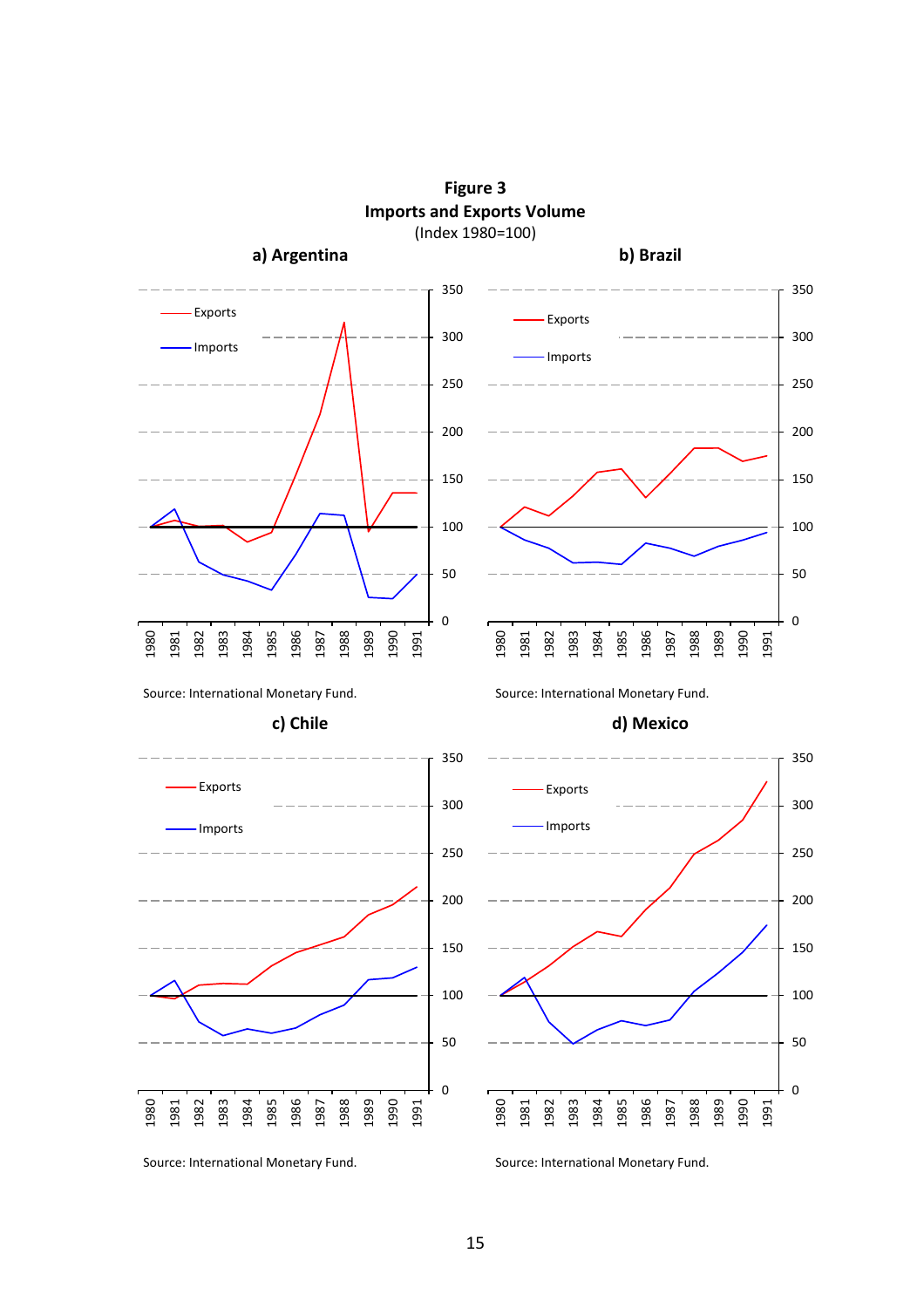

**Figure 3 Imports and Exports Volume**

Source: International Monetary Fund. Source: International Monetary Fund.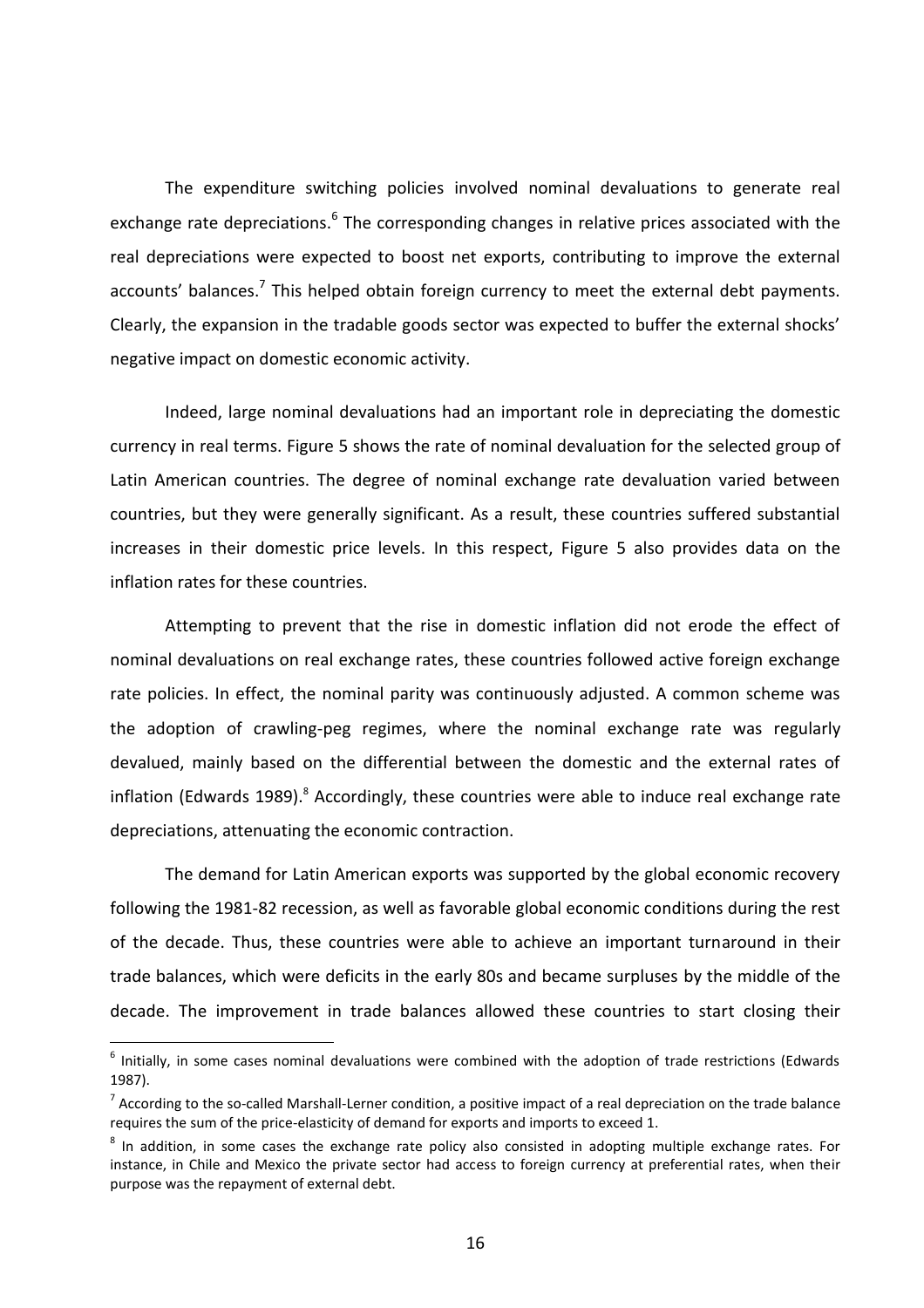The expenditure switching policies involved nominal devaluations to generate real exchange rate depreciations.<sup>6</sup> The corresponding changes in relative prices associated with the real depreciations were expected to boost net exports, contributing to improve the external accounts' balances.<sup>7</sup> This helped obtain foreign currency to meet the external debt payments. Clearly, the expansion in the tradable goods sector was expected to buffer the external shocks' negative impact on domestic economic activity.

Indeed, large nominal devaluations had an important role in depreciating the domestic currency in real terms. Figure 5 shows the rate of nominal devaluation for the selected group of Latin American countries. The degree of nominal exchange rate devaluation varied between countries, but they were generally significant. As a result, these countries suffered substantial increases in their domestic price levels. In this respect, Figure 5 also provides data on the inflation rates for these countries.

Attempting to prevent that the rise in domestic inflation did not erode the effect of nominal devaluations on real exchange rates, these countries followed active foreign exchange rate policies. In effect, the nominal parity was continuously adjusted. A common scheme was the adoption of crawling-peg regimes, where the nominal exchange rate was regularly devalued, mainly based on the differential between the domestic and the external rates of inflation (Edwards 1989).<sup>8</sup> Accordingly, these countries were able to induce real exchange rate depreciations, attenuating the economic contraction.

The demand for Latin American exports was supported by the global economic recovery following the 1981-82 recession, as well as favorable global economic conditions during the rest of the decade. Thus, these countries were able to achieve an important turnaround in their trade balances, which were deficits in the early 80s and became surpluses by the middle of the decade. The improvement in trade balances allowed these countries to start closing their

 $\overline{a}$ 

 $<sup>6</sup>$  Initially, in some cases nominal devaluations were combined with the adoption of trade restrictions (Edwards</sup> 1987).

 $^7$  According to the so-called Marshall-Lerner condition, a positive impact of a real depreciation on the trade balance requires the sum of the price-elasticity of demand for exports and imports to exceed 1.

<sup>&</sup>lt;sup>8</sup> In addition, in some cases the exchange rate policy also consisted in adopting multiple exchange rates. For instance, in Chile and Mexico the private sector had access to foreign currency at preferential rates, when their purpose was the repayment of external debt.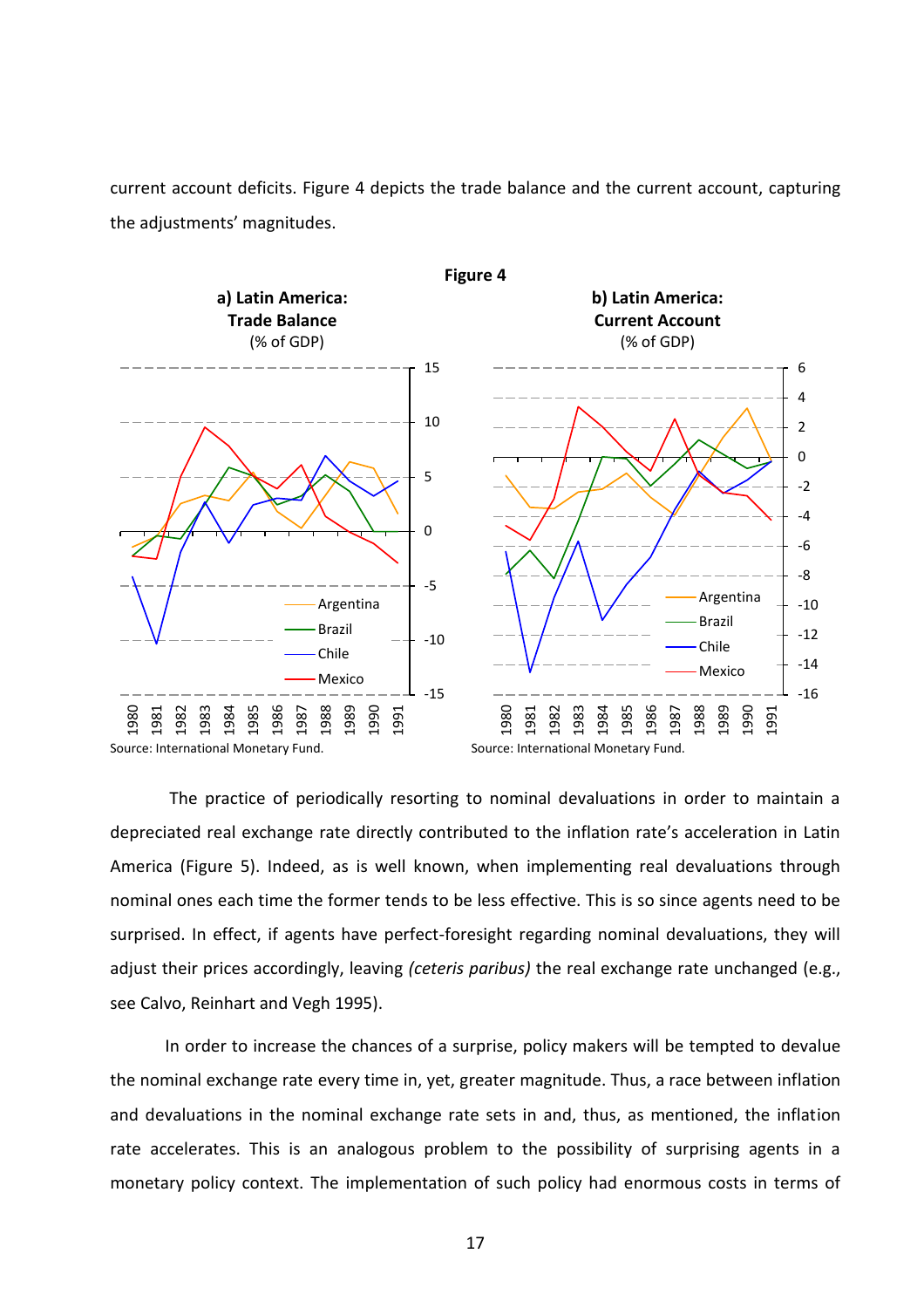current account deficits. Figure 4 depicts the trade balance and the current account, capturing the adjustments' magnitudes.



The practice of periodically resorting to nominal devaluations in order to maintain a depreciated real exchange rate directly contributed to the inflation rate's acceleration in Latin America (Figure 5). Indeed, as is well known, when implementing real devaluations through nominal ones each time the former tends to be less effective. This is so since agents need to be surprised. In effect, if agents have perfect-foresight regarding nominal devaluations, they will adjust their prices accordingly, leaving *(ceteris paribus)* the real exchange rate unchanged (e.g., see Calvo, Reinhart and Vegh 1995).

In order to increase the chances of a surprise, policy makers will be tempted to devalue the nominal exchange rate every time in, yet, greater magnitude. Thus, a race between inflation and devaluations in the nominal exchange rate sets in and, thus, as mentioned, the inflation rate accelerates. This is an analogous problem to the possibility of surprising agents in a monetary policy context. The implementation of such policy had enormous costs in terms of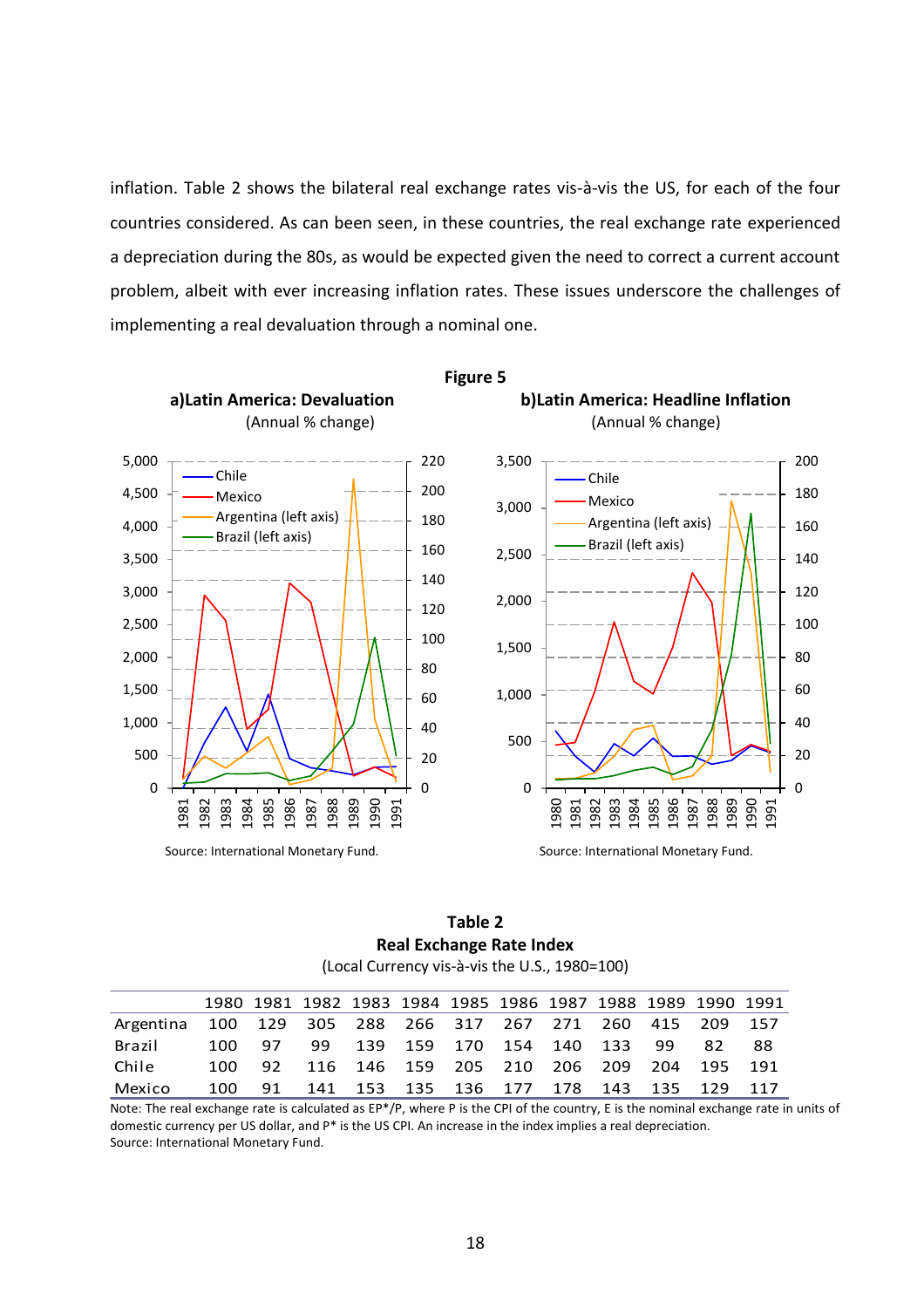inflation. Table 2 shows the bilateral real exchange rates vis-à-vis the US, for each of the four countries considered. As can been seen, in these countries, the real exchange rate experienced a depreciation during the 80s, as would be expected given the need to correct a current account problem, albeit with ever increasing inflation rates. These issues underscore the challenges of implementing a real devaluation through a nominal one.



| Table 2                                       |  |  |  |  |  |  |  |  |  |
|-----------------------------------------------|--|--|--|--|--|--|--|--|--|
| <b>Real Exchange Rate Index</b>               |  |  |  |  |  |  |  |  |  |
| (Local Currency vis-à-vis the U.S., 1980=100) |  |  |  |  |  |  |  |  |  |

|                                                                                                                                    |      |    |    |  |  | 1980 1981 1982 1983 1984 1985 1986 1987 1988 1989 1990 1991 |  |                 |    |
|------------------------------------------------------------------------------------------------------------------------------------|------|----|----|--|--|-------------------------------------------------------------|--|-----------------|----|
| Argentina                                                                                                                          |      |    |    |  |  | 100 129 305 288 266 317 267 271                             |  | 260 415 209 157 |    |
| Brazil                                                                                                                             | 100. | 97 | 99 |  |  | 139 159 170 154 140 133 99                                  |  | 82              | 88 |
| Chile                                                                                                                              | 100  | 92 |    |  |  | 116 146 159 205 210 206 209 204 195 191                     |  |                 |    |
| Mexico                                                                                                                             | 100  | 91 |    |  |  | 141 153 135 136 177 178 143 135 129 117                     |  |                 |    |
| Note: The real exchange rate is calculated as EP*/P, where P is the CPI of the country, E is the nominal exchange rate in units of |      |    |    |  |  |                                                             |  |                 |    |

domestic currency per US dollar, and P\* is the US CPI. An increase in the index implies a real depreciation. Source: International Monetary Fund.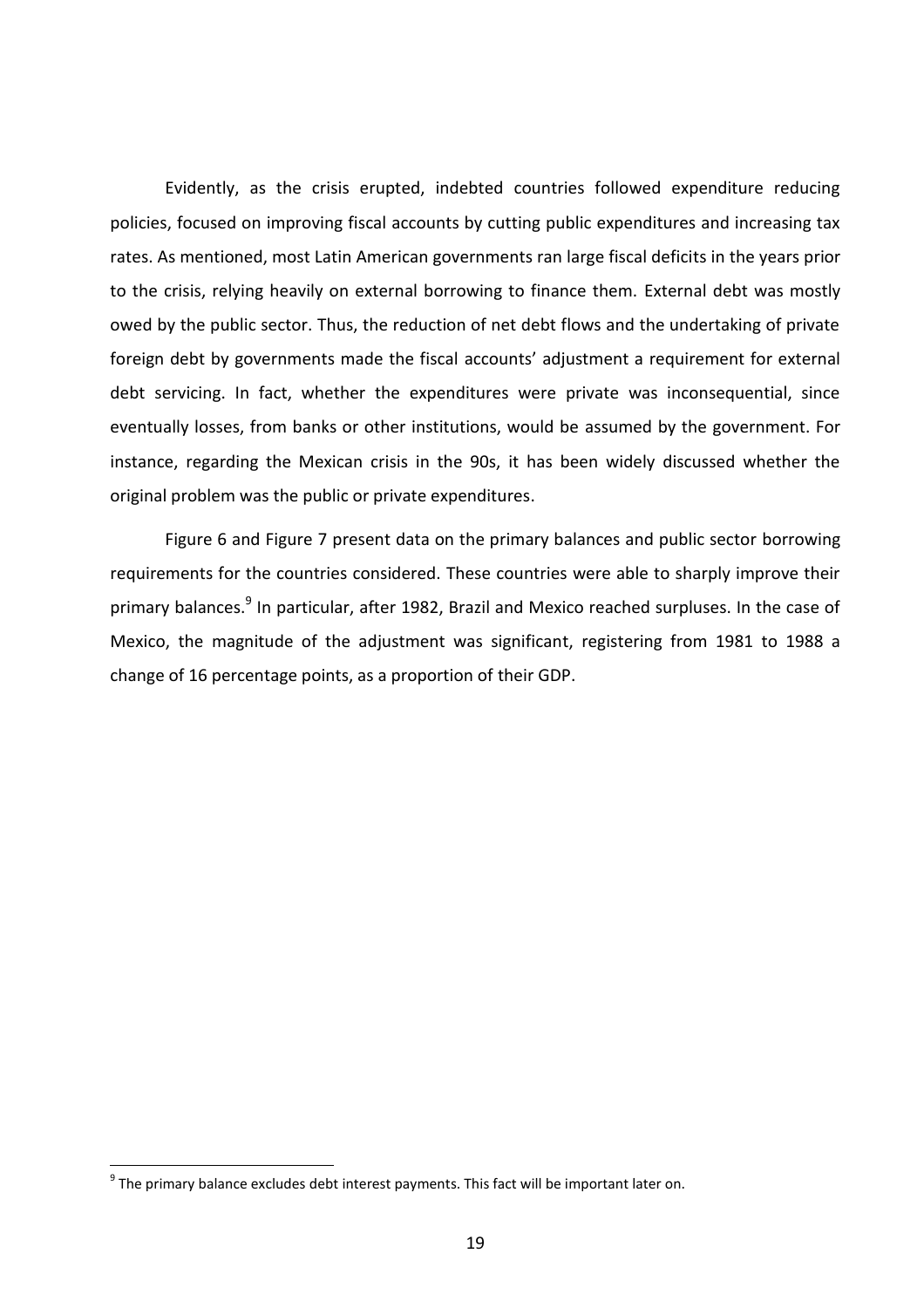Evidently, as the crisis erupted, indebted countries followed expenditure reducing policies, focused on improving fiscal accounts by cutting public expenditures and increasing tax rates. As mentioned, most Latin American governments ran large fiscal deficits in the years prior to the crisis, relying heavily on external borrowing to finance them. External debt was mostly owed by the public sector. Thus, the reduction of net debt flows and the undertaking of private foreign debt by governments made the fiscal accounts' adjustment a requirement for external debt servicing. In fact, whether the expenditures were private was inconsequential, since eventually losses, from banks or other institutions, would be assumed by the government. For instance, regarding the Mexican crisis in the 90s, it has been widely discussed whether the original problem was the public or private expenditures.

Figure 6 and Figure 7 present data on the primary balances and public sector borrowing requirements for the countries considered. These countries were able to sharply improve their primary balances.<sup>9</sup> In particular, after 1982, Brazil and Mexico reached surpluses. In the case of Mexico, the magnitude of the adjustment was significant, registering from 1981 to 1988 a change of 16 percentage points, as a proportion of their GDP.

 $\overline{a}$ 

 $9$  The primary balance excludes debt interest payments. This fact will be important later on.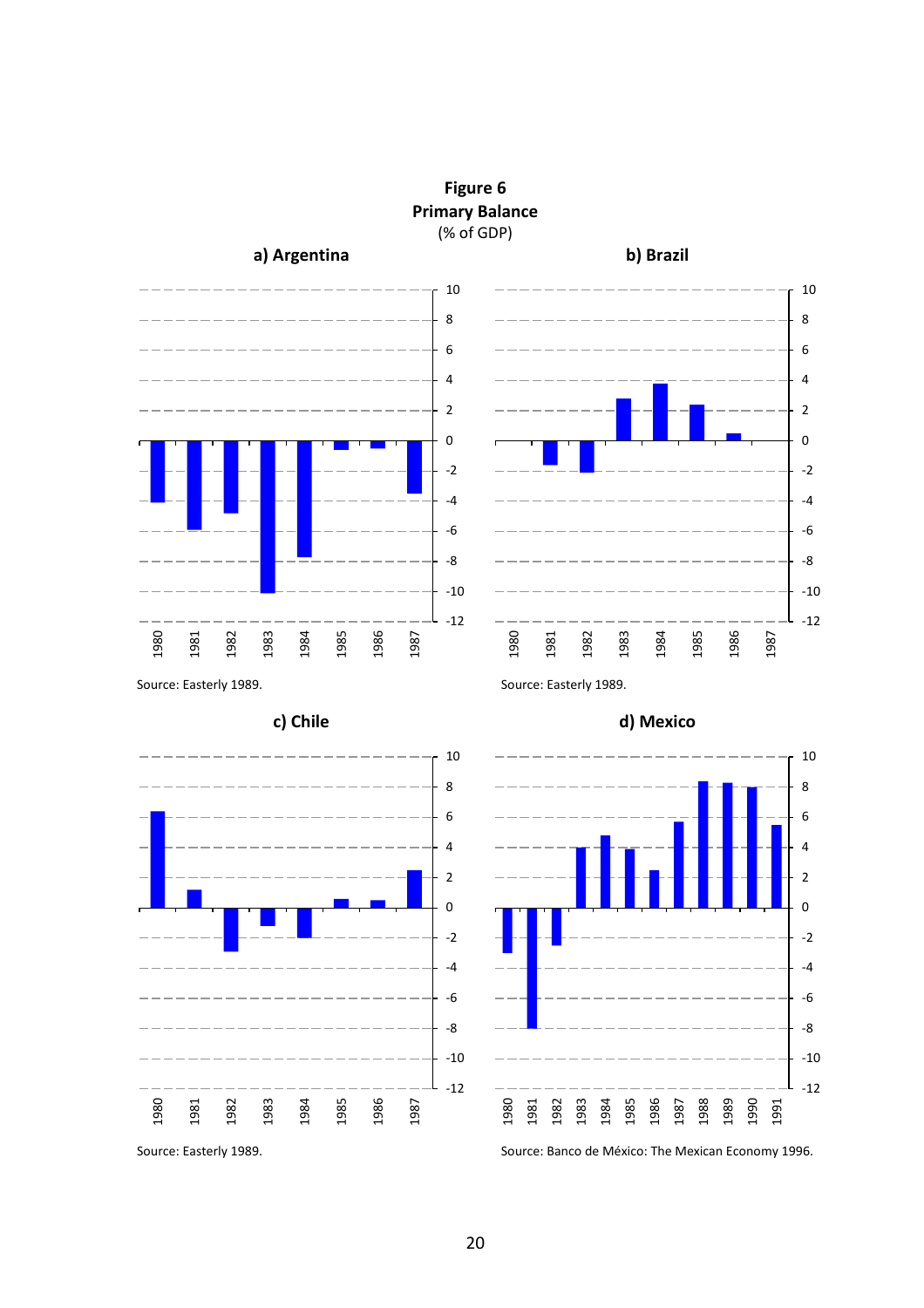



**Figure 6 Primary Balance** (% of GDP)







Source: Easterly 1989. Source: Banco de México: The Mexican Economy 1996.

-12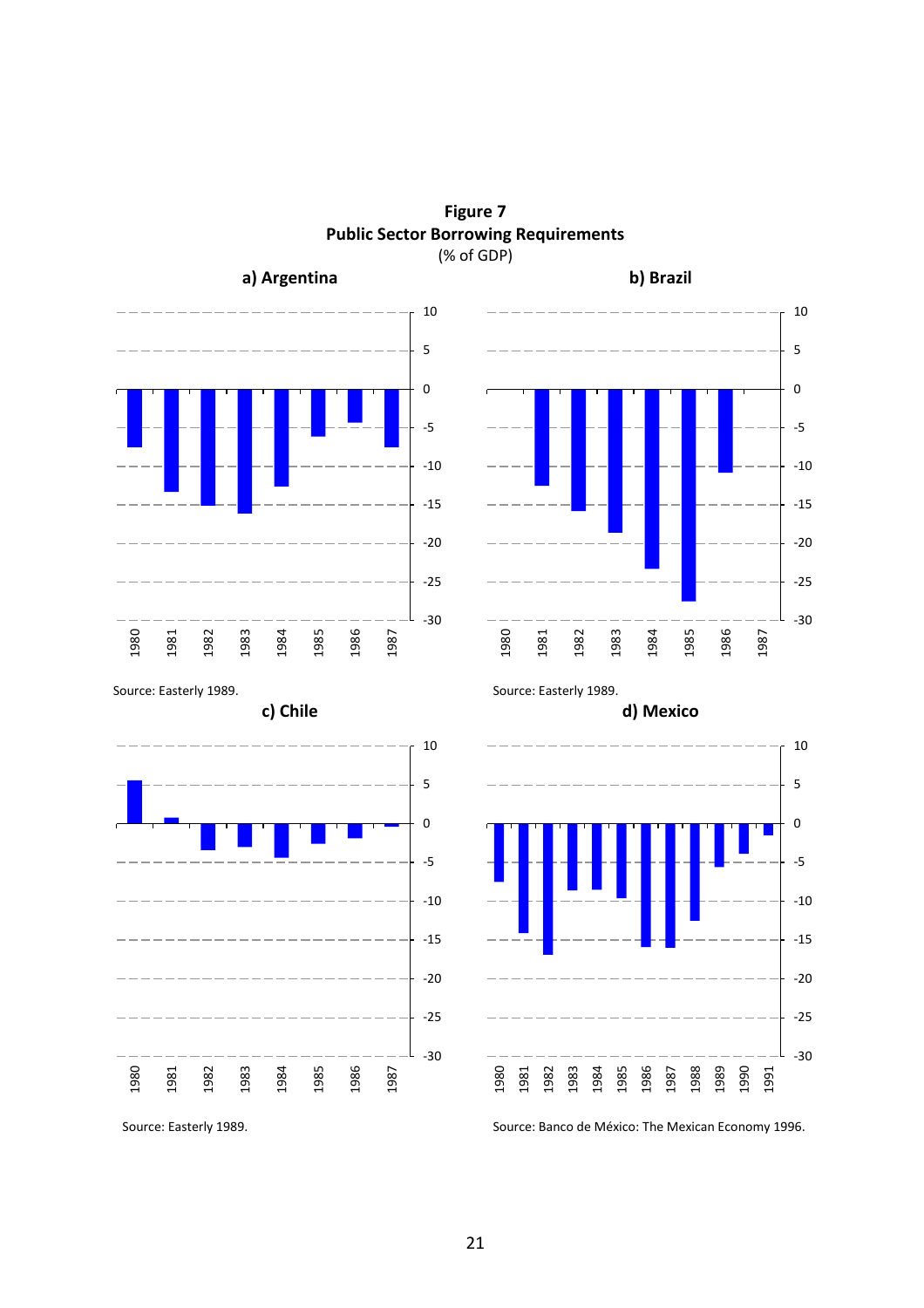



Source: Easterly 1989. Source: Banco de México: The Mexican Economy 1996.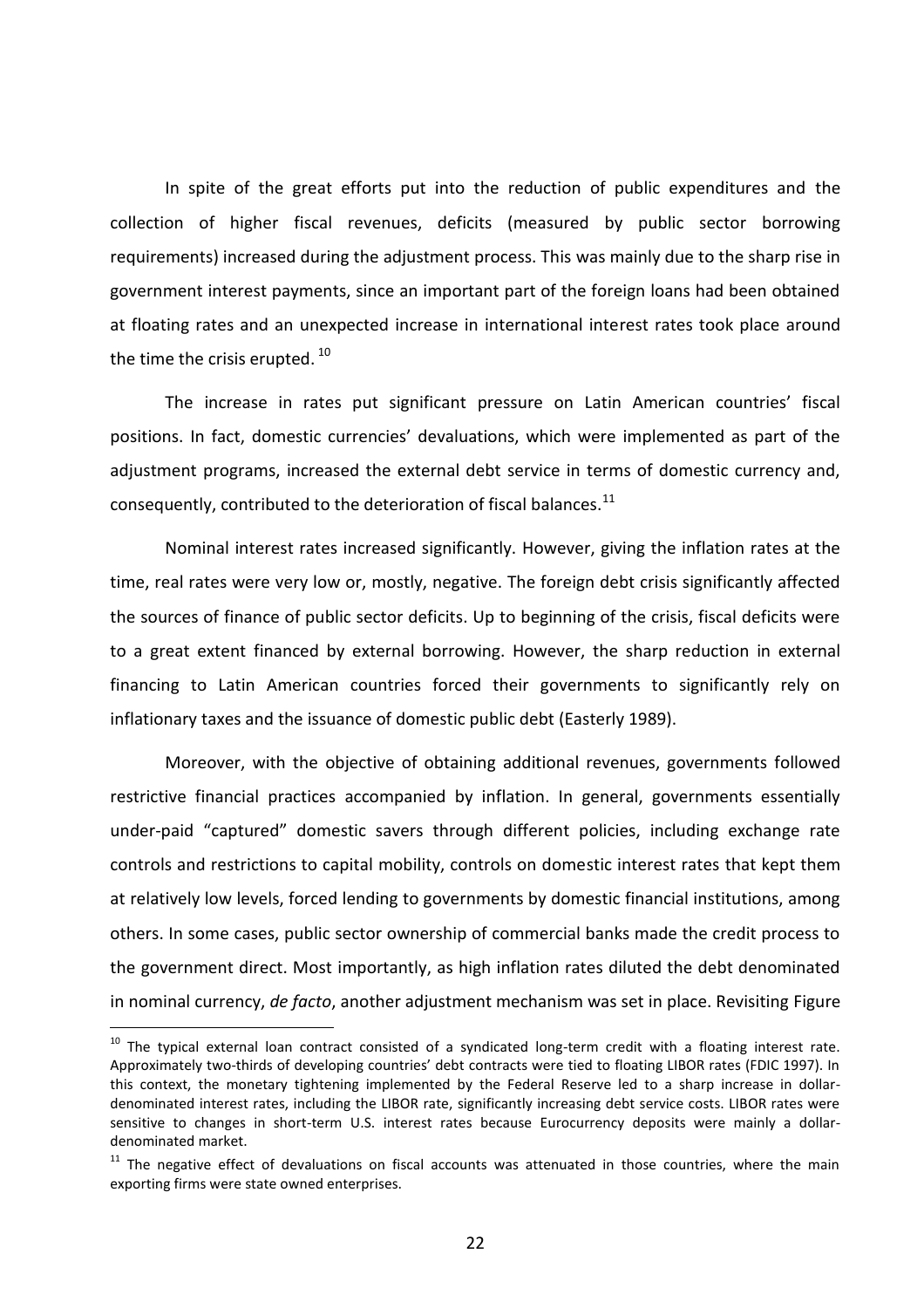In spite of the great efforts put into the reduction of public expenditures and the collection of higher fiscal revenues, deficits (measured by public sector borrowing requirements) increased during the adjustment process. This was mainly due to the sharp rise in government interest payments, since an important part of the foreign loans had been obtained at floating rates and an unexpected increase in international interest rates took place around the time the crisis erupted.  $^{\rm 10}$ 

The increase in rates put significant pressure on Latin American countries' fiscal positions. In fact, domestic currencies' devaluations, which were implemented as part of the adjustment programs, increased the external debt service in terms of domestic currency and, consequently, contributed to the deterioration of fiscal balances. $^{11}$ 

Nominal interest rates increased significantly. However, giving the inflation rates at the time, real rates were very low or, mostly, negative. The foreign debt crisis significantly affected the sources of finance of public sector deficits. Up to beginning of the crisis, fiscal deficits were to a great extent financed by external borrowing. However, the sharp reduction in external financing to Latin American countries forced their governments to significantly rely on inflationary taxes and the issuance of domestic public debt (Easterly 1989).

Moreover, with the objective of obtaining additional revenues, governments followed restrictive financial practices accompanied by inflation. In general, governments essentially under-paid "captured" domestic savers through different policies, including exchange rate controls and restrictions to capital mobility, controls on domestic interest rates that kept them at relatively low levels, forced lending to governments by domestic financial institutions, among others. In some cases, public sector ownership of commercial banks made the credit process to the government direct. Most importantly, as high inflation rates diluted the debt denominated in nominal currency, *de facto*, another adjustment mechanism was set in place. Revisiting Figure

 $\overline{a}$ 

 $10$  The typical external loan contract consisted of a syndicated long-term credit with a floating interest rate. Approximately two-thirds of developing countries' debt contracts were tied to floating LIBOR rates (FDIC 1997). In this context, the monetary tightening implemented by the Federal Reserve led to a sharp increase in dollardenominated interest rates, including the LIBOR rate, significantly increasing debt service costs. LIBOR rates were sensitive to changes in short-term U.S. interest rates because Eurocurrency deposits were mainly a dollardenominated market.

 $11$  The negative effect of devaluations on fiscal accounts was attenuated in those countries, where the main exporting firms were state owned enterprises.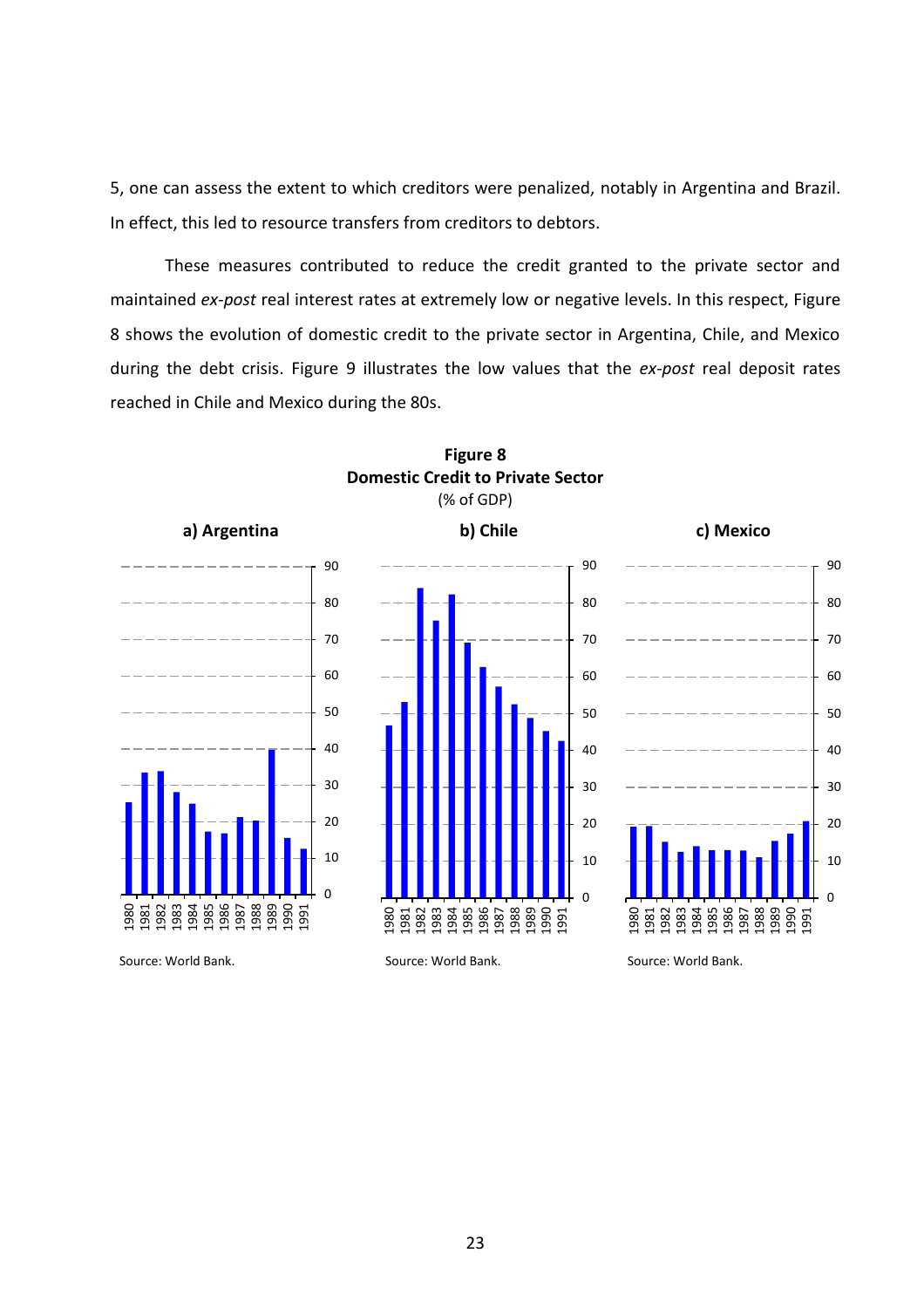5, one can assess the extent to which creditors were penalized, notably in Argentina and Brazil. In effect, this led to resource transfers from creditors to debtors.

These measures contributed to reduce the credit granted to the private sector and maintained *ex-post* real interest rates at extremely low or negative levels. In this respect, Figure shows the evolution of domestic credit to the private sector in Argentina, Chile, and Mexico during the debt crisis. Figure 9 illustrates the low values that the *ex-post* real deposit rates reached in Chile and Mexico during the 80s.



# **Figure 8 Domestic Credit to Private Sector** (% of GDP)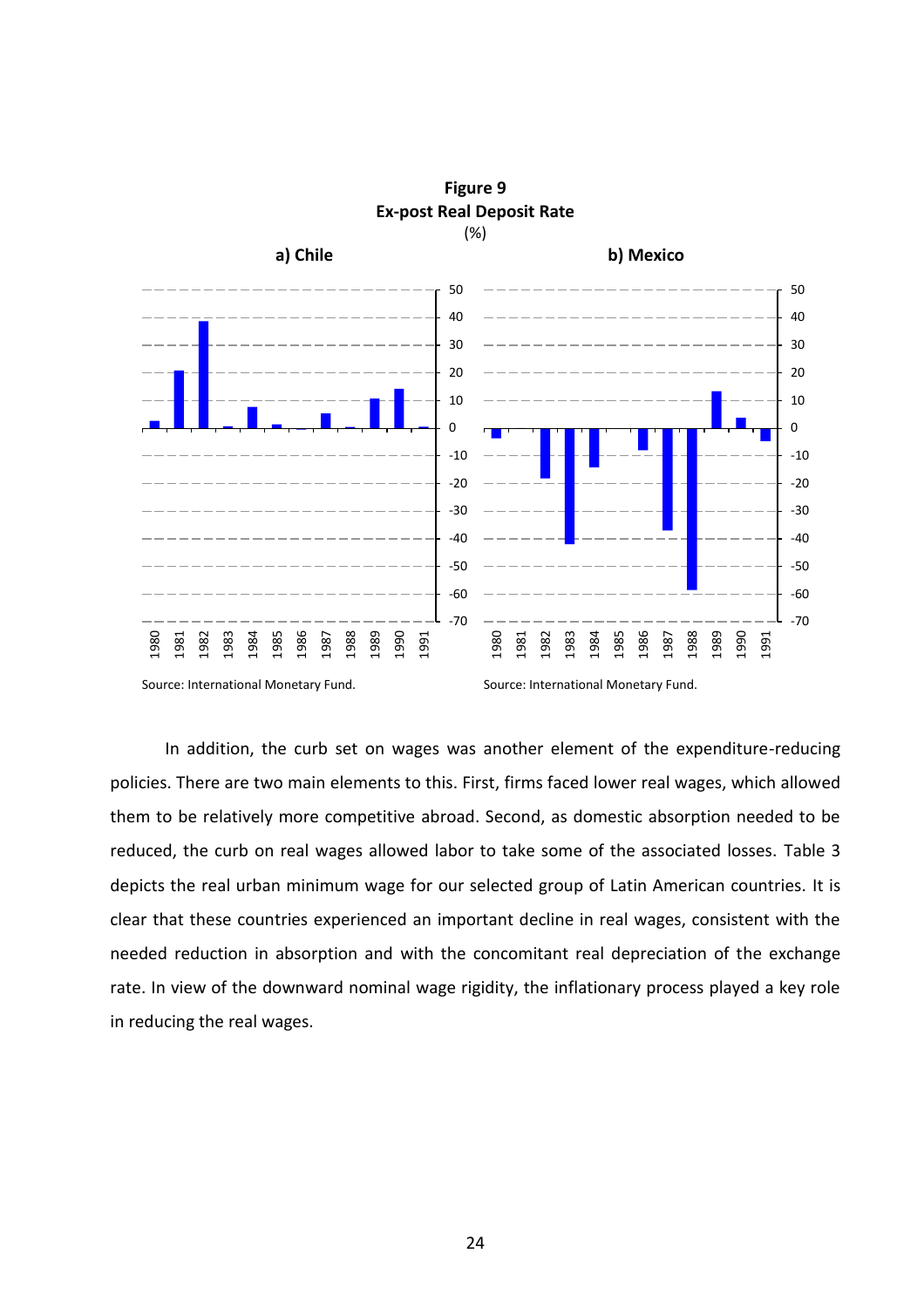

**Figure 9 Ex-post Real Deposit Rate**

Source: International Monetary Fund. Source: International Monetary Fund.

In addition, the curb set on wages was another element of the expenditure-reducing policies. There are two main elements to this. First, firms faced lower real wages, which allowed them to be relatively more competitive abroad. Second, as domestic absorption needed to be reduced, the curb on real wages allowed labor to take some of the associated losses. Table 3 depicts the real urban minimum wage for our selected group of Latin American countries. It is clear that these countries experienced an important decline in real wages, consistent with the needed reduction in absorption and with the concomitant real depreciation of the exchange rate. In view of the downward nominal wage rigidity, the inflationary process played a key role in reducing the real wages.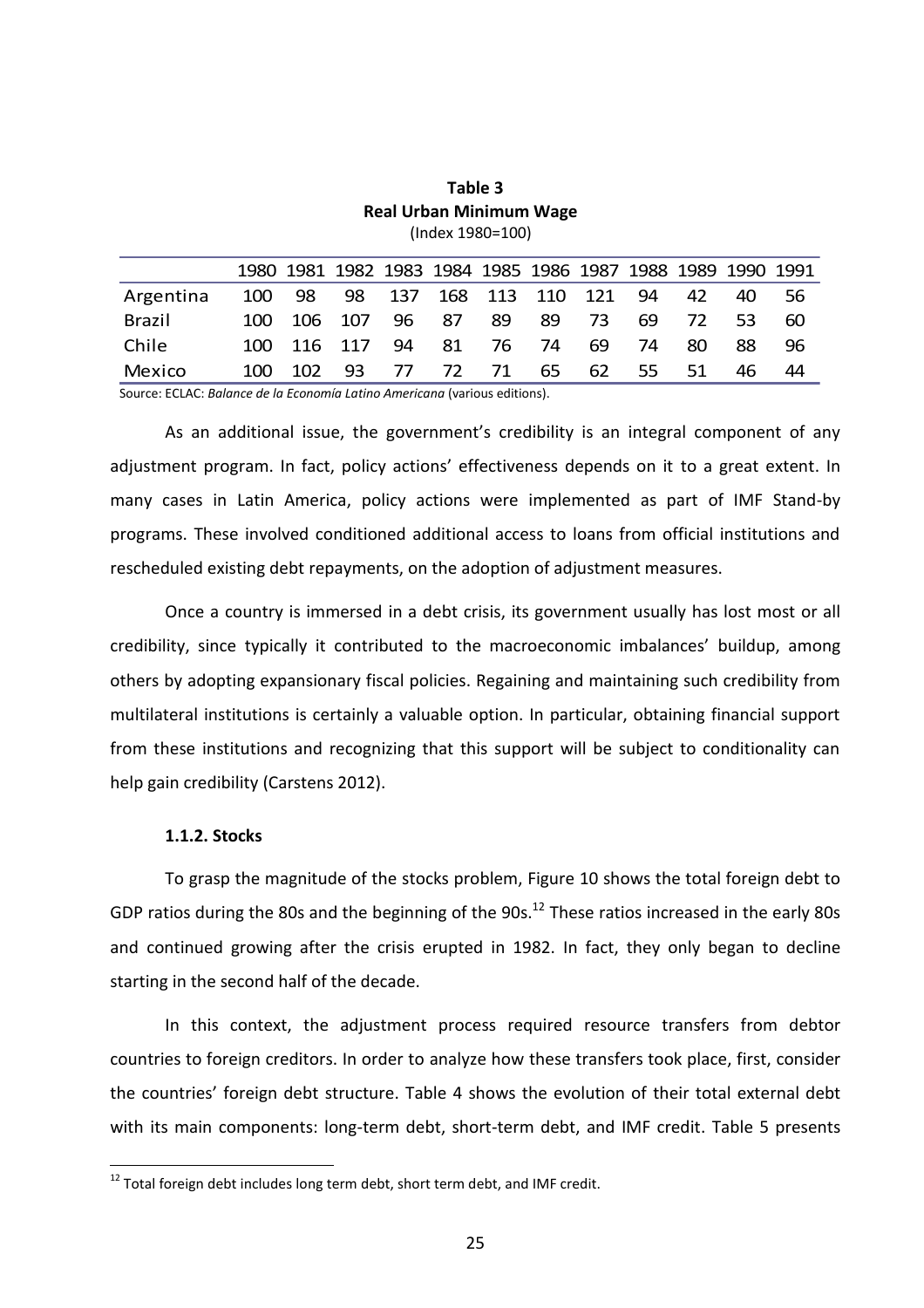|           |        |     |                           |     |    |       |     |      |     |     | 1980 1981 1982 1983 1984 1985 1986 1987 1988 1989 1990 1991 |    |
|-----------|--------|-----|---------------------------|-----|----|-------|-----|------|-----|-----|-------------------------------------------------------------|----|
| Argentina | 100 98 |     | 98 137 168 113 110 121 94 |     |    |       |     |      |     | 42  | 40.                                                         | 56 |
| Brazil    | 100 l  |     | 106 107 96 87             |     |    | 89.   | -89 | -73. | 69. | 72. | 53.                                                         | 60 |
| Chile     |        |     | 100 116 117 94            |     | 81 | 76 74 |     | 69   | 74  | 80  | 88.                                                         | 96 |
| Mexico    | 100 I  | 102 | 93.                       | -77 |    | 72 71 | 65  | 62   | 55  | 51  | 46.                                                         | 44 |

**Table 3 Real Urban Minimum Wage** (Index 1980=100)

Source: ECLAC: *Balance de la Economía Latino Americana* (various editions).

As an additional issue, the government's credibility is an integral component of any adjustment program. In fact, policy actions' effectiveness depends on it to a great extent. In many cases in Latin America, policy actions were implemented as part of IMF Stand-by programs. These involved conditioned additional access to loans from official institutions and rescheduled existing debt repayments, on the adoption of adjustment measures.

Once a country is immersed in a debt crisis, its government usually has lost most or all credibility, since typically it contributed to the macroeconomic imbalances' buildup, among others by adopting expansionary fiscal policies. Regaining and maintaining such credibility from multilateral institutions is certainly a valuable option. In particular, obtaining financial support from these institutions and recognizing that this support will be subject to conditionality can help gain credibility (Carstens 2012).

#### **1.1.2. Stocks**

 $\overline{a}$ 

To grasp the magnitude of the stocks problem, Figure 10 shows the total foreign debt to GDP ratios during the 80s and the beginning of the  $90s$ .<sup>12</sup> These ratios increased in the early 80s and continued growing after the crisis erupted in 1982. In fact, they only began to decline starting in the second half of the decade.

In this context, the adjustment process required resource transfers from debtor countries to foreign creditors. In order to analyze how these transfers took place, first, consider the countries' foreign debt structure. Table 4 shows the evolution of their total external debt with its main components: long-term debt, short-term debt, and IMF credit. Table 5 presents

 $12$  Total foreign debt includes long term debt, short term debt, and IMF credit.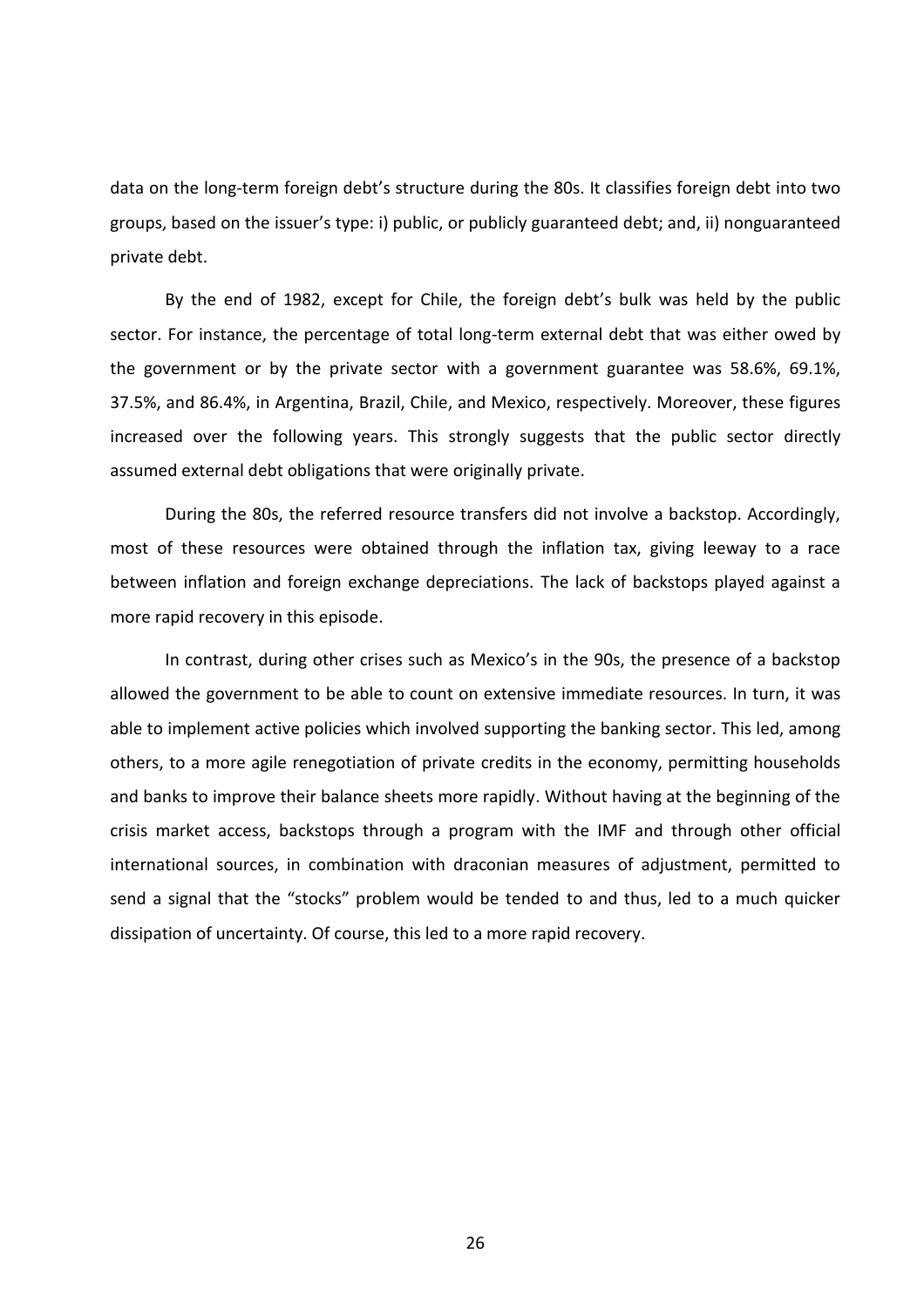data on the long-term foreign debt's structure during the 80s. It classifies foreign debt into two groups, based on the issuer's type: i) public, or publicly guaranteed debt; and, ii) nonguaranteed private debt.

By the end of 1982, except for Chile, the foreign debt's bulk was held by the public sector. For instance, the percentage of total long-term external debt that was either owed by the government or by the private sector with a government guarantee was 58.6%, 69.1%, 37.5%, and 86.4%, in Argentina, Brazil, Chile, and Mexico, respectively. Moreover, these figures increased over the following years. This strongly suggests that the public sector directly assumed external debt obligations that were originally private.

During the 80s, the referred resource transfers did not involve a backstop. Accordingly, most of these resources were obtained through the inflation tax, giving leeway to a race between inflation and foreign exchange depreciations. The lack of backstops played against a more rapid recovery in this episode.

In contrast, during other crises such as Mexico's in the 90s, the presence of a backstop allowed the government to be able to count on extensive immediate resources. In turn, it was able to implement active policies which involved supporting the banking sector. This led, among others, to a more agile renegotiation of private credits in the economy, permitting households and banks to improve their balance sheets more rapidly. Without having at the beginning of the crisis market access, backstops through a program with the IMF and through other official international sources, in combination with draconian measures of adjustment, permitted to send a signal that the "stocks" problem would be tended to and thus, led to a much quicker dissipation of uncertainty. Of course, this led to a more rapid recovery.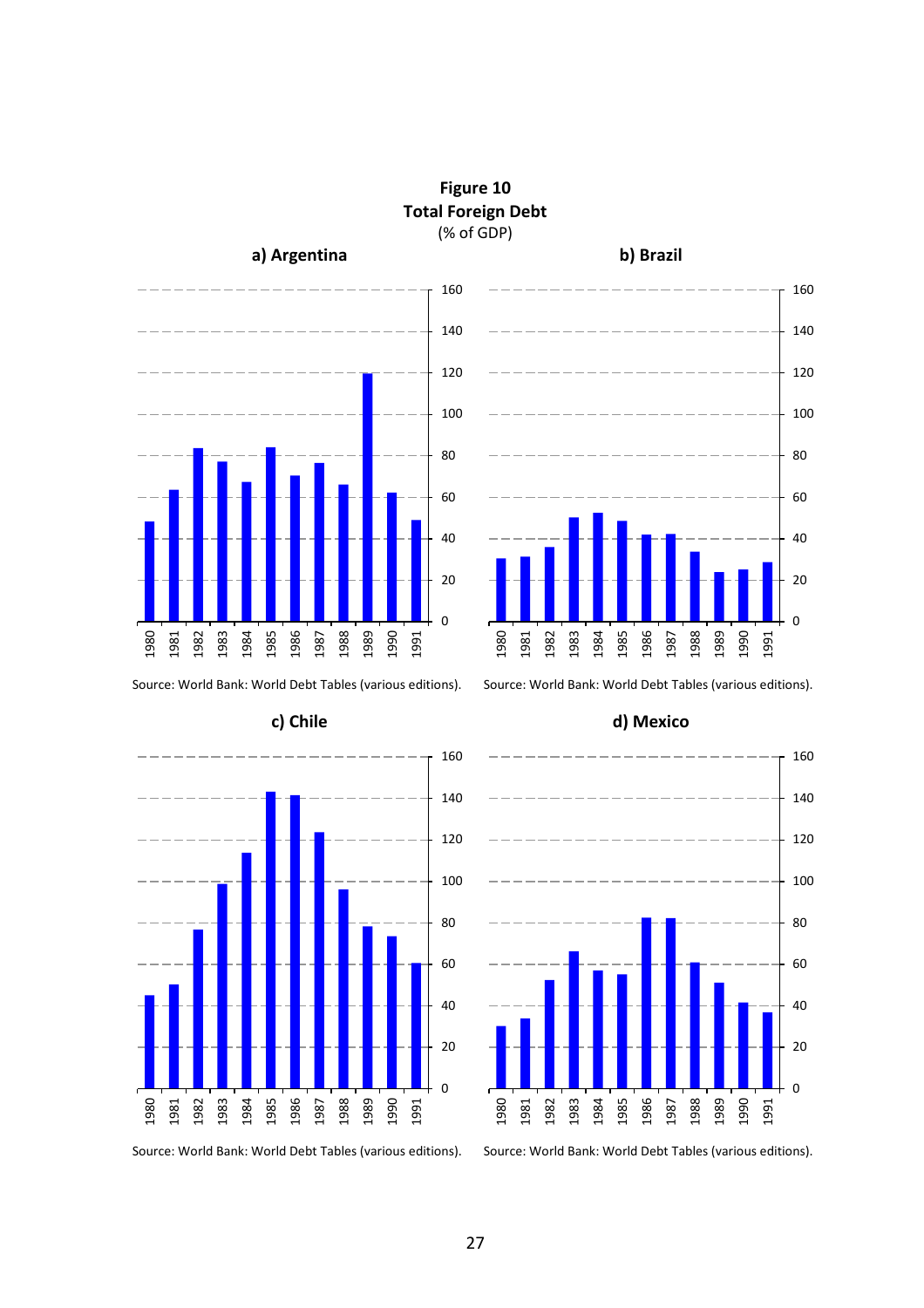

**Figure 10 Total Foreign Debt** (% of GDP)







Source: World Bank: World Debt Tables (various editions). Source: World Bank: World Debt Tables (various editions).



#### **c) Chile d) Mexico**

Source: World Bank: World Debt Tables (various editions). Source: World Bank: World Debt Tables (various editions).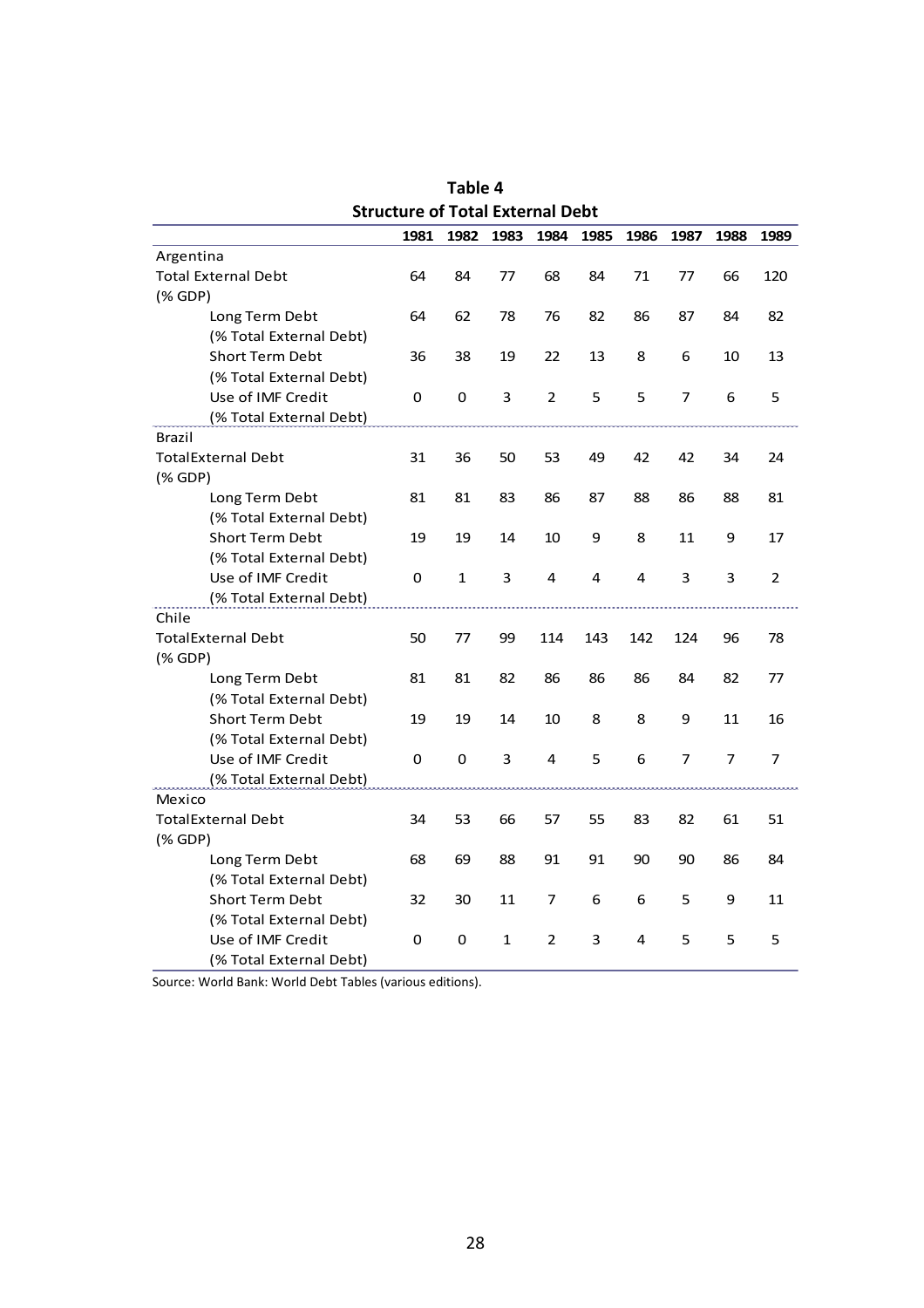| Structure of Total External Debt |      |      |      |      |      |      |      |                |      |  |
|----------------------------------|------|------|------|------|------|------|------|----------------|------|--|
|                                  | 1981 | 1982 | 1983 | 1984 | 1985 | 1986 | 1987 | 1988           | 1989 |  |
| Argentina                        |      |      |      |      |      |      |      |                |      |  |
| <b>Total External Debt</b>       | 64   | 84   | 77   | 68   | 84   | 71   | 77   | 66             | 120  |  |
| $(%$ GDP)                        |      |      |      |      |      |      |      |                |      |  |
| Long Term Debt                   | 64   | 62   | 78   | 76   | 82   | 86   | 87   | 84             | 82   |  |
| (% Total External Debt)          |      |      |      |      |      |      |      |                |      |  |
| <b>Short Term Debt</b>           | 36   | 38   | 19   | 22   | 13   | 8    | 6    | 10             | 13   |  |
| (% Total External Debt)          |      |      |      |      |      |      |      |                |      |  |
| Use of IMF Credit                | 0    | 0    | 3    | 2    | 5    | 5    | 7    | 6              | 5    |  |
| (% Total External Debt)          |      |      |      |      |      |      |      |                |      |  |
| <b>Brazil</b>                    |      |      |      |      |      |      |      |                |      |  |
| <b>TotalExternal Debt</b>        | 31   | 36   | 50   | 53   | 49   | 42   | 42   | 34             | 24   |  |
| $(% \mathcal{L}_{0})$ (% GDP)    |      |      |      |      |      |      |      |                |      |  |
| Long Term Debt                   | 81   | 81   | 83   | 86   | 87   | 88   | 86   | 88             | 81   |  |
| (% Total External Debt)          |      |      |      |      |      |      |      |                |      |  |
| <b>Short Term Debt</b>           | 19   | 19   | 14   | 10   | 9    | 8    | 11   | 9              | 17   |  |
| (% Total External Debt)          |      |      |      |      |      |      |      |                |      |  |
| Use of IMF Credit                | 0    | 1    | 3    | 4    | 4    | 4    | 3    | 3              | 2    |  |
| (% Total External Debt)          |      |      |      |      |      |      |      |                |      |  |
| Chile                            |      |      |      |      |      |      |      |                |      |  |
| <b>TotalExternal Debt</b>        | 50   | 77   | 99   | 114  | 143  | 142  | 124  | 96             | 78   |  |
| $(%$ (% GDP)                     |      |      |      |      |      |      |      |                |      |  |
| Long Term Debt                   | 81   | 81   | 82   | 86   | 86   | 86   | 84   | 82             | 77   |  |
| (% Total External Debt)          |      |      |      |      |      |      |      |                |      |  |
| <b>Short Term Debt</b>           | 19   | 19   | 14   | 10   | 8    | 8    | 9    | 11             | 16   |  |
| (% Total External Debt)          |      |      |      |      |      |      |      |                |      |  |
| Use of IMF Credit                | 0    | 0    | 3    | 4    | 5    | 6    | 7    | $\overline{7}$ | 7    |  |
| (% Total External Debt)          |      |      |      |      |      |      |      |                |      |  |
| Mexico                           |      |      |      |      |      |      |      |                |      |  |
| <b>TotalExternal Debt</b>        | 34   | 53   | 66   | 57   | 55   | 83   | 82   | 61             | 51   |  |
| $(% \mathcal{L}_{0})$ (% GDP)    |      |      |      |      |      |      |      |                |      |  |
| Long Term Debt                   | 68   | 69   | 88   | 91   | 91   | 90   | 90   | 86             | 84   |  |
| (% Total External Debt)          |      |      |      |      |      |      |      |                |      |  |
| <b>Short Term Debt</b>           | 32   | 30   | 11   | 7    | 6    | 6    | 5    | 9              | 11   |  |
| (% Total External Debt)          |      |      |      |      |      |      |      |                |      |  |
| Use of IMF Credit                | 0    | 0    | 1    | 2    | 3    | 4    | 5    | 5              | 5    |  |
| (% Total External Debt)          |      |      |      |      |      |      |      |                |      |  |

**Table 4 Structure of Total External Debt**

Source: World Bank: World Debt Tables (various editions).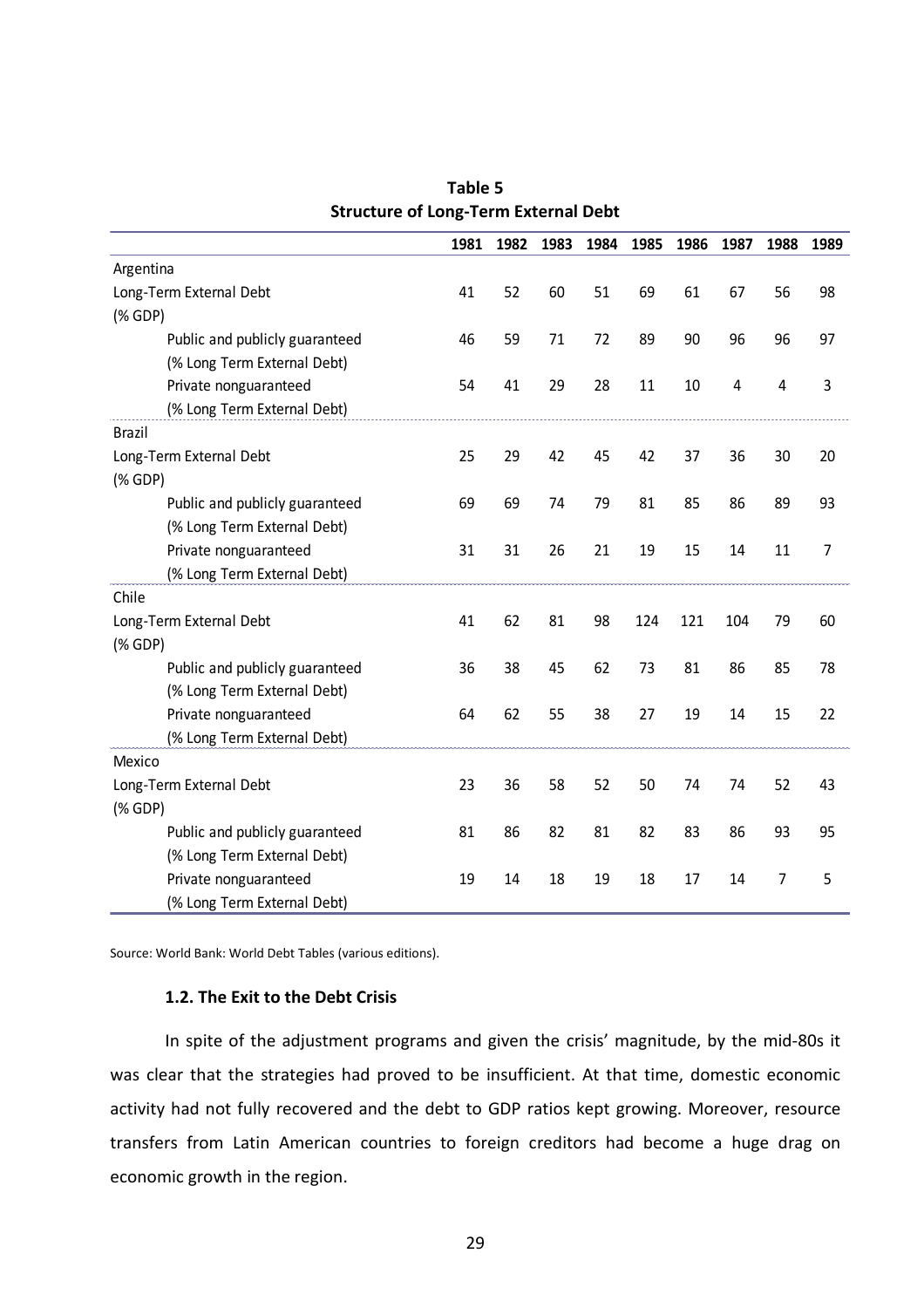|                                                             | 1981 | 1982 | 1983 | 1984 | 1985 | 1986 | 1987 | 1988           | 1989           |
|-------------------------------------------------------------|------|------|------|------|------|------|------|----------------|----------------|
| Argentina                                                   |      |      |      |      |      |      |      |                |                |
| Long-Term External Debt                                     | 41   | 52   | 60   | 51   | 69   | 61   | 67   | 56             | 98             |
| $(% \mathcal{L}(\mathcal{L})\cap \mathcal{L}(\mathcal{L}))$ |      |      |      |      |      |      |      |                |                |
| Public and publicly guaranteed                              | 46   | 59   | 71   | 72   | 89   | 90   | 96   | 96             | 97             |
| (% Long Term External Debt)                                 |      |      |      |      |      |      |      |                |                |
| Private nonguaranteed                                       | 54   | 41   | 29   | 28   | 11   | 10   | 4    | $\overline{4}$ | $\mathsf 3$    |
| (% Long Term External Debt)                                 |      |      |      |      |      |      |      |                |                |
| <b>Brazil</b>                                               |      |      |      |      |      |      |      |                |                |
| Long-Term External Debt                                     | 25   | 29   | 42   | 45   | 42   | 37   | 36   | 30             | 20             |
|                                                             |      |      |      |      |      |      |      |                |                |
| Public and publicly guaranteed                              | 69   | 69   | 74   | 79   | 81   | 85   | 86   | 89             | 93             |
| (% Long Term External Debt)                                 |      |      |      |      |      |      |      |                |                |
| Private nonguaranteed                                       | 31   | 31   | 26   | 21   | 19   | 15   | 14   | 11             | $\overline{7}$ |
| (% Long Term External Debt)                                 |      |      |      |      |      |      |      |                |                |
| Chile                                                       |      |      |      |      |      |      |      |                |                |
| Long-Term External Debt                                     | 41   | 62   | 81   | 98   | 124  | 121  | 104  | 79             | 60             |
| (% GDP)                                                     |      |      |      |      |      |      |      |                |                |
| Public and publicly guaranteed                              | 36   | 38   | 45   | 62   | 73   | 81   | 86   | 85             | 78             |
| (% Long Term External Debt)                                 |      |      |      |      |      |      |      |                |                |
| Private nonguaranteed                                       | 64   | 62   | 55   | 38   | 27   | 19   | 14   | 15             | 22             |
| (% Long Term External Debt)                                 |      |      |      |      |      |      |      |                |                |
| Mexico                                                      |      |      |      |      |      |      |      |                |                |
| Long-Term External Debt                                     | 23   | 36   | 58   | 52   | 50   | 74   | 74   | 52             | 43             |
| (% GDP)                                                     |      |      |      |      |      |      |      |                |                |
| Public and publicly guaranteed                              | 81   | 86   | 82   | 81   | 82   | 83   | 86   | 93             | 95             |
| (% Long Term External Debt)                                 |      |      |      |      |      |      |      |                |                |
| Private nonguaranteed                                       | 19   | 14   | 18   | 19   | 18   | 17   | 14   | $\overline{7}$ | 5              |
| (% Long Term External Debt)                                 |      |      |      |      |      |      |      |                |                |

**Table 5 Structure of Long-Term External Debt**

Source: World Bank: World Debt Tables (various editions).

## **1.2. The Exit to the Debt Crisis**

In spite of the adjustment programs and given the crisis' magnitude, by the mid-80s it was clear that the strategies had proved to be insufficient. At that time, domestic economic activity had not fully recovered and the debt to GDP ratios kept growing. Moreover, resource transfers from Latin American countries to foreign creditors had become a huge drag on economic growth in the region.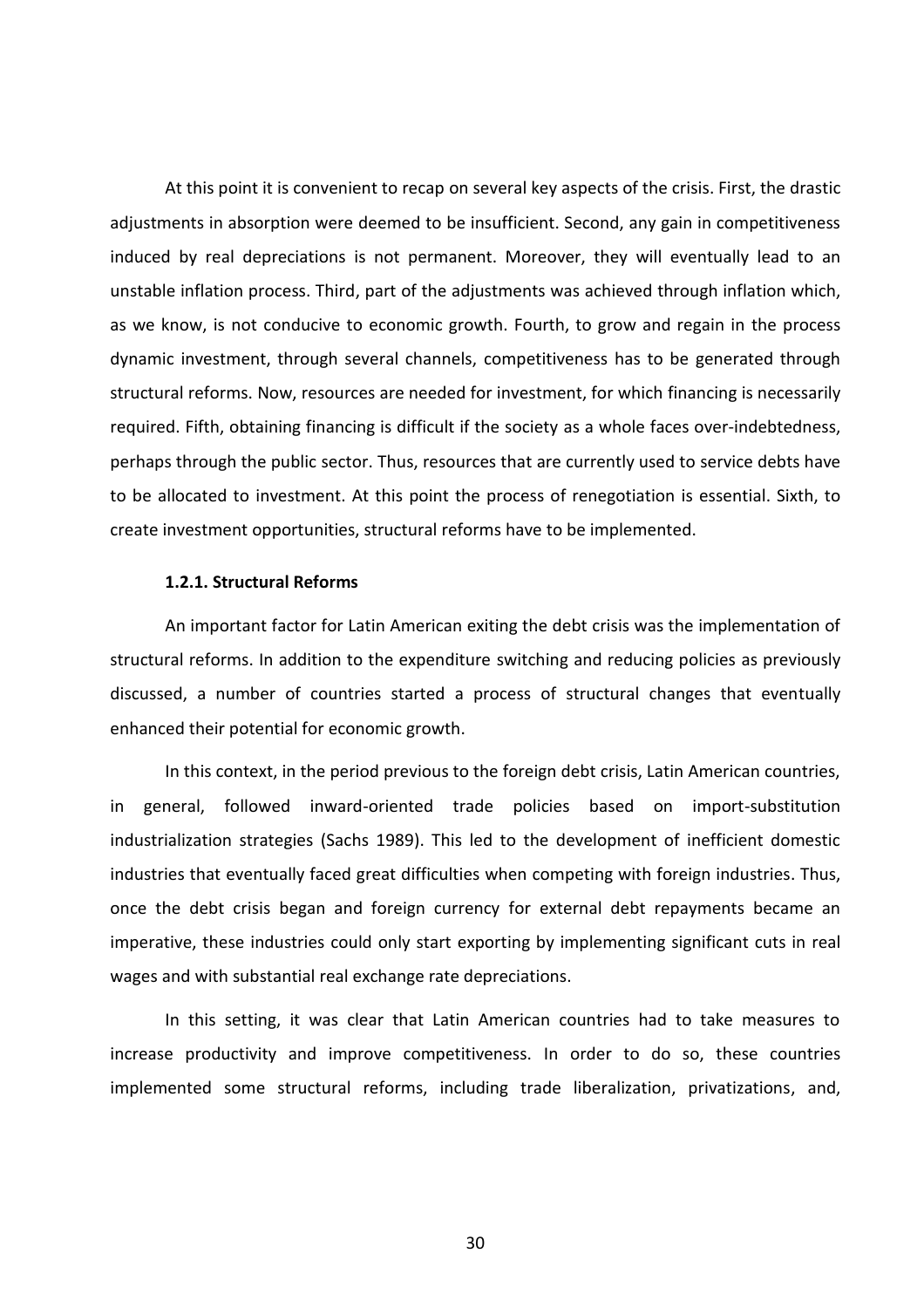At this point it is convenient to recap on several key aspects of the crisis. First, the drastic adjustments in absorption were deemed to be insufficient. Second, any gain in competitiveness induced by real depreciations is not permanent. Moreover, they will eventually lead to an unstable inflation process. Third, part of the adjustments was achieved through inflation which, as we know, is not conducive to economic growth. Fourth, to grow and regain in the process dynamic investment, through several channels, competitiveness has to be generated through structural reforms. Now, resources are needed for investment, for which financing is necessarily required. Fifth, obtaining financing is difficult if the society as a whole faces over-indebtedness, perhaps through the public sector. Thus, resources that are currently used to service debts have to be allocated to investment. At this point the process of renegotiation is essential. Sixth, to create investment opportunities, structural reforms have to be implemented.

#### **1.2.1. Structural Reforms**

An important factor for Latin American exiting the debt crisis was the implementation of structural reforms. In addition to the expenditure switching and reducing policies as previously discussed, a number of countries started a process of structural changes that eventually enhanced their potential for economic growth.

In this context, in the period previous to the foreign debt crisis, Latin American countries, in general, followed inward-oriented trade policies based on import-substitution industrialization strategies (Sachs 1989). This led to the development of inefficient domestic industries that eventually faced great difficulties when competing with foreign industries. Thus, once the debt crisis began and foreign currency for external debt repayments became an imperative, these industries could only start exporting by implementing significant cuts in real wages and with substantial real exchange rate depreciations.

In this setting, it was clear that Latin American countries had to take measures to increase productivity and improve competitiveness. In order to do so, these countries implemented some structural reforms, including trade liberalization, privatizations, and,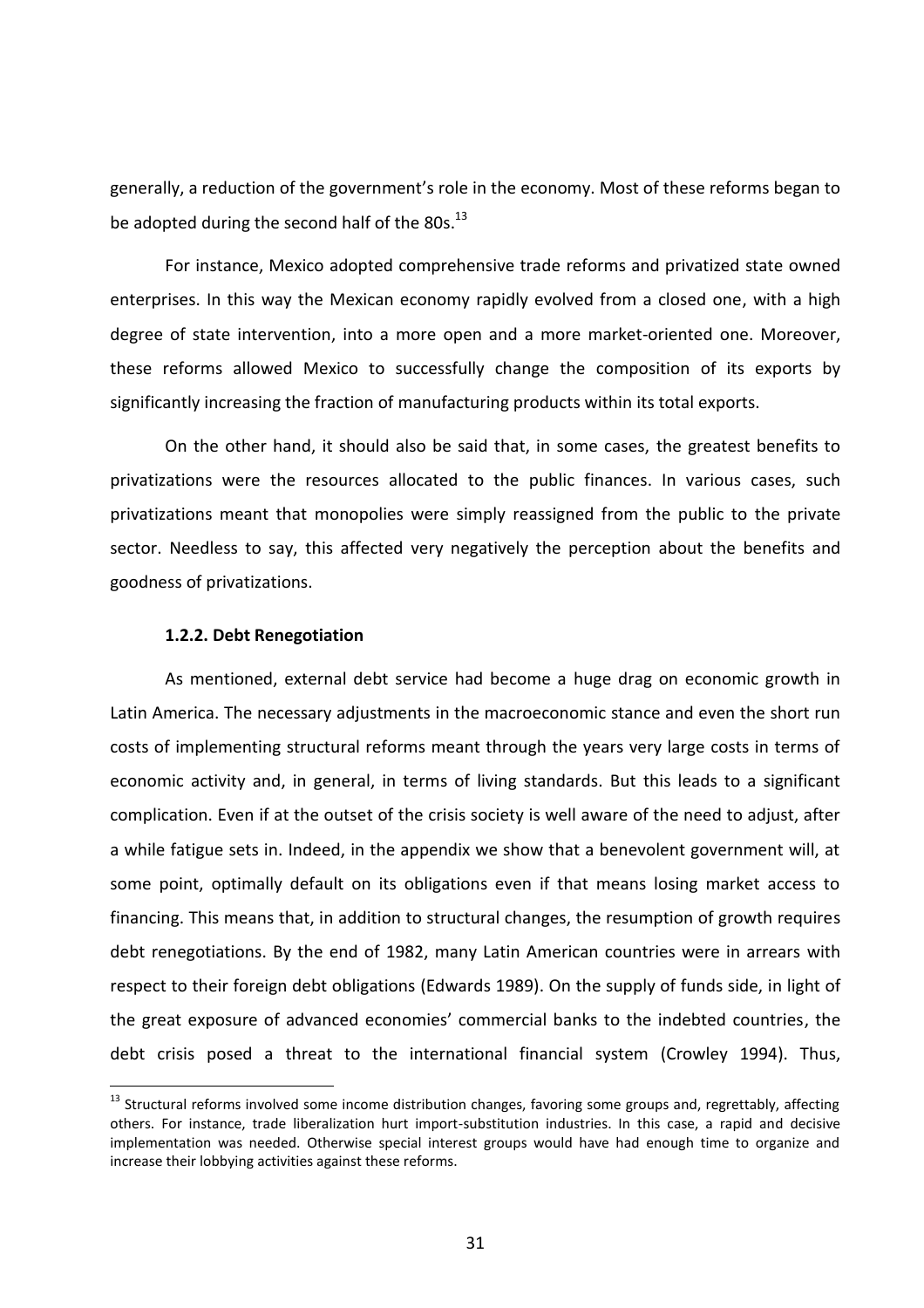generally, a reduction of the government's role in the economy. Most of these reforms began to be adopted during the second half of the  $80s.<sup>13</sup>$ 

For instance, Mexico adopted comprehensive trade reforms and privatized state owned enterprises. In this way the Mexican economy rapidly evolved from a closed one, with a high degree of state intervention, into a more open and a more market-oriented one. Moreover, these reforms allowed Mexico to successfully change the composition of its exports by significantly increasing the fraction of manufacturing products within its total exports.

On the other hand, it should also be said that, in some cases, the greatest benefits to privatizations were the resources allocated to the public finances. In various cases, such privatizations meant that monopolies were simply reassigned from the public to the private sector. Needless to say, this affected very negatively the perception about the benefits and goodness of privatizations.

### **1.2.2. Debt Renegotiation**

 $\overline{a}$ 

As mentioned, external debt service had become a huge drag on economic growth in Latin America. The necessary adjustments in the macroeconomic stance and even the short run costs of implementing structural reforms meant through the years very large costs in terms of economic activity and, in general, in terms of living standards. But this leads to a significant complication. Even if at the outset of the crisis society is well aware of the need to adjust, after a while fatigue sets in. Indeed, in the appendix we show that a benevolent government will, at some point, optimally default on its obligations even if that means losing market access to financing. This means that, in addition to structural changes, the resumption of growth requires debt renegotiations. By the end of 1982, many Latin American countries were in arrears with respect to their foreign debt obligations (Edwards 1989). On the supply of funds side, in light of the great exposure of advanced economies' commercial banks to the indebted countries, the debt crisis posed a threat to the international financial system (Crowley 1994). Thus,

<sup>&</sup>lt;sup>13</sup> Structural reforms involved some income distribution changes, favoring some groups and, regrettably, affecting others. For instance, trade liberalization hurt import-substitution industries. In this case, a rapid and decisive implementation was needed. Otherwise special interest groups would have had enough time to organize and increase their lobbying activities against these reforms.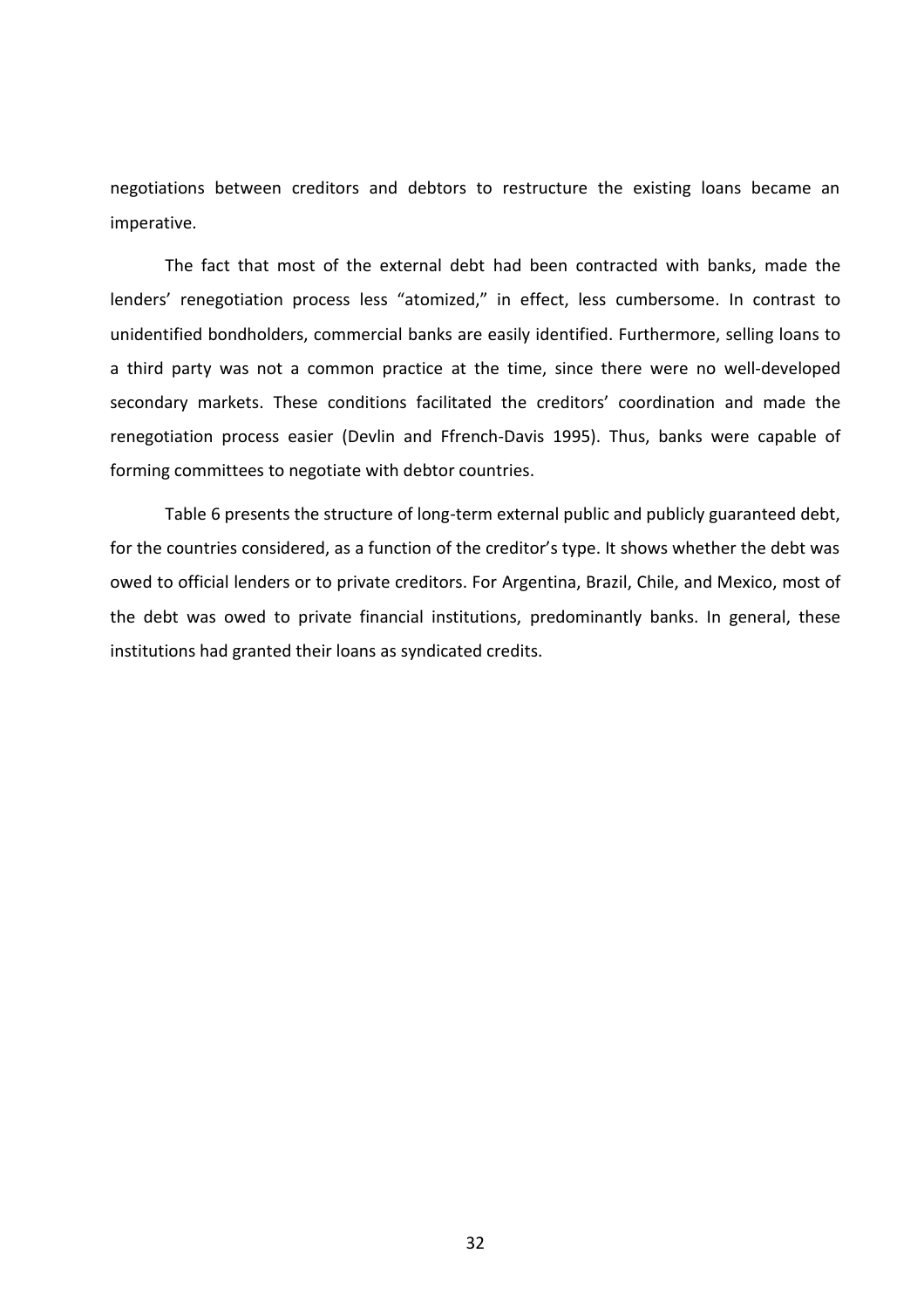negotiations between creditors and debtors to restructure the existing loans became an imperative.

The fact that most of the external debt had been contracted with banks, made the lenders' renegotiation process less "atomized," in effect, less cumbersome. In contrast to unidentified bondholders, commercial banks are easily identified. Furthermore, selling loans to a third party was not a common practice at the time, since there were no well-developed secondary markets. These conditions facilitated the creditors' coordination and made the renegotiation process easier (Devlin and Ffrench-Davis 1995). Thus, banks were capable of forming committees to negotiate with debtor countries.

Table 6 presents the structure of long-term external public and publicly guaranteed debt, for the countries considered, as a function of the creditor's type. It shows whether the debt was owed to official lenders or to private creditors. For Argentina, Brazil, Chile, and Mexico, most of the debt was owed to private financial institutions, predominantly banks. In general, these institutions had granted their loans as syndicated credits.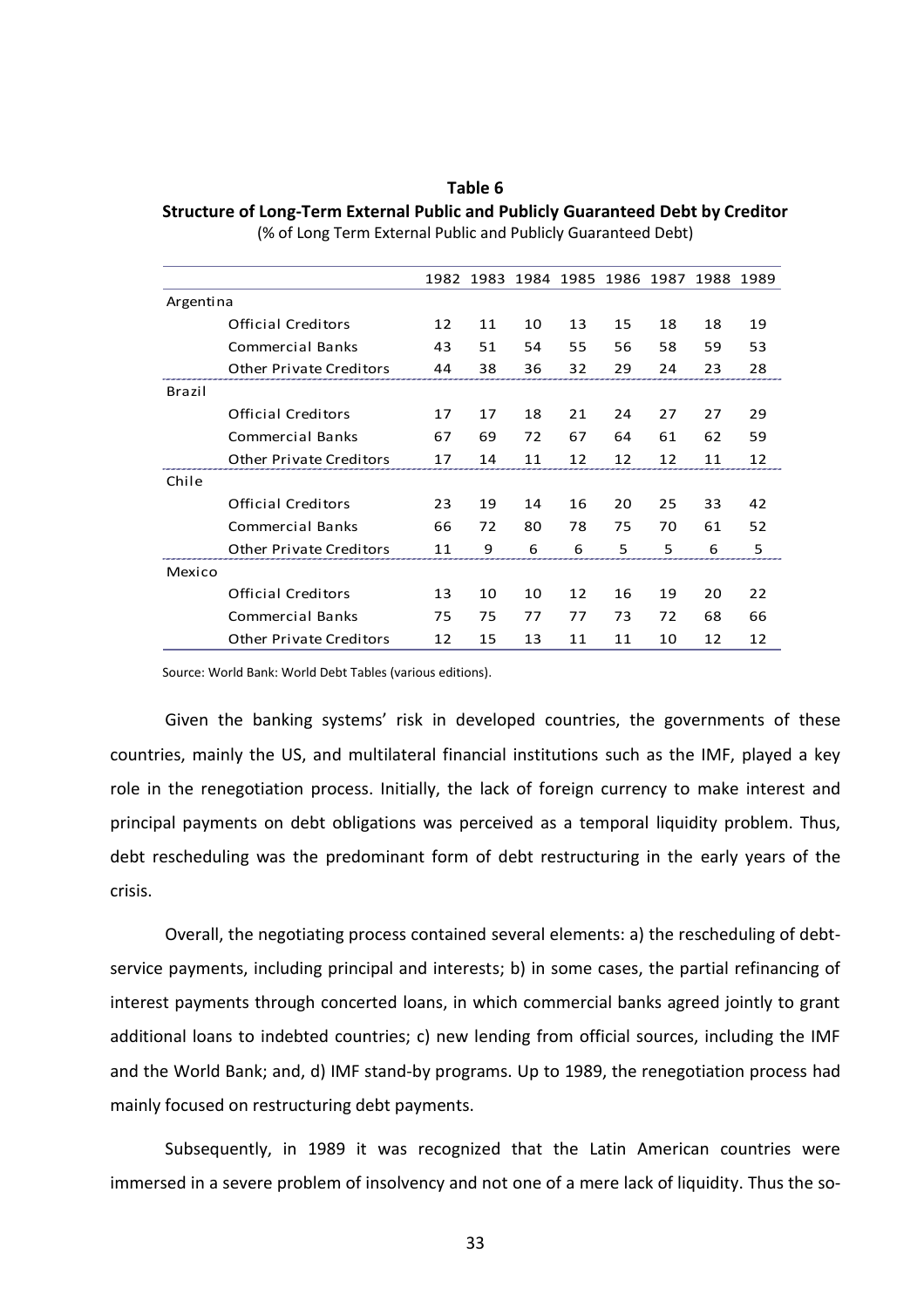**Table 6 Structure of Long-Term External Public and Publicly Guaranteed Debt by Creditor**  (% of Long Term External Public and Publicly Guaranteed Debt)

|           |                                |    |    | 1982 1983 1984 1985 1986 1987 1988 1989 |    |    |    |    |    |
|-----------|--------------------------------|----|----|-----------------------------------------|----|----|----|----|----|
| Argentina |                                |    |    |                                         |    |    |    |    |    |
|           | Official Creditors             | 12 | 11 | 10                                      | 13 | 15 | 18 | 18 | 19 |
|           | Commercial Banks               | 43 | 51 | 54                                      | 55 | 56 | 58 | 59 | 53 |
|           | <b>Other Private Creditors</b> | 44 | 38 | 36                                      | 32 | 29 | 24 | 23 | 28 |
| Brazil    |                                |    |    |                                         |    |    |    |    |    |
|           | <b>Official Creditors</b>      | 17 | 17 | 18                                      | 21 | 24 | 27 | 27 | 29 |
|           | Commercial Banks               | 67 | 69 | 72                                      | 67 | 64 | 61 | 62 | 59 |
|           | <b>Other Private Creditors</b> | 17 | 14 | 11                                      | 12 | 12 | 12 | 11 | 12 |
| Chile     |                                |    |    |                                         |    |    |    |    |    |
|           | <b>Official Creditors</b>      | 23 | 19 | 14                                      | 16 | 20 | 25 | 33 | 42 |
|           | Commercial Banks               | 66 | 72 | 80                                      | 78 | 75 | 70 | 61 | 52 |
|           | <b>Other Private Creditors</b> | 11 | 9  | 6                                       | 6  | 5  | 5  | 6  | 5  |
| Mexico    |                                |    |    |                                         |    |    |    |    |    |
|           | <b>Official Creditors</b>      | 13 | 10 | 10                                      | 12 | 16 | 19 | 20 | 22 |
|           | <b>Commercial Banks</b>        | 75 | 75 | 77                                      | 77 | 73 | 72 | 68 | 66 |
|           | <b>Other Private Creditors</b> | 12 | 15 | 13                                      | 11 | 11 | 10 | 12 | 12 |
|           |                                |    |    |                                         |    |    |    |    |    |

Source: World Bank: World Debt Tables (various editions).

Given the banking systems' risk in developed countries, the governments of these countries, mainly the US, and multilateral financial institutions such as the IMF, played a key role in the renegotiation process. Initially, the lack of foreign currency to make interest and principal payments on debt obligations was perceived as a temporal liquidity problem. Thus, debt rescheduling was the predominant form of debt restructuring in the early years of the crisis.

Overall, the negotiating process contained several elements: a) the rescheduling of debtservice payments, including principal and interests; b) in some cases, the partial refinancing of interest payments through concerted loans, in which commercial banks agreed jointly to grant additional loans to indebted countries; c) new lending from official sources, including the IMF and the World Bank; and, d) IMF stand-by programs. Up to 1989, the renegotiation process had mainly focused on restructuring debt payments.

Subsequently, in 1989 it was recognized that the Latin American countries were immersed in a severe problem of insolvency and not one of a mere lack of liquidity. Thus the so-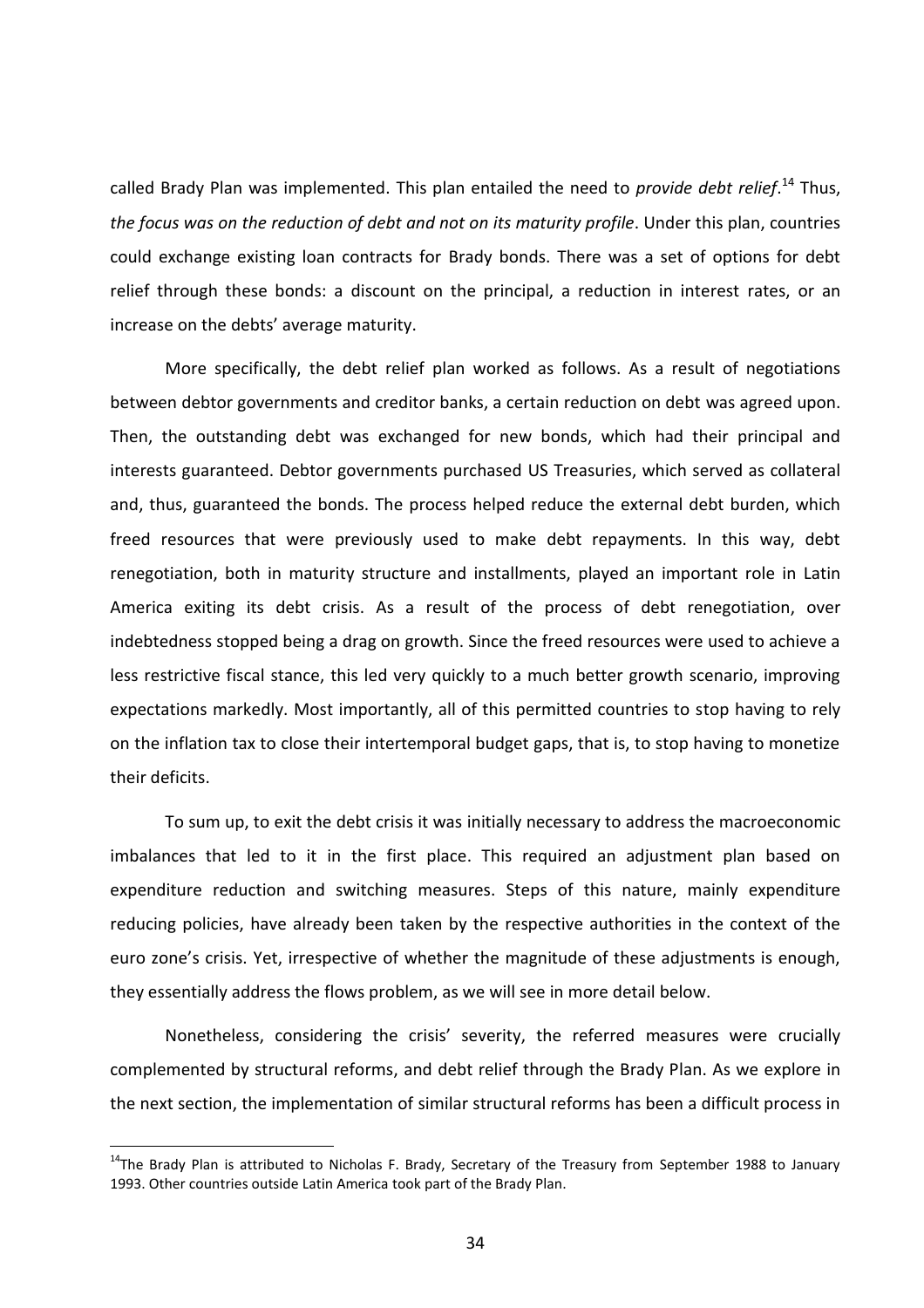called Brady Plan was implemented. This plan entailed the need to *provide debt relief*. <sup>14</sup> Thus, *the focus was on the reduction of debt and not on its maturity profile*. Under this plan, countries could exchange existing loan contracts for Brady bonds. There was a set of options for debt relief through these bonds: a discount on the principal, a reduction in interest rates, or an increase on the debts' average maturity.

More specifically, the debt relief plan worked as follows. As a result of negotiations between debtor governments and creditor banks, a certain reduction on debt was agreed upon. Then, the outstanding debt was exchanged for new bonds, which had their principal and interests guaranteed. Debtor governments purchased US Treasuries, which served as collateral and, thus, guaranteed the bonds. The process helped reduce the external debt burden, which freed resources that were previously used to make debt repayments. In this way, debt renegotiation, both in maturity structure and installments, played an important role in Latin America exiting its debt crisis. As a result of the process of debt renegotiation, over indebtedness stopped being a drag on growth. Since the freed resources were used to achieve a less restrictive fiscal stance, this led very quickly to a much better growth scenario, improving expectations markedly. Most importantly, all of this permitted countries to stop having to rely on the inflation tax to close their intertemporal budget gaps, that is, to stop having to monetize their deficits.

To sum up, to exit the debt crisis it was initially necessary to address the macroeconomic imbalances that led to it in the first place. This required an adjustment plan based on expenditure reduction and switching measures. Steps of this nature, mainly expenditure reducing policies, have already been taken by the respective authorities in the context of the euro zone's crisis. Yet, irrespective of whether the magnitude of these adjustments is enough, they essentially address the flows problem, as we will see in more detail below.

Nonetheless, considering the crisis' severity, the referred measures were crucially complemented by structural reforms, and debt relief through the Brady Plan. As we explore in the next section, the implementation of similar structural reforms has been a difficult process in

 $\overline{a}$ 

<sup>&</sup>lt;sup>14</sup>The Brady Plan is attributed to Nicholas F. Brady, Secretary of the Treasury from September 1988 to January 1993. Other countries outside Latin America took part of the Brady Plan.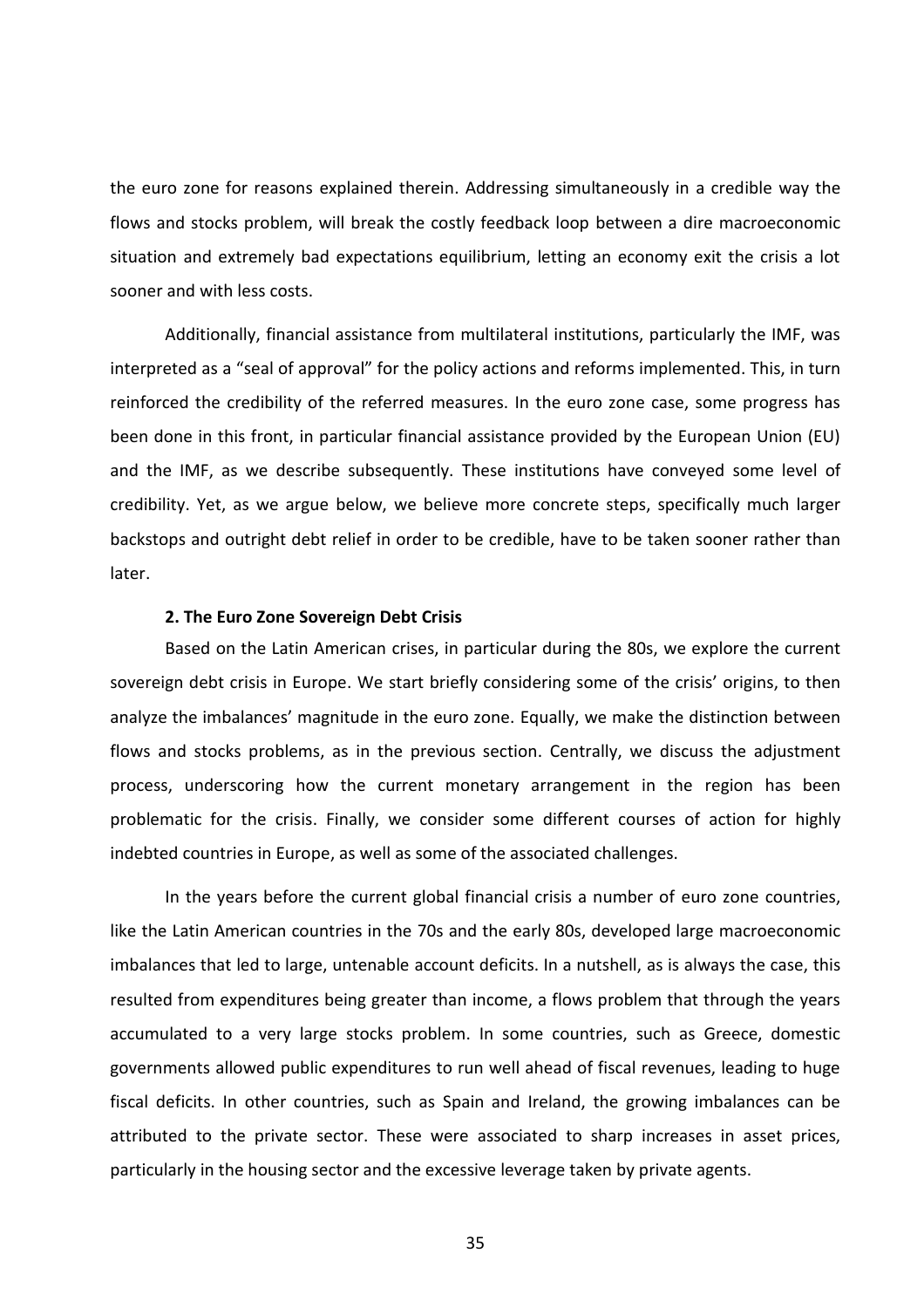the euro zone for reasons explained therein. Addressing simultaneously in a credible way the flows and stocks problem, will break the costly feedback loop between a dire macroeconomic situation and extremely bad expectations equilibrium, letting an economy exit the crisis a lot sooner and with less costs.

Additionally, financial assistance from multilateral institutions, particularly the IMF, was interpreted as a "seal of approval" for the policy actions and reforms implemented. This, in turn reinforced the credibility of the referred measures. In the euro zone case, some progress has been done in this front, in particular financial assistance provided by the European Union (EU) and the IMF, as we describe subsequently. These institutions have conveyed some level of credibility. Yet, as we argue below, we believe more concrete steps, specifically much larger backstops and outright debt relief in order to be credible, have to be taken sooner rather than later.

## **2. The Euro Zone Sovereign Debt Crisis**

Based on the Latin American crises, in particular during the 80s, we explore the current sovereign debt crisis in Europe. We start briefly considering some of the crisis' origins, to then analyze the imbalances' magnitude in the euro zone. Equally, we make the distinction between flows and stocks problems, as in the previous section. Centrally, we discuss the adjustment process, underscoring how the current monetary arrangement in the region has been problematic for the crisis. Finally, we consider some different courses of action for highly indebted countries in Europe, as well as some of the associated challenges.

In the years before the current global financial crisis a number of euro zone countries, like the Latin American countries in the 70s and the early 80s, developed large macroeconomic imbalances that led to large, untenable account deficits. In a nutshell, as is always the case, this resulted from expenditures being greater than income, a flows problem that through the years accumulated to a very large stocks problem. In some countries, such as Greece, domestic governments allowed public expenditures to run well ahead of fiscal revenues, leading to huge fiscal deficits. In other countries, such as Spain and Ireland, the growing imbalances can be attributed to the private sector. These were associated to sharp increases in asset prices, particularly in the housing sector and the excessive leverage taken by private agents.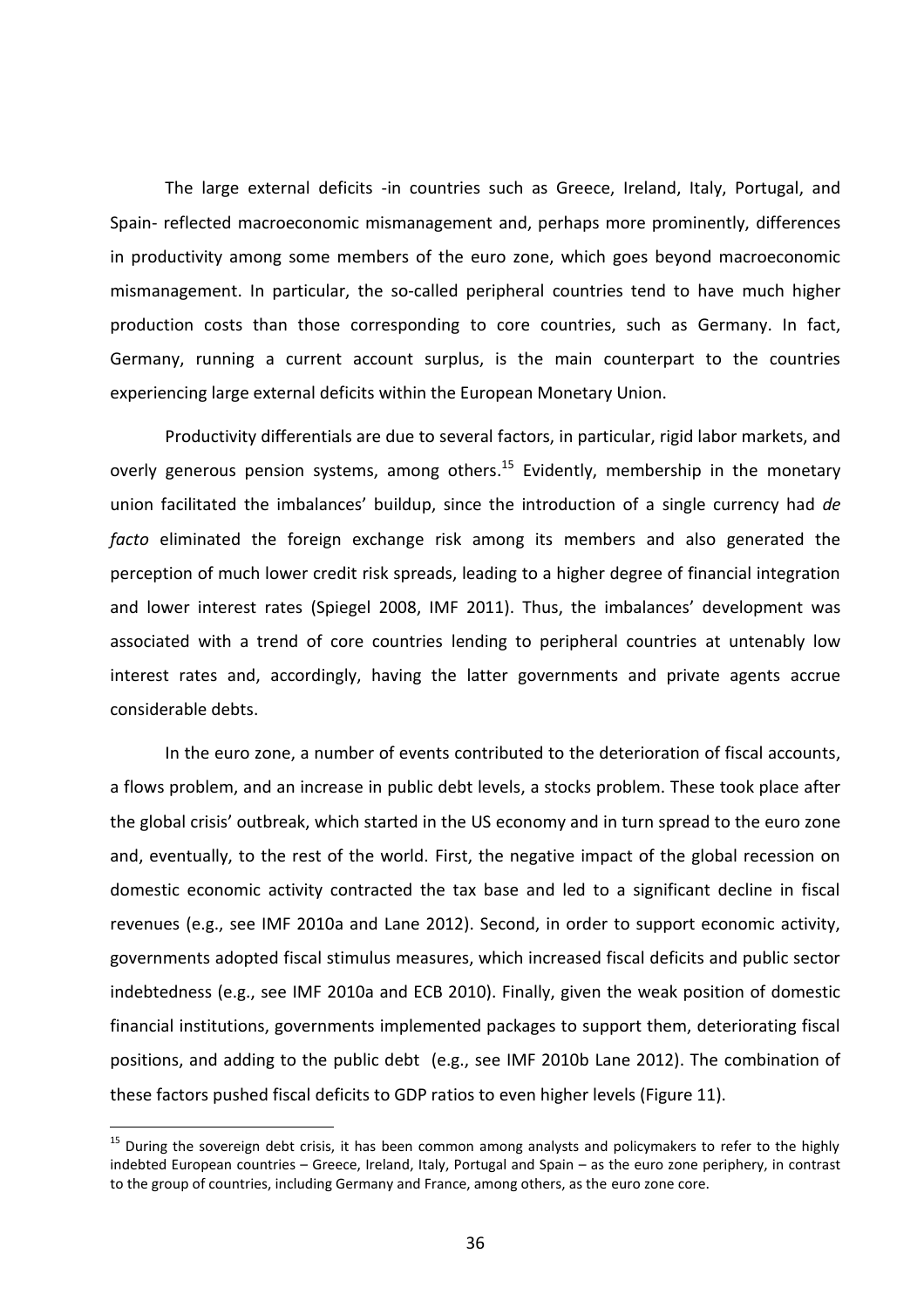The large external deficits -in countries such as Greece, Ireland, Italy, Portugal, and Spain- reflected macroeconomic mismanagement and, perhaps more prominently, differences in productivity among some members of the euro zone, which goes beyond macroeconomic mismanagement. In particular, the so-called peripheral countries tend to have much higher production costs than those corresponding to core countries, such as Germany. In fact, Germany, running a current account surplus, is the main counterpart to the countries experiencing large external deficits within the European Monetary Union.

Productivity differentials are due to several factors, in particular, rigid labor markets, and overly generous pension systems, among others.<sup>15</sup> Evidently, membership in the monetary union facilitated the imbalances' buildup, since the introduction of a single currency had *de facto* eliminated the foreign exchange risk among its members and also generated the perception of much lower credit risk spreads, leading to a higher degree of financial integration and lower interest rates (Spiegel 2008, IMF 2011). Thus, the imbalances' development was associated with a trend of core countries lending to peripheral countries at untenably low interest rates and, accordingly, having the latter governments and private agents accrue considerable debts.

In the euro zone, a number of events contributed to the deterioration of fiscal accounts, a flows problem, and an increase in public debt levels, a stocks problem. These took place after the global crisis' outbreak, which started in the US economy and in turn spread to the euro zone and, eventually, to the rest of the world. First, the negative impact of the global recession on domestic economic activity contracted the tax base and led to a significant decline in fiscal revenues (e.g., see IMF 2010a and Lane 2012). Second, in order to support economic activity, governments adopted fiscal stimulus measures, which increased fiscal deficits and public sector indebtedness (e.g., see IMF 2010a and ECB 2010). Finally, given the weak position of domestic financial institutions, governments implemented packages to support them, deteriorating fiscal positions, and adding to the public debt (e.g., see IMF 2010b Lane 2012). The combination of these factors pushed fiscal deficits to GDP ratios to even higher levels (Figure 11).

 $\overline{a}$ 

<sup>&</sup>lt;sup>15</sup> During the sovereign debt crisis, it has been common among analysts and policymakers to refer to the highly indebted European countries – Greece, Ireland, Italy, Portugal and Spain – as the euro zone periphery, in contrast to the group of countries, including Germany and France, among others, as the euro zone core.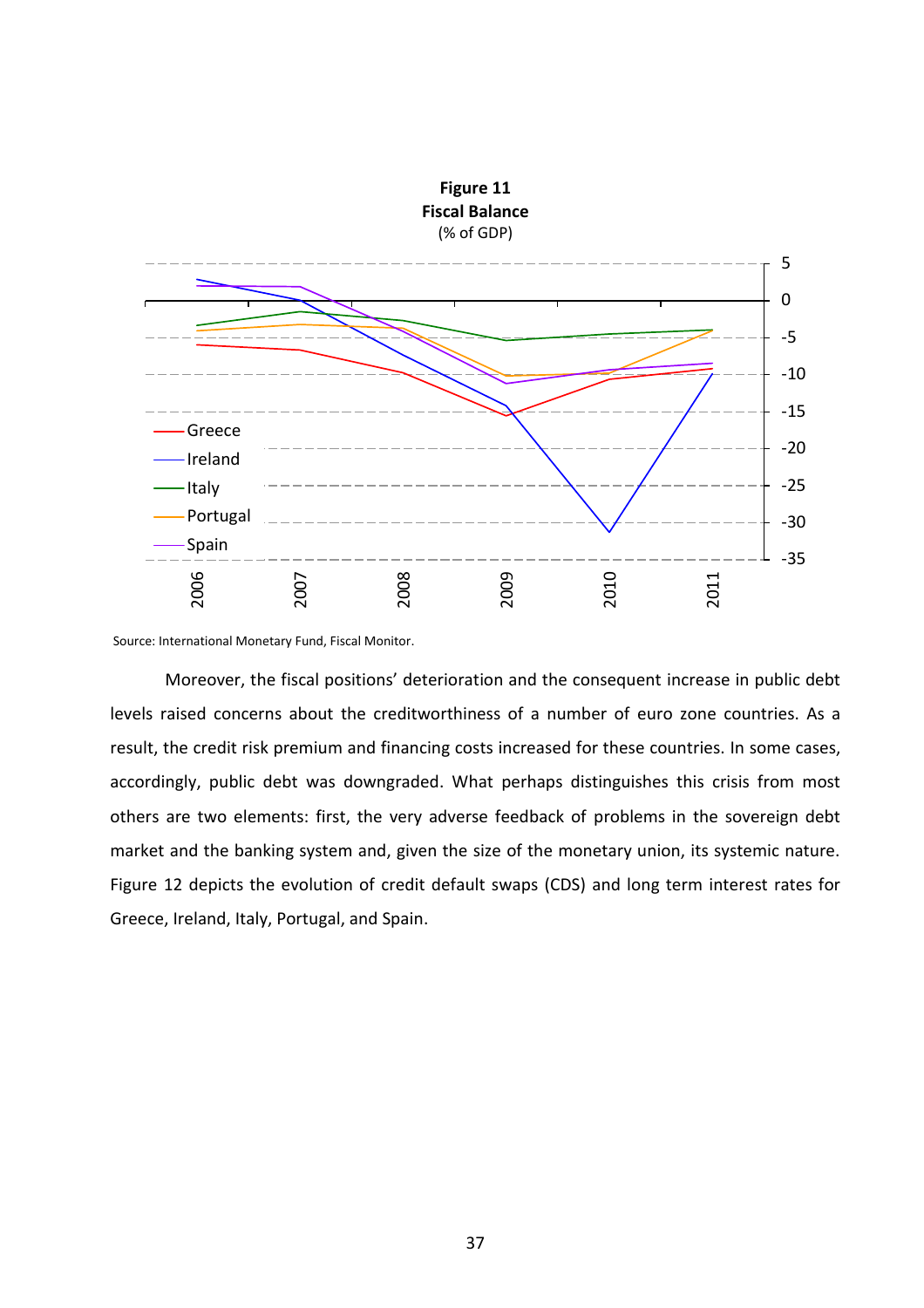

Source: International Monetary Fund, Fiscal Monitor.

Moreover, the fiscal positions' deterioration and the consequent increase in public debt levels raised concerns about the creditworthiness of a number of euro zone countries. As a result, the credit risk premium and financing costs increased for these countries. In some cases, accordingly, public debt was downgraded. What perhaps distinguishes this crisis from most others are two elements: first, the very adverse feedback of problems in the sovereign debt market and the banking system and, given the size of the monetary union, its systemic nature. Figure 12 depicts the evolution of credit default swaps (CDS) and long term interest rates for Greece, Ireland, Italy, Portugal, and Spain.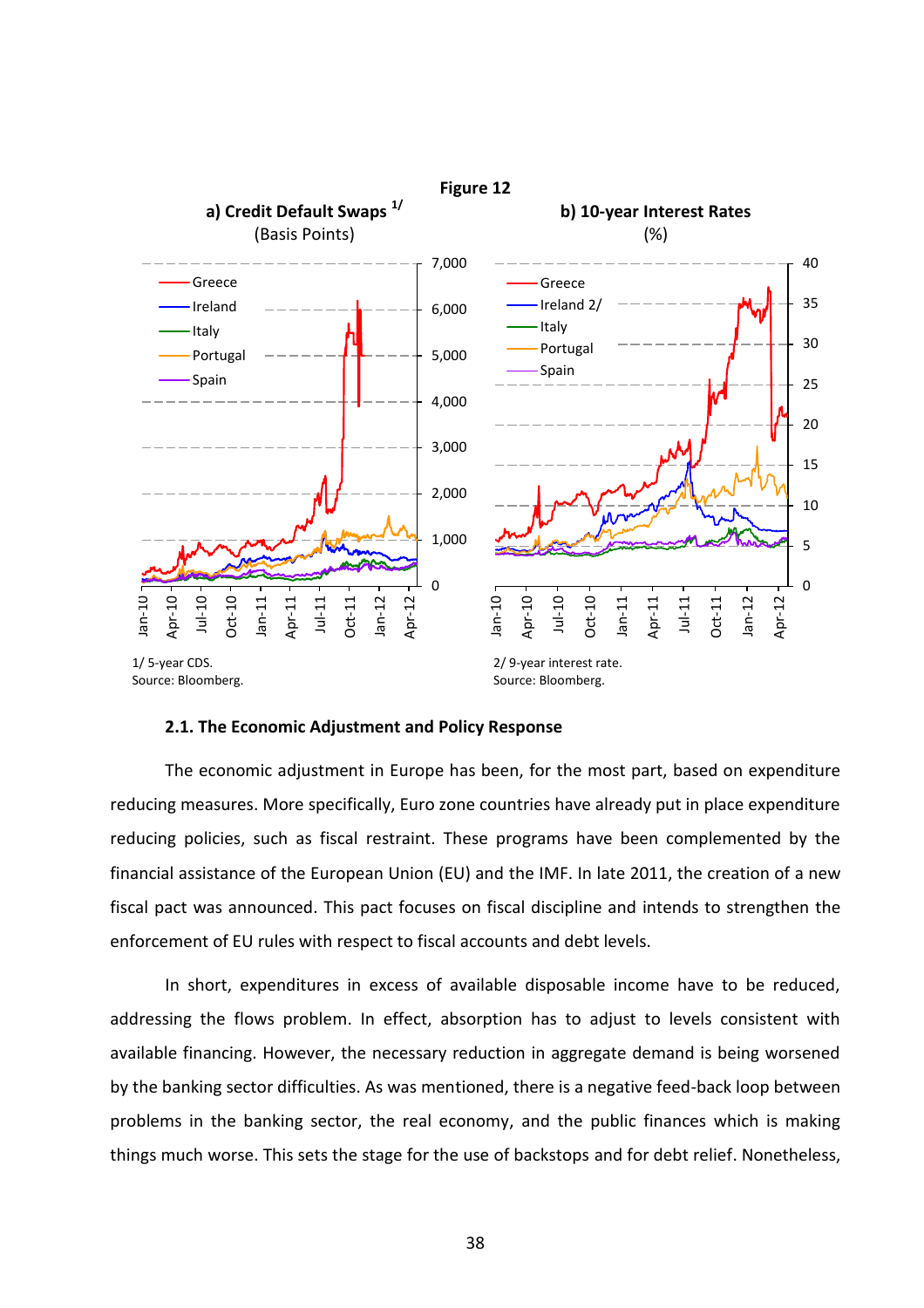

#### **2.1. The Economic Adjustment and Policy Response**

The economic adjustment in Europe has been, for the most part, based on expenditure reducing measures. More specifically, Euro zone countries have already put in place expenditure reducing policies, such as fiscal restraint. These programs have been complemented by the financial assistance of the European Union (EU) and the IMF. In late 2011, the creation of a new fiscal pact was announced. This pact focuses on fiscal discipline and intends to strengthen the enforcement of EU rules with respect to fiscal accounts and debt levels.

In short, expenditures in excess of available disposable income have to be reduced, addressing the flows problem. In effect, absorption has to adjust to levels consistent with available financing. However, the necessary reduction in aggregate demand is being worsened by the banking sector difficulties. As was mentioned, there is a negative feed-back loop between problems in the banking sector, the real economy, and the public finances which is making things much worse. This sets the stage for the use of backstops and for debt relief. Nonetheless,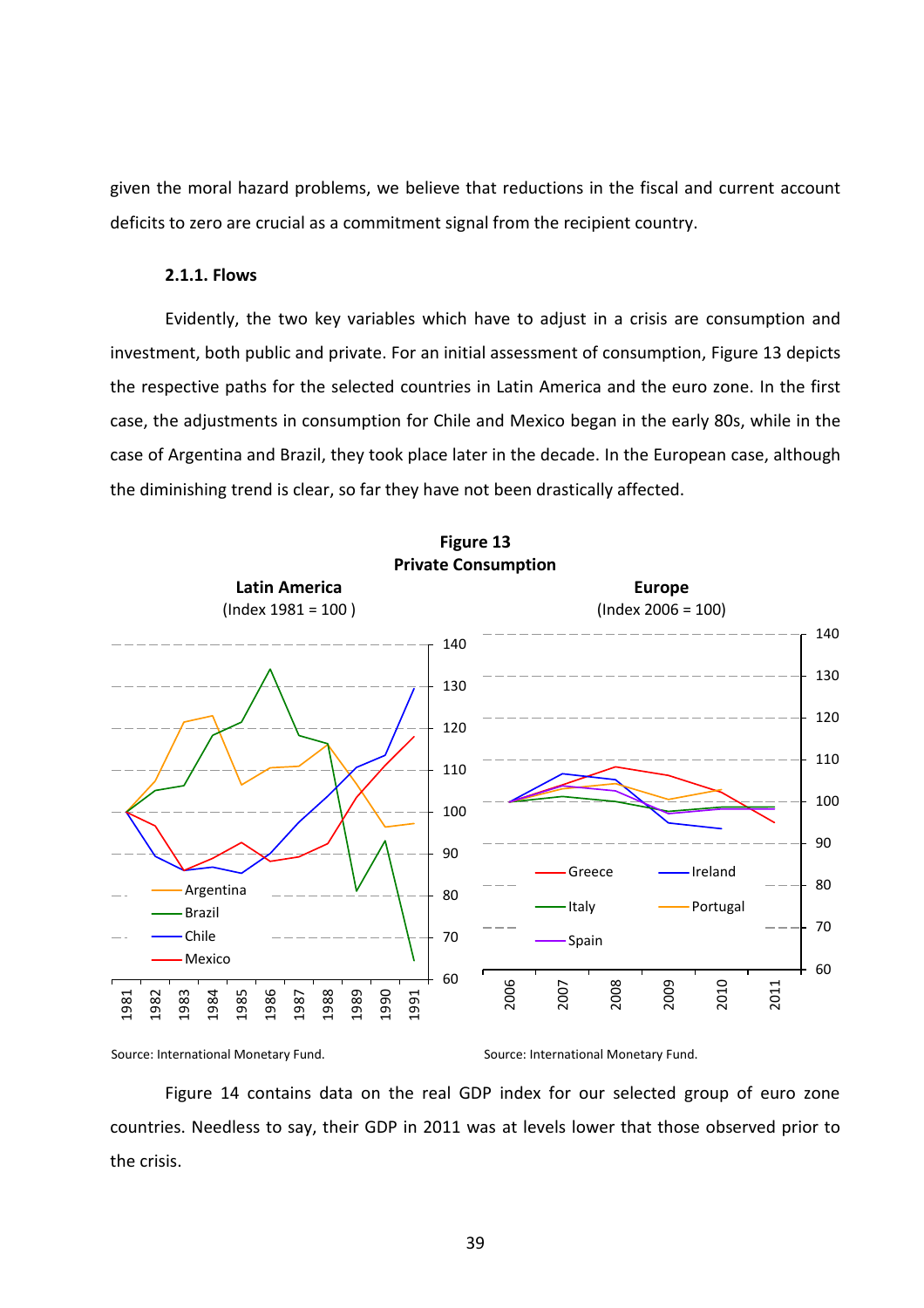given the moral hazard problems, we believe that reductions in the fiscal and current account deficits to zero are crucial as a commitment signal from the recipient country.

# **2.1.1. Flows**

Evidently, the two key variables which have to adjust in a crisis are consumption and investment, both public and private. For an initial assessment of consumption, Figure 13 depicts the respective paths for the selected countries in Latin America and the euro zone. In the first case, the adjustments in consumption for Chile and Mexico began in the early 80s, while in the case of Argentina and Brazil, they took place later in the decade. In the European case, although the diminishing trend is clear, so far they have not been drastically affected.





Source: International Monetary Fund. Source: International Monetary Fund.

Figure 14 contains data on the real GDP index for our selected group of euro zone countries. Needless to say, their GDP in 2011 was at levels lower that those observed prior to the crisis.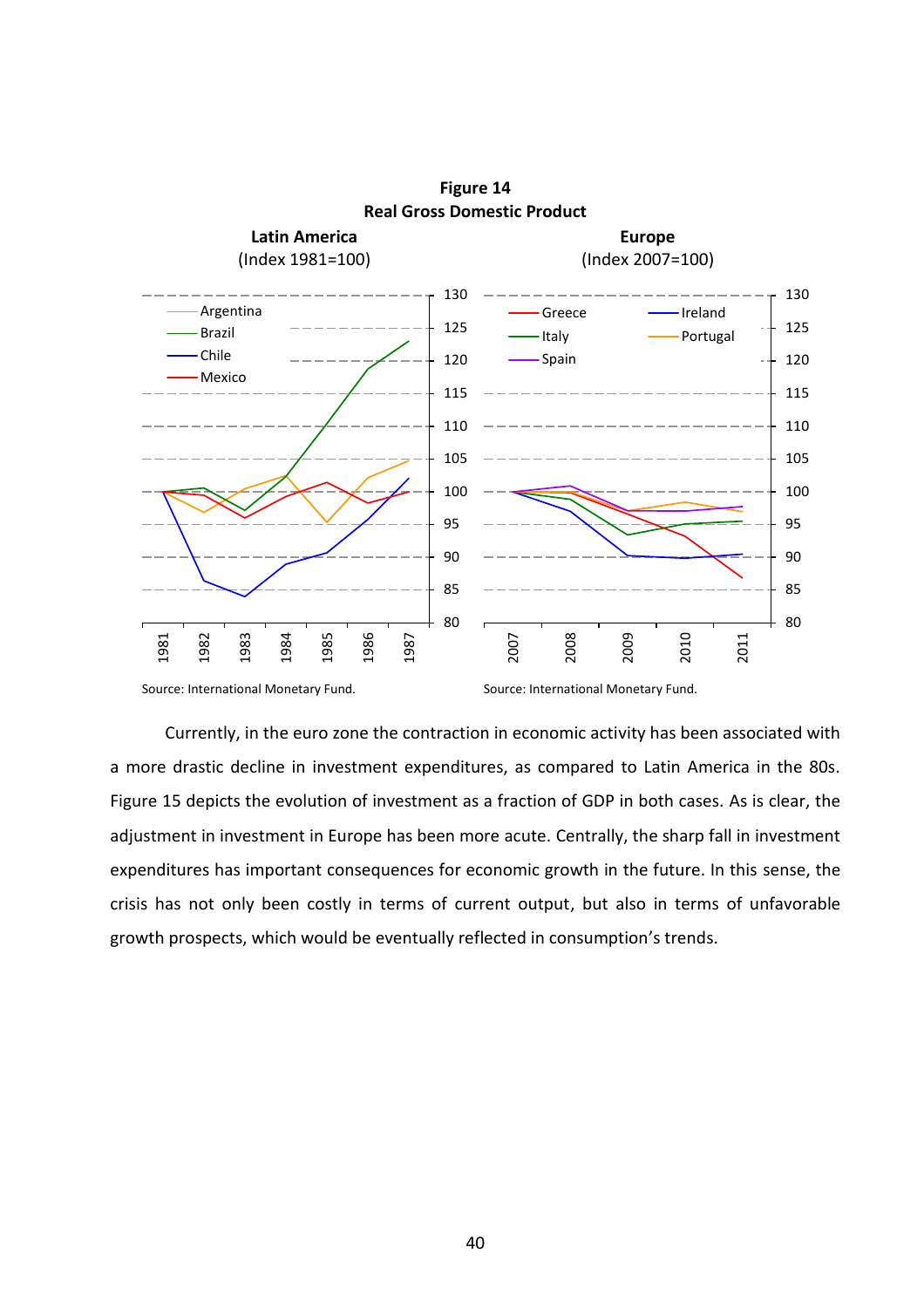

**Figure 14 Real Gross Domestic Product**

Source: International Monetary Fund. Source: International Monetary Fund.

Currently, in the euro zone the contraction in economic activity has been associated with a more drastic decline in investment expenditures, as compared to Latin America in the 80s. Figure 15 depicts the evolution of investment as a fraction of GDP in both cases. As is clear, the adjustment in investment in Europe has been more acute. Centrally, the sharp fall in investment expenditures has important consequences for economic growth in the future. In this sense, the crisis has not only been costly in terms of current output, but also in terms of unfavorable growth prospects, which would be eventually reflected in consumption's trends.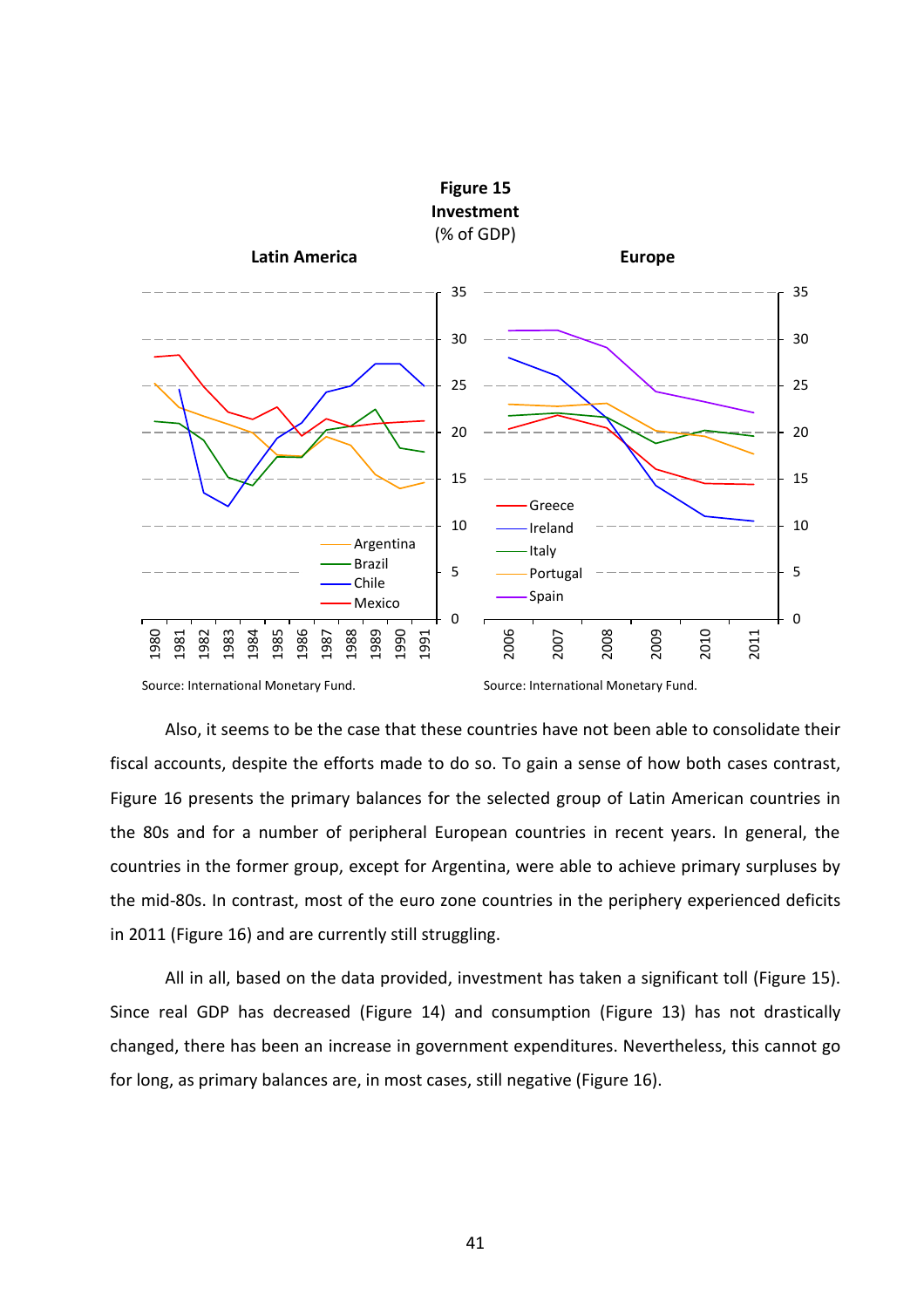

Source: International Monetary Fund. Source: International Monetary Fund.

Also, it seems to be the case that these countries have not been able to consolidate their fiscal accounts, despite the efforts made to do so. To gain a sense of how both cases contrast, Figure 16 presents the primary balances for the selected group of Latin American countries in the 80s and for a number of peripheral European countries in recent years. In general, the countries in the former group, except for Argentina, were able to achieve primary surpluses by the mid-80s. In contrast, most of the euro zone countries in the periphery experienced deficits in 2011 (Figure 16) and are currently still struggling.

All in all, based on the data provided, investment has taken a significant toll (Figure 15). Since real GDP has decreased (Figure 14) and consumption (Figure 13) has not drastically changed, there has been an increase in government expenditures. Nevertheless, this cannot go for long, as primary balances are, in most cases, still negative (Figure 16).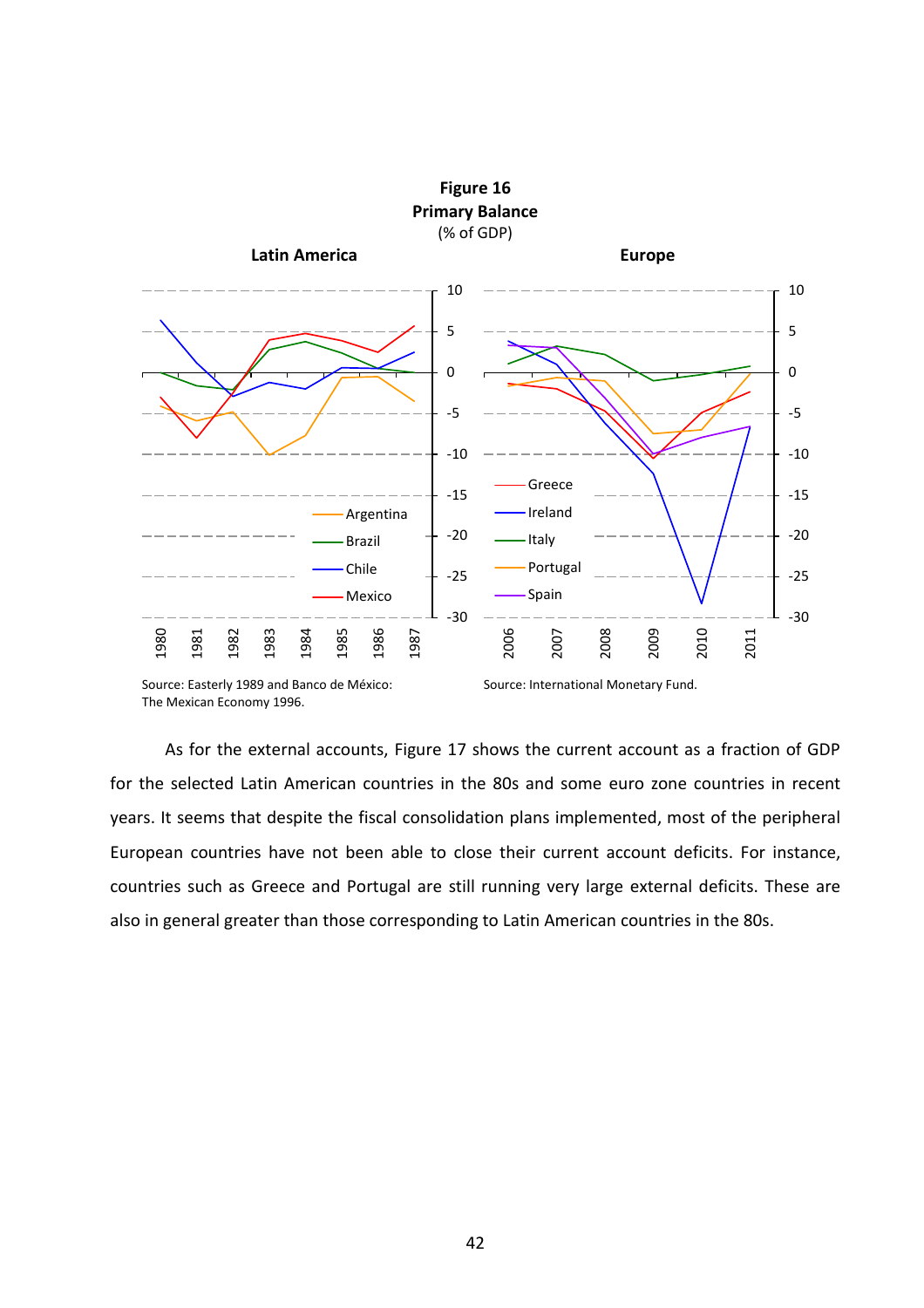

Source: Easterly 1989 and Banco de México: The Mexican Economy 1996.

Source: International Monetary Fund.

As for the external accounts, Figure 17 shows the current account as a fraction of GDP for the selected Latin American countries in the 80s and some euro zone countries in recent years. It seems that despite the fiscal consolidation plans implemented, most of the peripheral European countries have not been able to close their current account deficits. For instance, countries such as Greece and Portugal are still running very large external deficits. These are also in general greater than those corresponding to Latin American countries in the 80s.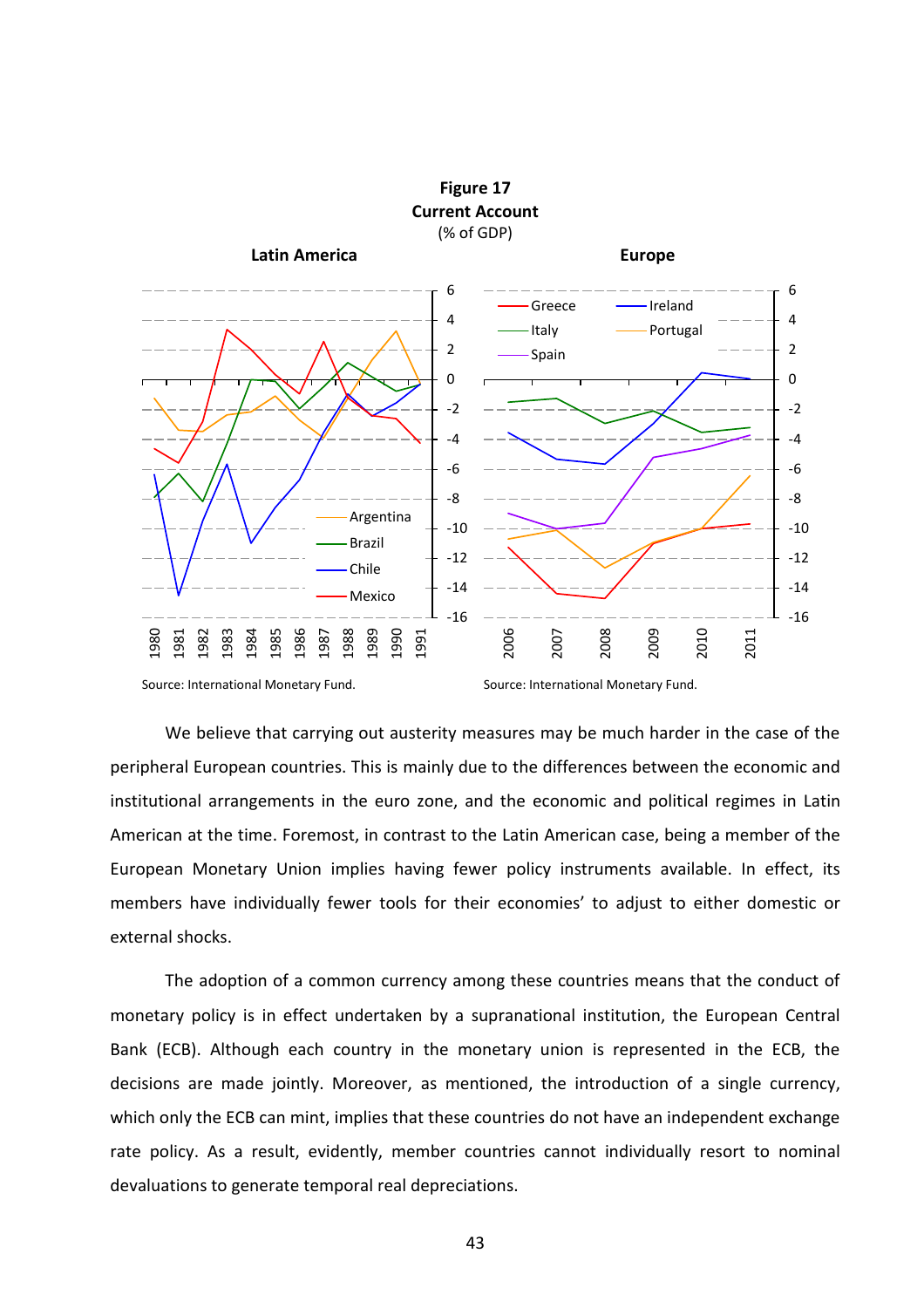

Source: International Monetary Fund. Source: International Monetary Fund.

We believe that carrying out austerity measures may be much harder in the case of the peripheral European countries. This is mainly due to the differences between the economic and institutional arrangements in the euro zone, and the economic and political regimes in Latin American at the time. Foremost, in contrast to the Latin American case, being a member of the European Monetary Union implies having fewer policy instruments available. In effect, its members have individually fewer tools for their economies' to adjust to either domestic or external shocks.

The adoption of a common currency among these countries means that the conduct of monetary policy is in effect undertaken by a supranational institution, the European Central Bank (ECB). Although each country in the monetary union is represented in the ECB, the decisions are made jointly. Moreover, as mentioned, the introduction of a single currency, which only the ECB can mint, implies that these countries do not have an independent exchange rate policy. As a result, evidently, member countries cannot individually resort to nominal devaluations to generate temporal real depreciations.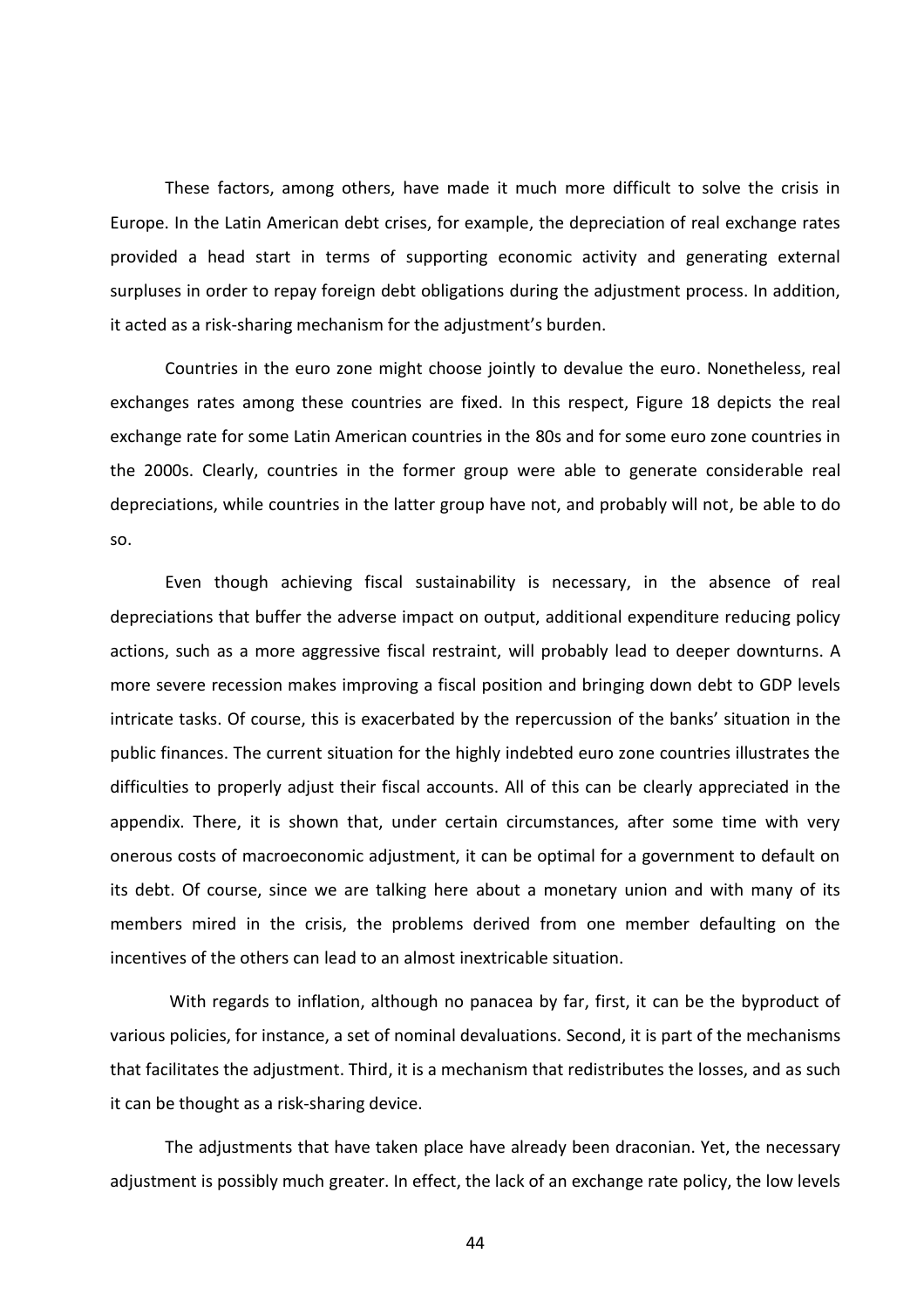These factors, among others, have made it much more difficult to solve the crisis in Europe. In the Latin American debt crises, for example, the depreciation of real exchange rates provided a head start in terms of supporting economic activity and generating external surpluses in order to repay foreign debt obligations during the adjustment process. In addition, it acted as a risk-sharing mechanism for the adjustment's burden.

Countries in the euro zone might choose jointly to devalue the euro. Nonetheless, real exchanges rates among these countries are fixed. In this respect, Figure 18 depicts the real exchange rate for some Latin American countries in the 80s and for some euro zone countries in the 2000s. Clearly, countries in the former group were able to generate considerable real depreciations, while countries in the latter group have not, and probably will not, be able to do so.

Even though achieving fiscal sustainability is necessary, in the absence of real depreciations that buffer the adverse impact on output, additional expenditure reducing policy actions, such as a more aggressive fiscal restraint, will probably lead to deeper downturns. A more severe recession makes improving a fiscal position and bringing down debt to GDP levels intricate tasks. Of course, this is exacerbated by the repercussion of the banks' situation in the public finances. The current situation for the highly indebted euro zone countries illustrates the difficulties to properly adjust their fiscal accounts. All of this can be clearly appreciated in the appendix. There, it is shown that, under certain circumstances, after some time with very onerous costs of macroeconomic adjustment, it can be optimal for a government to default on its debt. Of course, since we are talking here about a monetary union and with many of its members mired in the crisis, the problems derived from one member defaulting on the incentives of the others can lead to an almost inextricable situation.

With regards to inflation, although no panacea by far, first, it can be the byproduct of various policies, for instance, a set of nominal devaluations. Second, it is part of the mechanisms that facilitates the adjustment. Third, it is a mechanism that redistributes the losses, and as such it can be thought as a risk-sharing device.

The adjustments that have taken place have already been draconian. Yet, the necessary adjustment is possibly much greater. In effect, the lack of an exchange rate policy, the low levels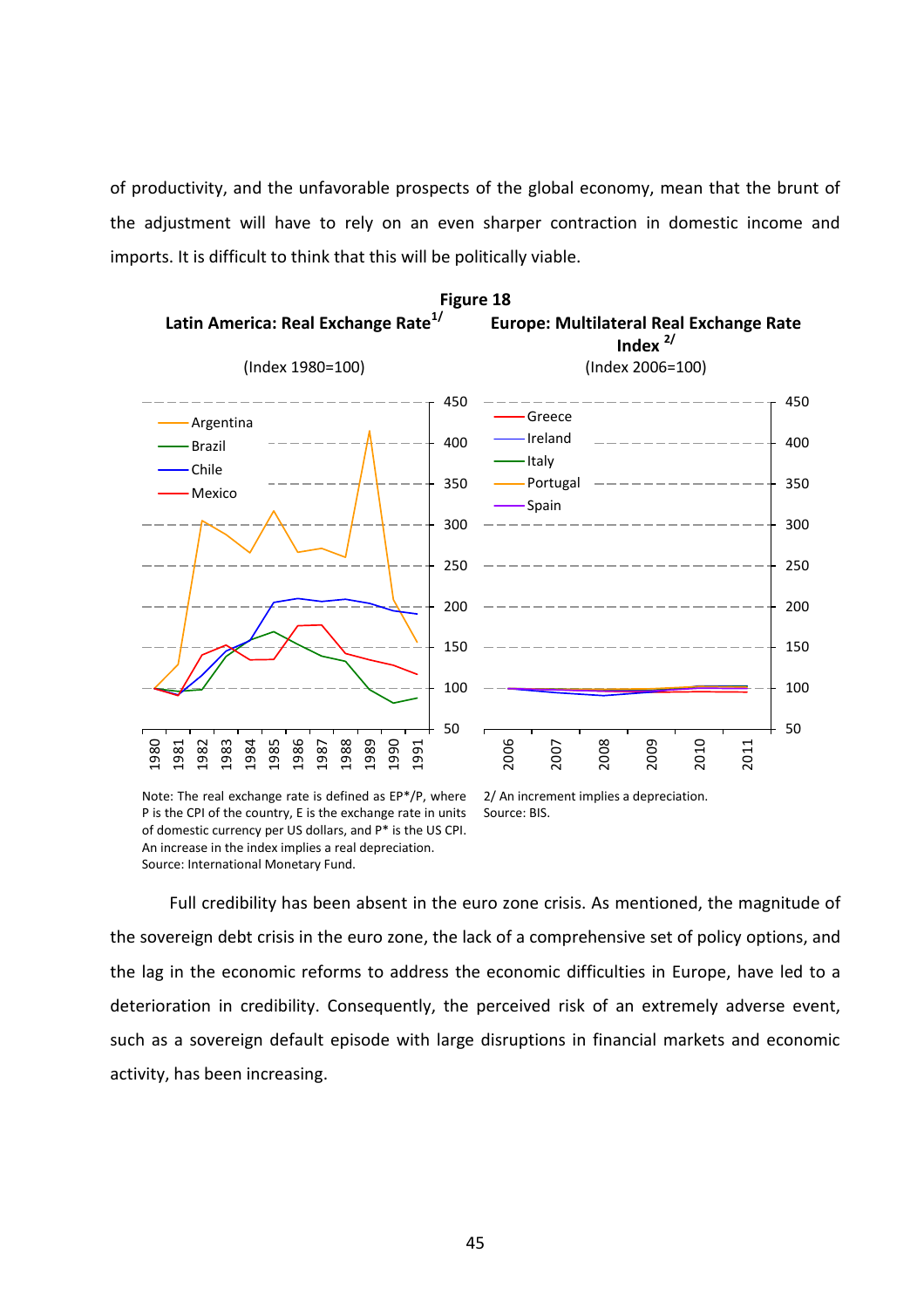of productivity, and the unfavorable prospects of the global economy, mean that the brunt of the adjustment will have to rely on an even sharper contraction in domestic income and imports. It is difficult to think that this will be politically viable.



Note: The real exchange rate is defined as EP\*/P, where P is the CPI of the country, E is the exchange rate in units of domestic currency per US dollars, and P\* is the US CPI. An increase in the index implies a real depreciation. Source: International Monetary Fund.

2/ An increment implies a depreciation. Source: BIS.

Full credibility has been absent in the euro zone crisis. As mentioned, the magnitude of the sovereign debt crisis in the euro zone, the lack of a comprehensive set of policy options, and the lag in the economic reforms to address the economic difficulties in Europe, have led to a deterioration in credibility. Consequently, the perceived risk of an extremely adverse event, such as a sovereign default episode with large disruptions in financial markets and economic activity, has been increasing.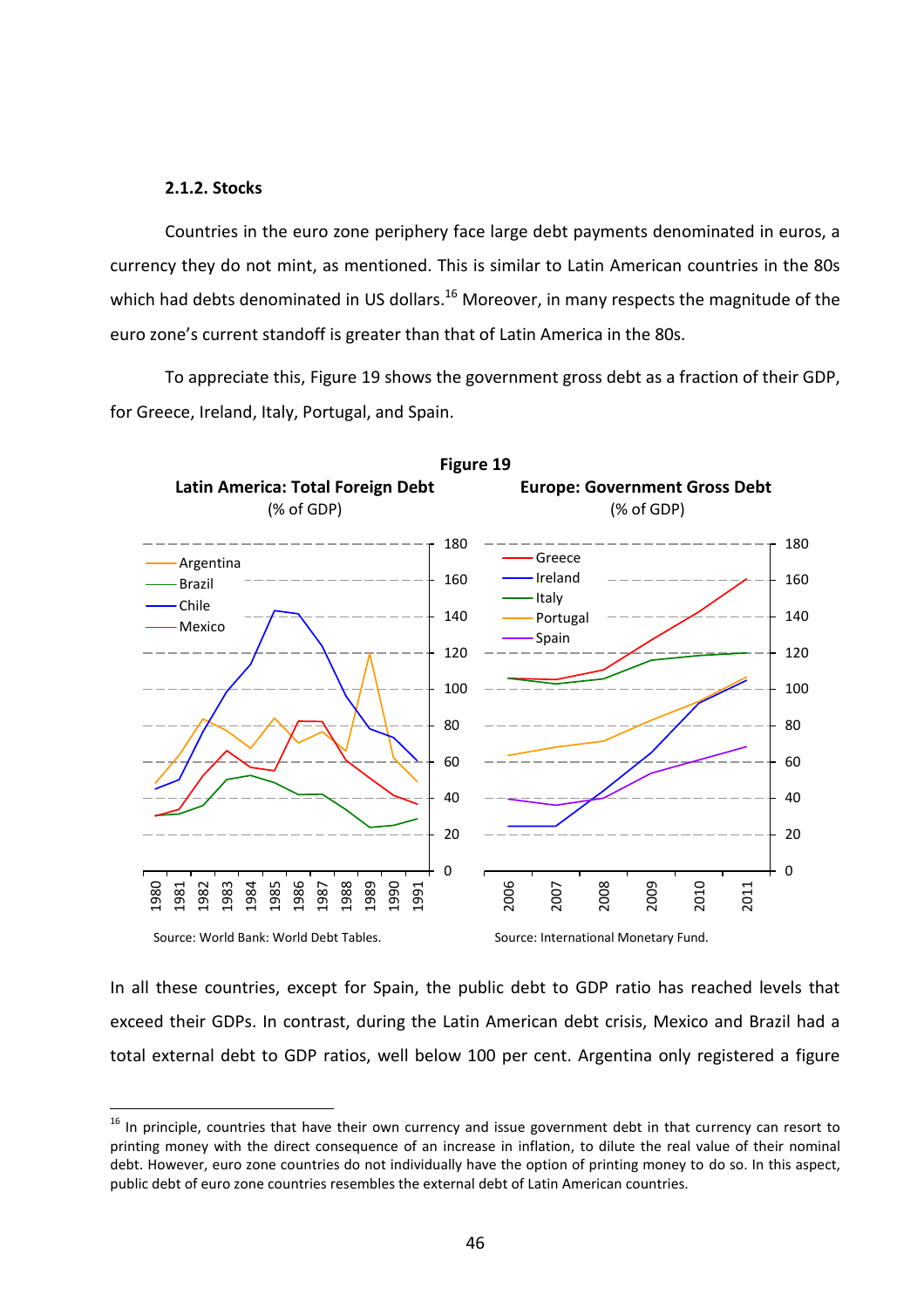## **2.1.2. Stocks**

 $\overline{a}$ 

Countries in the euro zone periphery face large debt payments denominated in euros, a currency they do not mint, as mentioned. This is similar to Latin American countries in the 80s which had debts denominated in US dollars.<sup>16</sup> Moreover, in many respects the magnitude of the euro zone's current standoff is greater than that of Latin America in the 80s.

To appreciate this, Figure 19 shows the government gross debt as a fraction of their GDP, for Greece, Ireland, Italy, Portugal, and Spain.



In all these countries, except for Spain, the public debt to GDP ratio has reached levels that exceed their GDPs. In contrast, during the Latin American debt crisis, Mexico and Brazil had a total external debt to GDP ratios, well below 100 per cent. Argentina only registered a figure

 $16$  In principle, countries that have their own currency and issue government debt in that currency can resort to printing money with the direct consequence of an increase in inflation, to dilute the real value of their nominal debt. However, euro zone countries do not individually have the option of printing money to do so. In this aspect, public debt of euro zone countries resembles the external debt of Latin American countries.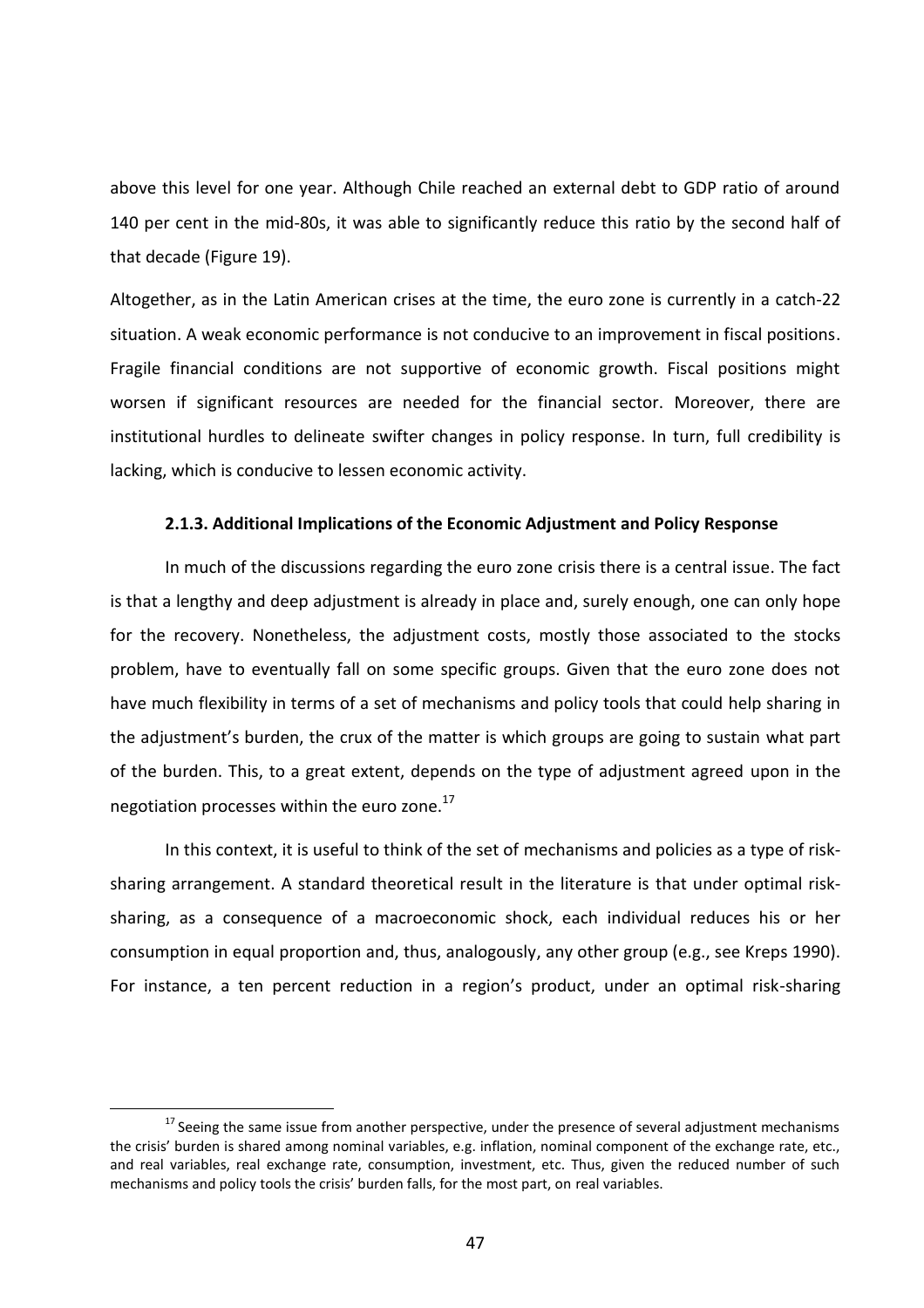above this level for one year. Although Chile reached an external debt to GDP ratio of around 140 per cent in the mid-80s, it was able to significantly reduce this ratio by the second half of that decade (Figure 19).

Altogether, as in the Latin American crises at the time, the euro zone is currently in a catch-22 situation. A weak economic performance is not conducive to an improvement in fiscal positions. Fragile financial conditions are not supportive of economic growth. Fiscal positions might worsen if significant resources are needed for the financial sector. Moreover, there are institutional hurdles to delineate swifter changes in policy response. In turn, full credibility is lacking, which is conducive to lessen economic activity.

# **2.1.3. Additional Implications of the Economic Adjustment and Policy Response**

In much of the discussions regarding the euro zone crisis there is a central issue. The fact is that a lengthy and deep adjustment is already in place and, surely enough, one can only hope for the recovery. Nonetheless, the adjustment costs, mostly those associated to the stocks problem, have to eventually fall on some specific groups. Given that the euro zone does not have much flexibility in terms of a set of mechanisms and policy tools that could help sharing in the adjustment's burden, the crux of the matter is which groups are going to sustain what part of the burden. This, to a great extent, depends on the type of adjustment agreed upon in the negotiation processes within the euro zone.<sup>17</sup>

In this context, it is useful to think of the set of mechanisms and policies as a type of risksharing arrangement. A standard theoretical result in the literature is that under optimal risksharing, as a consequence of a macroeconomic shock, each individual reduces his or her consumption in equal proportion and, thus, analogously, any other group (e.g., see Kreps 1990). For instance, a ten percent reduction in a region's product, under an optimal risk-sharing

 $\overline{a}$ 

 $17$  Seeing the same issue from another perspective, under the presence of several adjustment mechanisms the crisis' burden is shared among nominal variables, e.g. inflation, nominal component of the exchange rate, etc., and real variables, real exchange rate, consumption, investment, etc. Thus, given the reduced number of such mechanisms and policy tools the crisis' burden falls, for the most part, on real variables.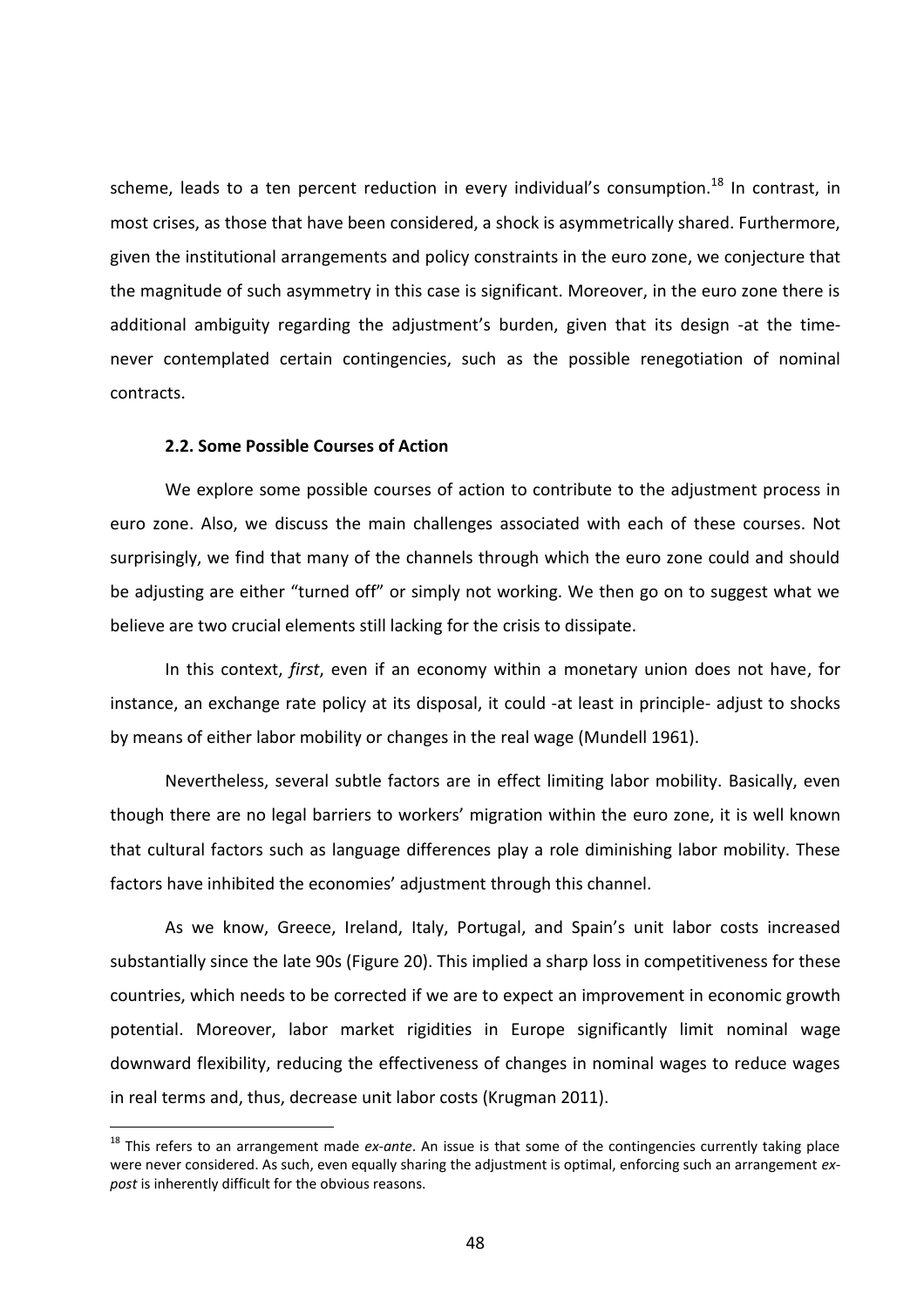scheme, leads to a ten percent reduction in every individual's consumption.<sup>18</sup> In contrast, in most crises, as those that have been considered, a shock is asymmetrically shared. Furthermore, given the institutional arrangements and policy constraints in the euro zone, we conjecture that the magnitude of such asymmetry in this case is significant. Moreover, in the euro zone there is additional ambiguity regarding the adjustment's burden, given that its design -at the timenever contemplated certain contingencies, such as the possible renegotiation of nominal contracts.

# **2.2. Some Possible Courses of Action**

 $\overline{a}$ 

We explore some possible courses of action to contribute to the adjustment process in euro zone. Also, we discuss the main challenges associated with each of these courses. Not surprisingly, we find that many of the channels through which the euro zone could and should be adjusting are either "turned off" or simply not working. We then go on to suggest what we believe are two crucial elements still lacking for the crisis to dissipate.

In this context, *first*, even if an economy within a monetary union does not have, for instance, an exchange rate policy at its disposal, it could -at least in principle- adjust to shocks by means of either labor mobility or changes in the real wage (Mundell 1961).

Nevertheless, several subtle factors are in effect limiting labor mobility. Basically, even though there are no legal barriers to workers' migration within the euro zone, it is well known that cultural factors such as language differences play a role diminishing labor mobility. These factors have inhibited the economies' adjustment through this channel.

As we know, Greece, Ireland, Italy, Portugal, and Spain's unit labor costs increased substantially since the late 90s (Figure 20). This implied a sharp loss in competitiveness for these countries, which needs to be corrected if we are to expect an improvement in economic growth potential. Moreover, labor market rigidities in Europe significantly limit nominal wage downward flexibility, reducing the effectiveness of changes in nominal wages to reduce wages in real terms and, thus, decrease unit labor costs (Krugman 2011).

<sup>18</sup> This refers to an arrangement made *ex-ante*. An issue is that some of the contingencies currently taking place were never considered. As such, even equally sharing the adjustment is optimal, enforcing such an arrangement *expost* is inherently difficult for the obvious reasons.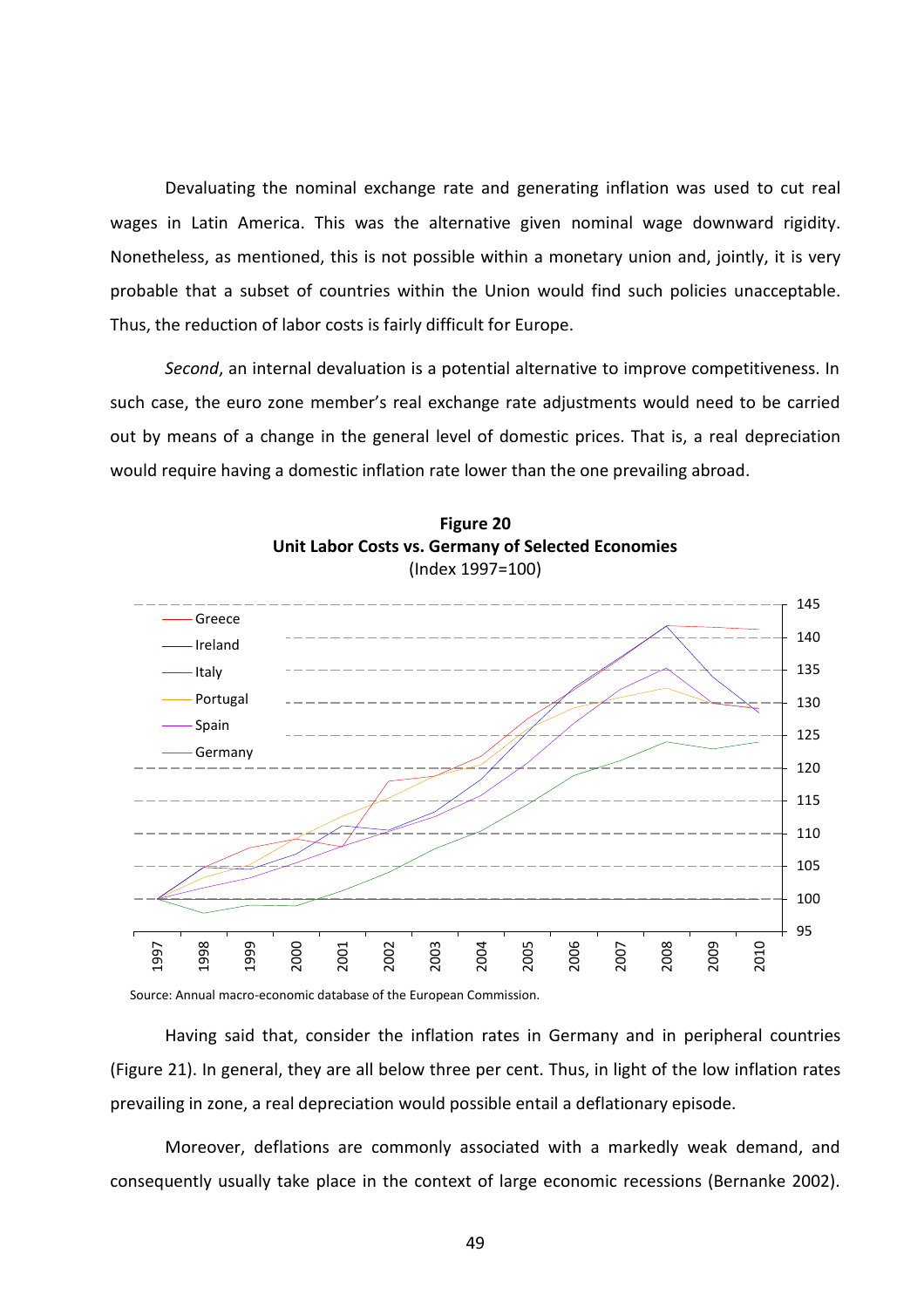Devaluating the nominal exchange rate and generating inflation was used to cut real wages in Latin America. This was the alternative given nominal wage downward rigidity. Nonetheless, as mentioned, this is not possible within a monetary union and, jointly, it is very probable that a subset of countries within the Union would find such policies unacceptable. Thus, the reduction of labor costs is fairly difficult for Europe.

*Second*, an internal devaluation is a potential alternative to improve competitiveness. In such case, the euro zone member's real exchange rate adjustments would need to be carried out by means of a change in the general level of domestic prices. That is, a real depreciation would require having a domestic inflation rate lower than the one prevailing abroad.





Source: Annual macro-economic database of the European Commission.

Having said that, consider the inflation rates in Germany and in peripheral countries (Figure 21). In general, they are all below three per cent. Thus, in light of the low inflation rates prevailing in zone, a real depreciation would possible entail a deflationary episode.

Moreover, deflations are commonly associated with a markedly weak demand, and consequently usually take place in the context of large economic recessions (Bernanke 2002).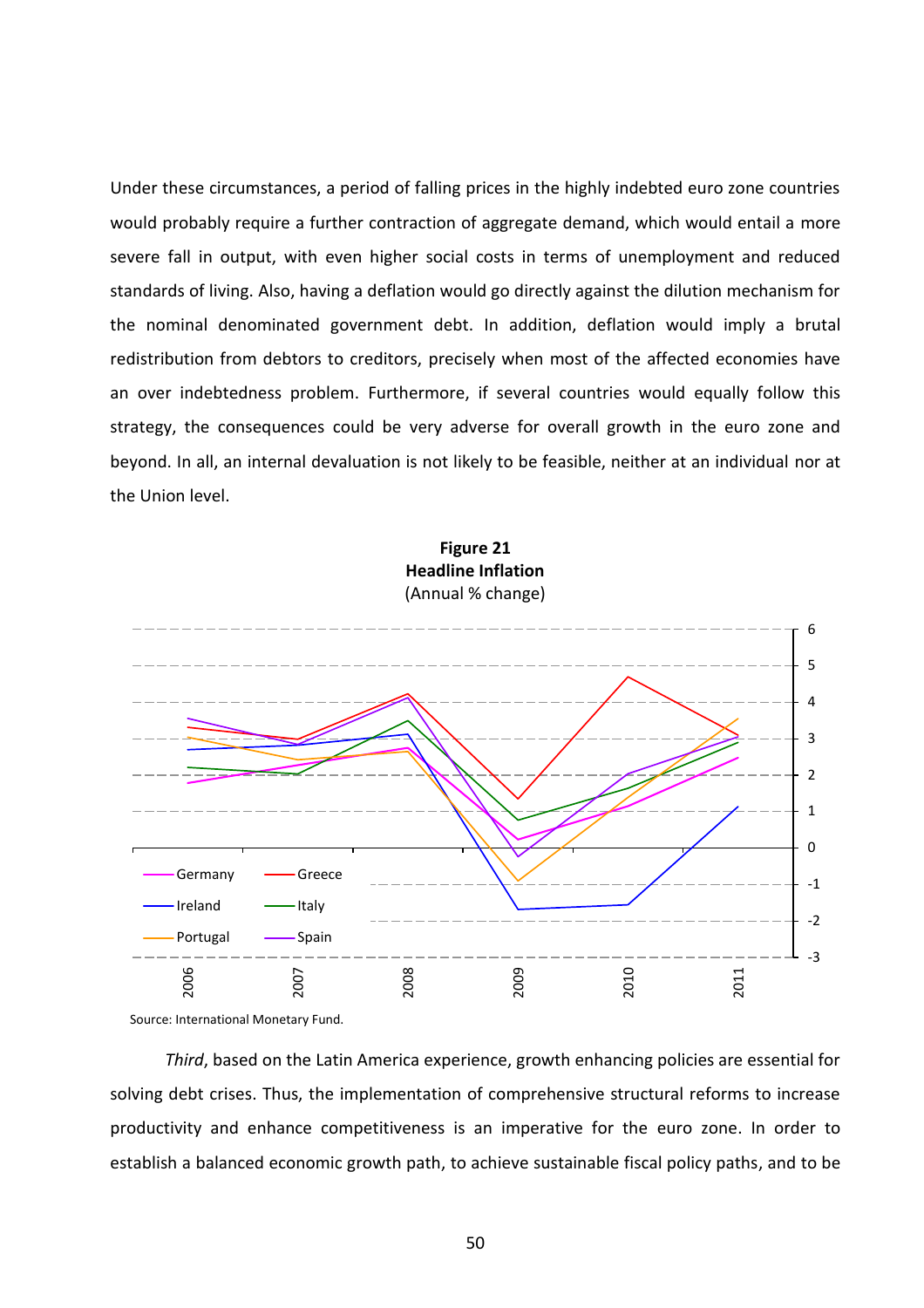Under these circumstances, a period of falling prices in the highly indebted euro zone countries would probably require a further contraction of aggregate demand, which would entail a more severe fall in output, with even higher social costs in terms of unemployment and reduced standards of living. Also, having a deflation would go directly against the dilution mechanism for the nominal denominated government debt. In addition, deflation would imply a brutal redistribution from debtors to creditors, precisely when most of the affected economies have an over indebtedness problem. Furthermore, if several countries would equally follow this strategy, the consequences could be very adverse for overall growth in the euro zone and beyond. In all, an internal devaluation is not likely to be feasible, neither at an individual nor at the Union level.





Source: International Monetary Fund.

*Third*, based on the Latin America experience, growth enhancing policies are essential for solving debt crises. Thus, the implementation of comprehensive structural reforms to increase productivity and enhance competitiveness is an imperative for the euro zone. In order to establish a balanced economic growth path, to achieve sustainable fiscal policy paths, and to be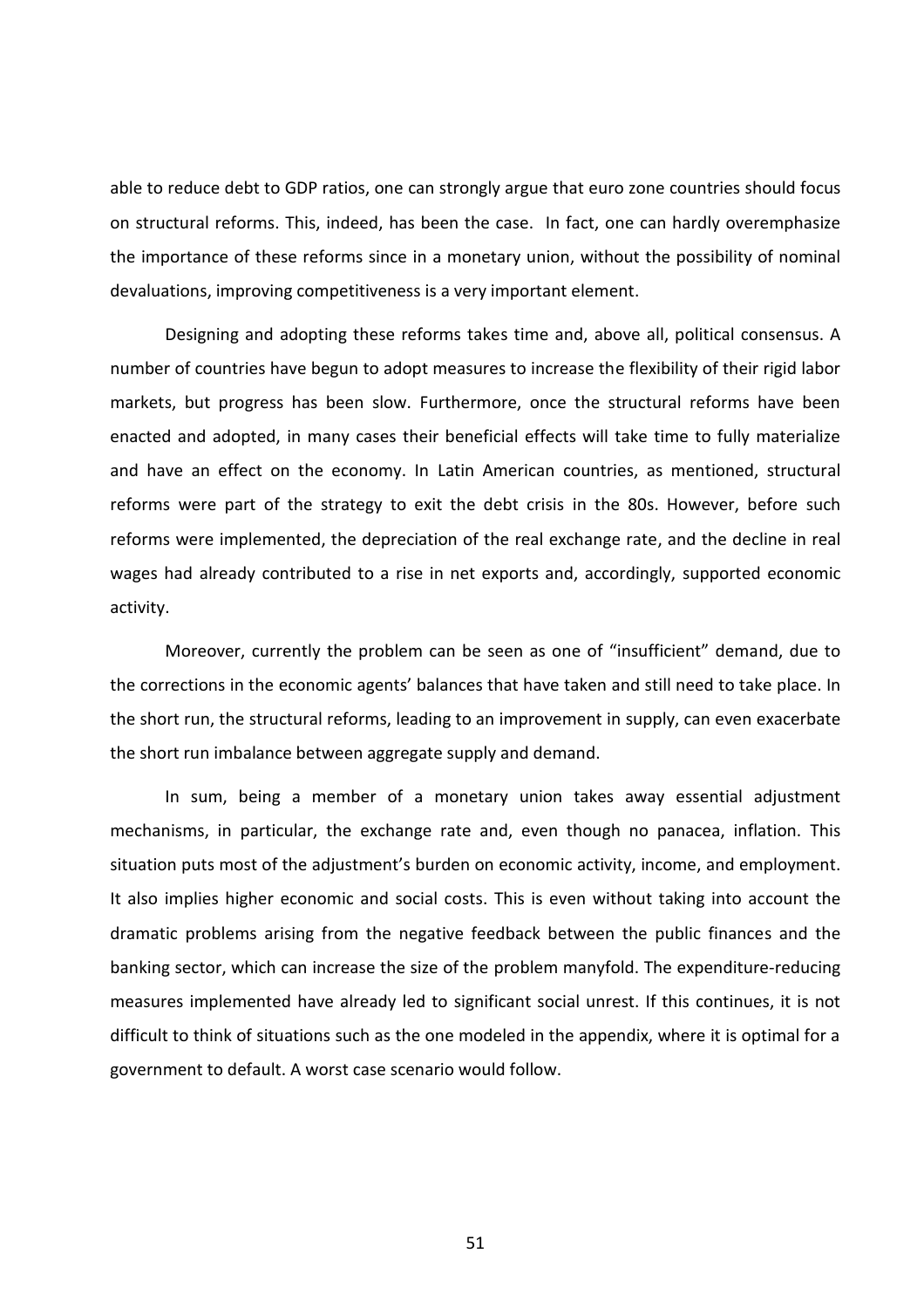able to reduce debt to GDP ratios, one can strongly argue that euro zone countries should focus on structural reforms. This, indeed, has been the case. In fact, one can hardly overemphasize the importance of these reforms since in a monetary union, without the possibility of nominal devaluations, improving competitiveness is a very important element.

Designing and adopting these reforms takes time and, above all, political consensus. A number of countries have begun to adopt measures to increase the flexibility of their rigid labor markets, but progress has been slow. Furthermore, once the structural reforms have been enacted and adopted, in many cases their beneficial effects will take time to fully materialize and have an effect on the economy. In Latin American countries, as mentioned, structural reforms were part of the strategy to exit the debt crisis in the 80s. However, before such reforms were implemented, the depreciation of the real exchange rate, and the decline in real wages had already contributed to a rise in net exports and, accordingly, supported economic activity.

Moreover, currently the problem can be seen as one of "insufficient" demand, due to the corrections in the economic agents' balances that have taken and still need to take place. In the short run, the structural reforms, leading to an improvement in supply, can even exacerbate the short run imbalance between aggregate supply and demand.

In sum, being a member of a monetary union takes away essential adjustment mechanisms, in particular, the exchange rate and, even though no panacea, inflation. This situation puts most of the adjustment's burden on economic activity, income, and employment. It also implies higher economic and social costs. This is even without taking into account the dramatic problems arising from the negative feedback between the public finances and the banking sector, which can increase the size of the problem manyfold. The expenditure-reducing measures implemented have already led to significant social unrest. If this continues, it is not difficult to think of situations such as the one modeled in the appendix, where it is optimal for a government to default. A worst case scenario would follow.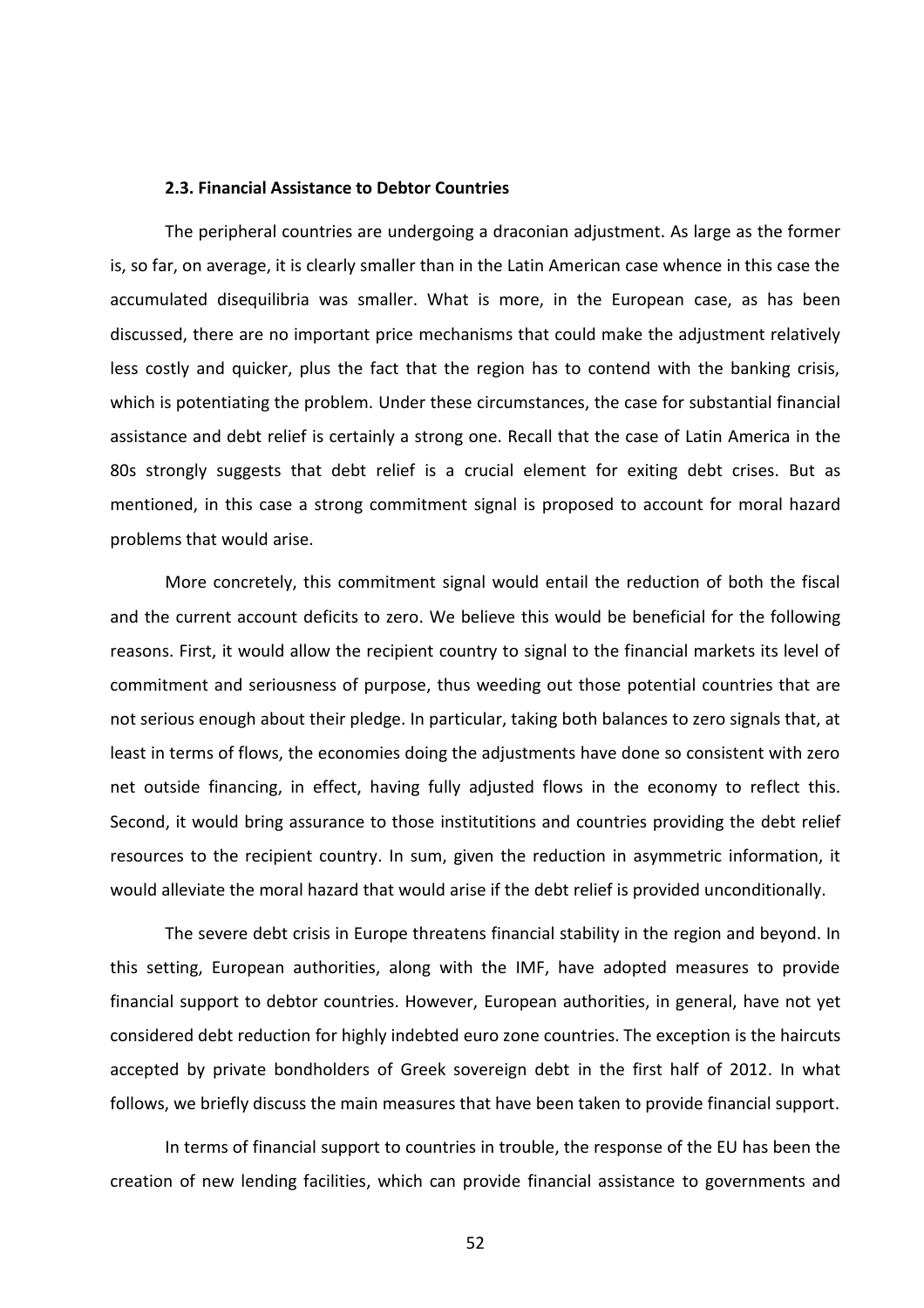#### **2.3. Financial Assistance to Debtor Countries**

The peripheral countries are undergoing a draconian adjustment. As large as the former is, so far, on average, it is clearly smaller than in the Latin American case whence in this case the accumulated disequilibria was smaller. What is more, in the European case, as has been discussed, there are no important price mechanisms that could make the adjustment relatively less costly and quicker, plus the fact that the region has to contend with the banking crisis, which is potentiating the problem. Under these circumstances, the case for substantial financial assistance and debt relief is certainly a strong one. Recall that the case of Latin America in the 80s strongly suggests that debt relief is a crucial element for exiting debt crises. But as mentioned, in this case a strong commitment signal is proposed to account for moral hazard problems that would arise.

More concretely, this commitment signal would entail the reduction of both the fiscal and the current account deficits to zero. We believe this would be beneficial for the following reasons. First, it would allow the recipient country to signal to the financial markets its level of commitment and seriousness of purpose, thus weeding out those potential countries that are not serious enough about their pledge. In particular, taking both balances to zero signals that, at least in terms of flows, the economies doing the adjustments have done so consistent with zero net outside financing, in effect, having fully adjusted flows in the economy to reflect this. Second, it would bring assurance to those institutitions and countries providing the debt relief resources to the recipient country. In sum, given the reduction in asymmetric information, it would alleviate the moral hazard that would arise if the debt relief is provided unconditionally.

The severe debt crisis in Europe threatens financial stability in the region and beyond. In this setting, European authorities, along with the IMF, have adopted measures to provide financial support to debtor countries. However, European authorities, in general, have not yet considered debt reduction for highly indebted euro zone countries. The exception is the haircuts accepted by private bondholders of Greek sovereign debt in the first half of 2012. In what follows, we briefly discuss the main measures that have been taken to provide financial support.

In terms of financial support to countries in trouble, the response of the EU has been the creation of new lending facilities, which can provide financial assistance to governments and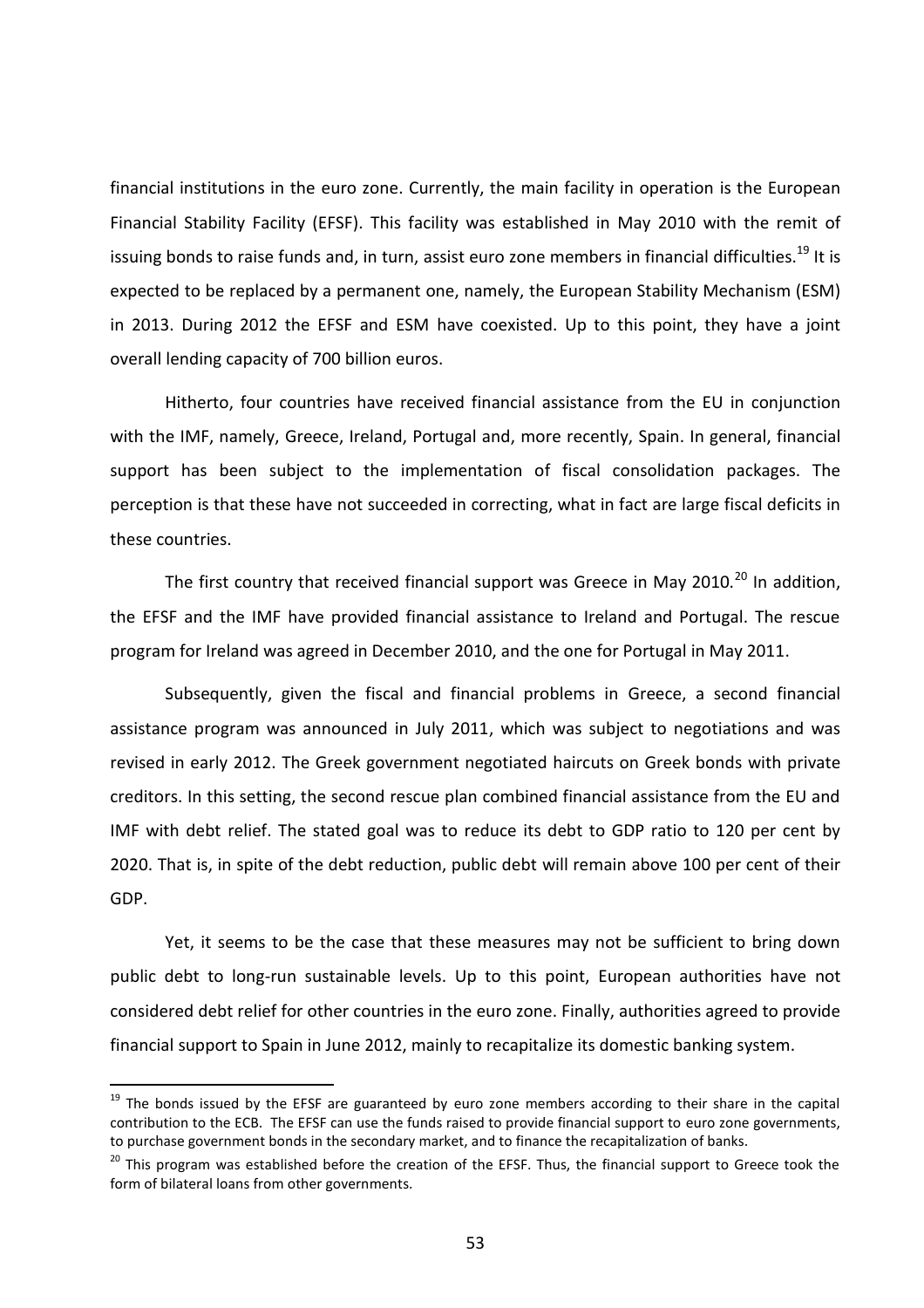financial institutions in the euro zone. Currently, the main facility in operation is the European Financial Stability Facility (EFSF). This facility was established in May 2010 with the remit of issuing bonds to raise funds and, in turn, assist euro zone members in financial difficulties.<sup>19</sup> It is expected to be replaced by a permanent one, namely, the European Stability Mechanism (ESM) in 2013. During 2012 the EFSF and ESM have coexisted. Up to this point, they have a joint overall lending capacity of 700 billion euros.

Hitherto, four countries have received financial assistance from the EU in conjunction with the IMF, namely, Greece, Ireland, Portugal and, more recently, Spain. In general, financial support has been subject to the implementation of fiscal consolidation packages. The perception is that these have not succeeded in correcting, what in fact are large fiscal deficits in these countries.

The first country that received financial support was Greece in Mav 2010.<sup>20</sup> In addition. the EFSF and the IMF have provided financial assistance to Ireland and Portugal. The rescue program for Ireland was agreed in December 2010, and the one for Portugal in May 2011.

Subsequently, given the fiscal and financial problems in Greece, a second financial assistance program was announced in July 2011, which was subject to negotiations and was revised in early 2012. The Greek government negotiated haircuts on Greek bonds with private creditors. In this setting, the second rescue plan combined financial assistance from the EU and IMF with debt relief. The stated goal was to reduce its debt to GDP ratio to 120 per cent by 2020. That is, in spite of the debt reduction, public debt will remain above 100 per cent of their GDP.

Yet, it seems to be the case that these measures may not be sufficient to bring down public debt to long-run sustainable levels. Up to this point, European authorities have not considered debt relief for other countries in the euro zone. Finally, authorities agreed to provide financial support to Spain in June 2012, mainly to recapitalize its domestic banking system.

 $\overline{a}$ 

<sup>&</sup>lt;sup>19</sup> The bonds issued by the EFSF are guaranteed by euro zone members according to their share in the capital contribution to the ECB. The EFSF can use the funds raised to provide financial support to euro zone governments, to purchase government bonds in the secondary market, and to finance the recapitalization of banks.

<sup>&</sup>lt;sup>20</sup> This program was established before the creation of the EFSF. Thus, the financial support to Greece took the form of bilateral loans from other governments.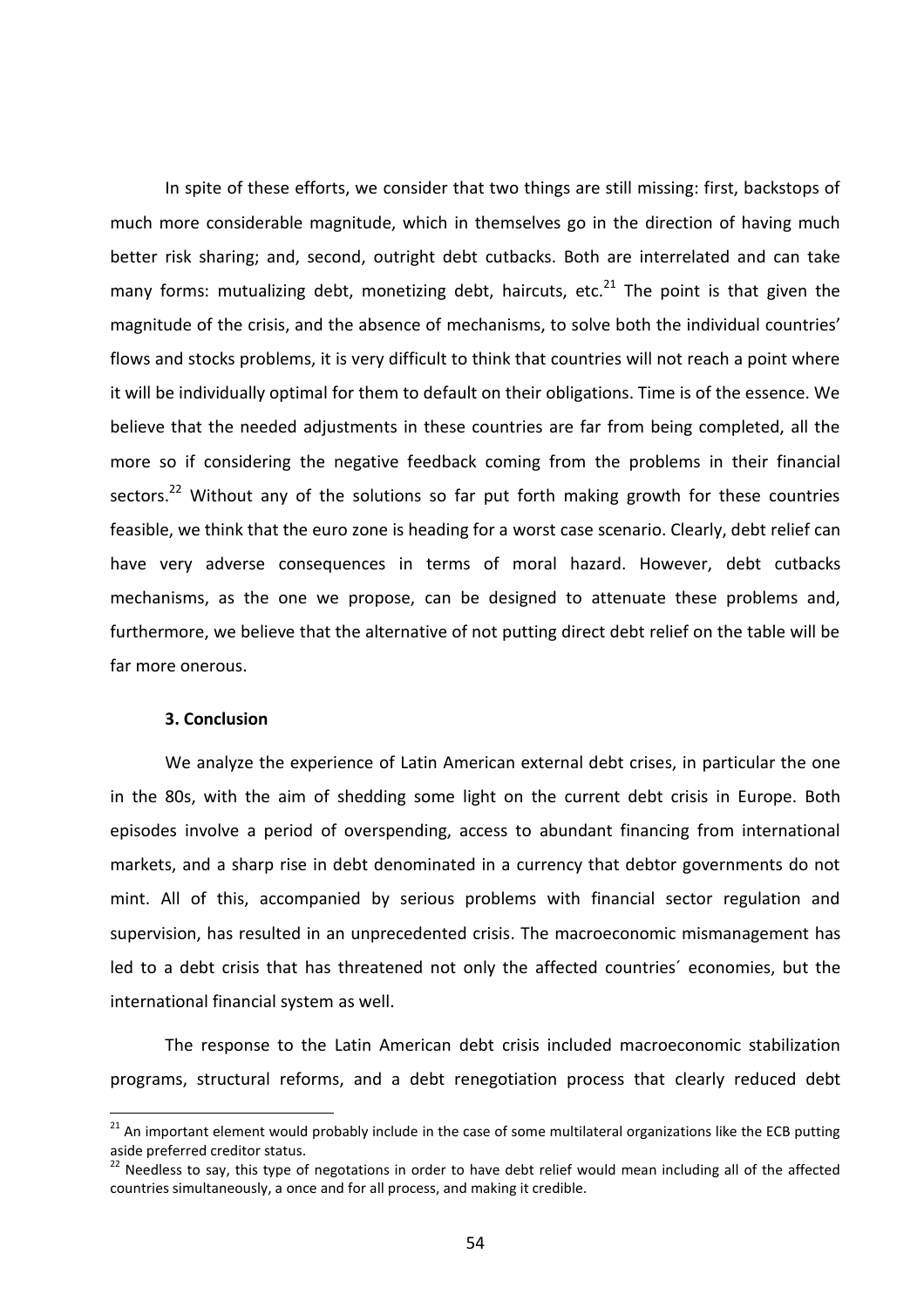In spite of these efforts, we consider that two things are still missing: first, backstops of much more considerable magnitude, which in themselves go in the direction of having much better risk sharing; and, second, outright debt cutbacks. Both are interrelated and can take many forms: mutualizing debt, monetizing debt, haircuts, etc. $^{21}$  The point is that given the magnitude of the crisis, and the absence of mechanisms, to solve both the individual countries' flows and stocks problems, it is very difficult to think that countries will not reach a point where it will be individually optimal for them to default on their obligations. Time is of the essence. We believe that the needed adjustments in these countries are far from being completed, all the more so if considering the negative feedback coming from the problems in their financial sectors.<sup>22</sup> Without any of the solutions so far put forth making growth for these countries feasible, we think that the euro zone is heading for a worst case scenario. Clearly, debt relief can have very adverse consequences in terms of moral hazard. However, debt cutbacks mechanisms, as the one we propose, can be designed to attenuate these problems and, furthermore, we believe that the alternative of not putting direct debt relief on the table will be far more onerous.

## **3. Conclusion**

 $\overline{a}$ 

We analyze the experience of Latin American external debt crises, in particular the one in the 80s, with the aim of shedding some light on the current debt crisis in Europe. Both episodes involve a period of overspending, access to abundant financing from international markets, and a sharp rise in debt denominated in a currency that debtor governments do not mint. All of this, accompanied by serious problems with financial sector regulation and supervision, has resulted in an unprecedented crisis. The macroeconomic mismanagement has led to a debt crisis that has threatened not only the affected countries´ economies, but the international financial system as well.

The response to the Latin American debt crisis included macroeconomic stabilization programs, structural reforms, and a debt renegotiation process that clearly reduced debt

 $21$  An important element would probably include in the case of some multilateral organizations like the ECB putting aside preferred creditor status.

 $22$  Needless to say, this type of negotations in order to have debt relief would mean including all of the affected countries simultaneously, a once and for all process, and making it credible.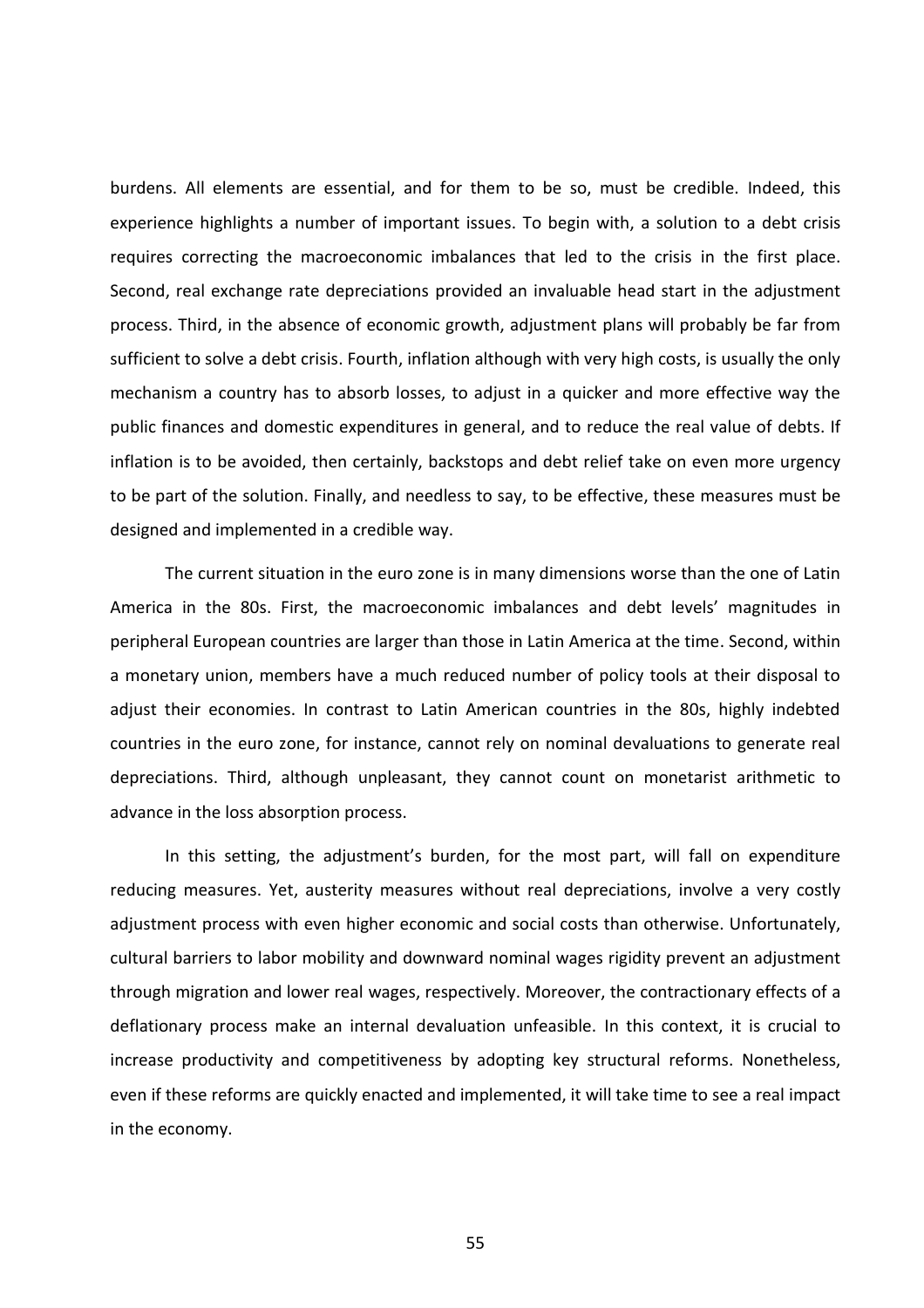burdens. All elements are essential, and for them to be so, must be credible. Indeed, this experience highlights a number of important issues. To begin with, a solution to a debt crisis requires correcting the macroeconomic imbalances that led to the crisis in the first place. Second, real exchange rate depreciations provided an invaluable head start in the adjustment process. Third, in the absence of economic growth, adjustment plans will probably be far from sufficient to solve a debt crisis. Fourth, inflation although with very high costs, is usually the only mechanism a country has to absorb losses, to adjust in a quicker and more effective way the public finances and domestic expenditures in general, and to reduce the real value of debts. If inflation is to be avoided, then certainly, backstops and debt relief take on even more urgency to be part of the solution. Finally, and needless to say, to be effective, these measures must be designed and implemented in a credible way.

The current situation in the euro zone is in many dimensions worse than the one of Latin America in the 80s. First, the macroeconomic imbalances and debt levels' magnitudes in peripheral European countries are larger than those in Latin America at the time. Second, within a monetary union, members have a much reduced number of policy tools at their disposal to adjust their economies. In contrast to Latin American countries in the 80s, highly indebted countries in the euro zone, for instance, cannot rely on nominal devaluations to generate real depreciations. Third, although unpleasant, they cannot count on monetarist arithmetic to advance in the loss absorption process.

In this setting, the adjustment's burden, for the most part, will fall on expenditure reducing measures. Yet, austerity measures without real depreciations, involve a very costly adjustment process with even higher economic and social costs than otherwise. Unfortunately, cultural barriers to labor mobility and downward nominal wages rigidity prevent an adjustment through migration and lower real wages, respectively. Moreover, the contractionary effects of a deflationary process make an internal devaluation unfeasible. In this context, it is crucial to increase productivity and competitiveness by adopting key structural reforms. Nonetheless, even if these reforms are quickly enacted and implemented, it will take time to see a real impact in the economy.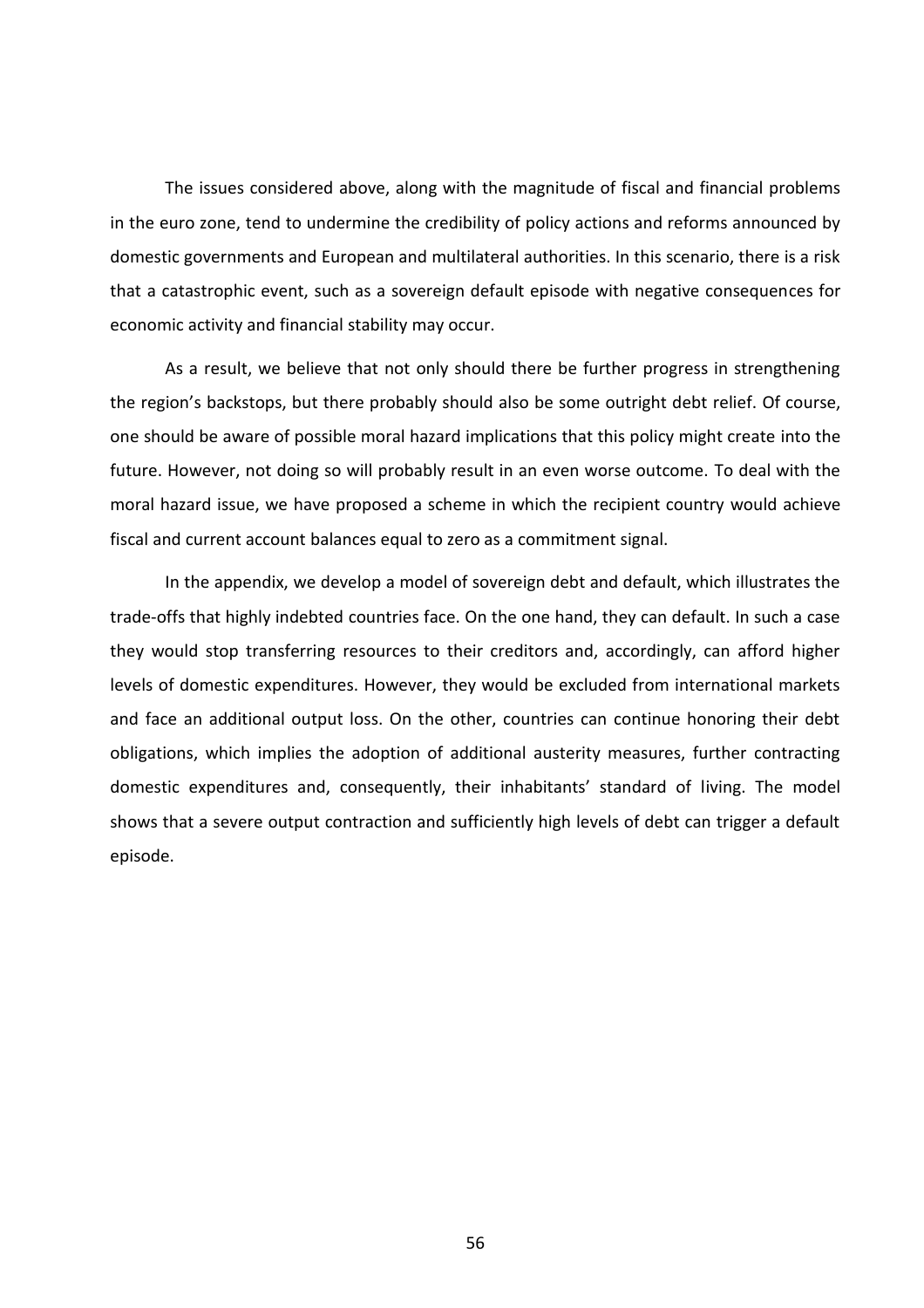The issues considered above, along with the magnitude of fiscal and financial problems in the euro zone, tend to undermine the credibility of policy actions and reforms announced by domestic governments and European and multilateral authorities. In this scenario, there is a risk that a catastrophic event, such as a sovereign default episode with negative consequences for economic activity and financial stability may occur.

As a result, we believe that not only should there be further progress in strengthening the region's backstops, but there probably should also be some outright debt relief. Of course, one should be aware of possible moral hazard implications that this policy might create into the future. However, not doing so will probably result in an even worse outcome. To deal with the moral hazard issue, we have proposed a scheme in which the recipient country would achieve fiscal and current account balances equal to zero as a commitment signal.

In the appendix, we develop a model of sovereign debt and default, which illustrates the trade-offs that highly indebted countries face. On the one hand, they can default. In such a case they would stop transferring resources to their creditors and, accordingly, can afford higher levels of domestic expenditures. However, they would be excluded from international markets and face an additional output loss. On the other, countries can continue honoring their debt obligations, which implies the adoption of additional austerity measures, further contracting domestic expenditures and, consequently, their inhabitants' standard of living. The model shows that a severe output contraction and sufficiently high levels of debt can trigger a default episode.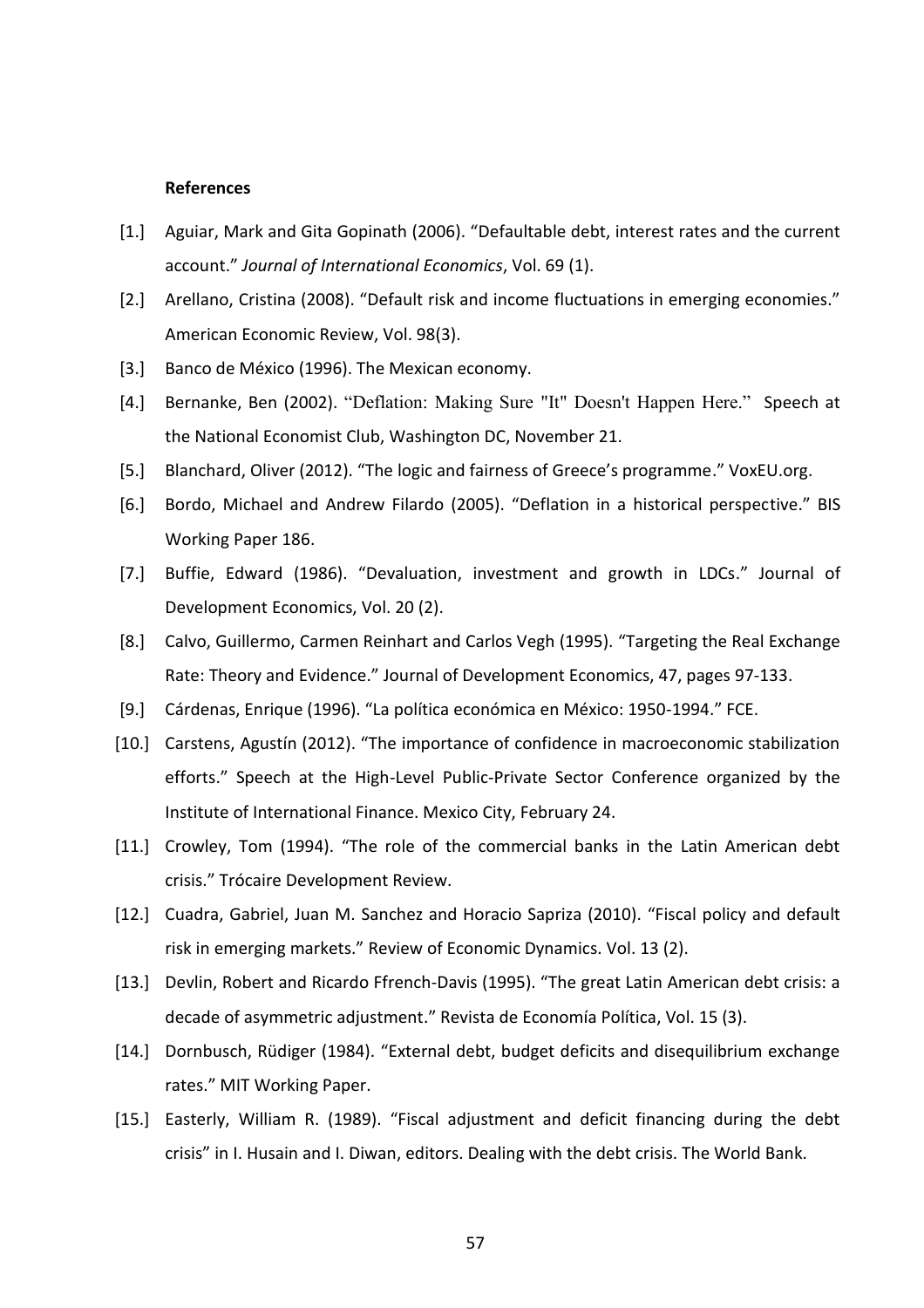## **References**

- [1.] Aguiar, Mark and Gita Gopinath (2006). "Defaultable debt, interest rates and the current account." *Journal of International Economics*, Vol. 69 (1).
- [2.] Arellano, Cristina (2008). "Default risk and income fluctuations in emerging economies." American Economic Review, Vol. 98(3).
- [3.] Banco de México (1996). The Mexican economy.
- [4.] Bernanke, Ben (2002). "Deflation: Making Sure "It" Doesn't Happen Here." Speech at the National Economist Club, Washington DC, November 21.
- [5.] Blanchard, Oliver (2012). "The logic and fairness of Greece's programme." VoxEU.org.
- [6.] Bordo, Michael and Andrew Filardo (2005). "Deflation in a historical perspective." BIS Working Paper 186.
- [7.] Buffie, Edward (1986). "Devaluation, investment and growth in LDCs." Journal of Development Economics, Vol. 20 (2).
- [8.] Calvo, Guillermo, Carmen Reinhart and Carlos Vegh (1995). "Targeting the Real Exchange Rate: Theory and Evidence." Journal of Development Economics, 47, pages 97-133.
- [9.] Cárdenas, Enrique (1996). "La política económica en México: 1950-1994." FCE.
- [10.] Carstens, Agustín (2012). "The importance of confidence in macroeconomic stabilization efforts." Speech at the High-Level Public-Private Sector Conference organized by the Institute of International Finance. Mexico City, February 24.
- [11.] Crowley, Tom (1994). "The role of the commercial banks in the Latin American debt crisis." Trócaire Development Review.
- [12.] Cuadra, Gabriel, Juan M. Sanchez and Horacio Sapriza (2010). "Fiscal policy and default risk in emerging markets." Review of Economic Dynamics. Vol. 13 (2).
- [13.] Devlin, Robert and Ricardo Ffrench-Davis (1995). "The great Latin American debt crisis: a decade of asymmetric adjustment." Revista de Economía Política, Vol. 15 (3).
- [14.] Dornbusch, Rüdiger (1984). "External debt, budget deficits and disequilibrium exchange rates." MIT Working Paper.
- [15.] Easterly, William R. (1989). "Fiscal adjustment and deficit financing during the debt crisis" in I. Husain and I. Diwan, editors. Dealing with the debt crisis. The World Bank.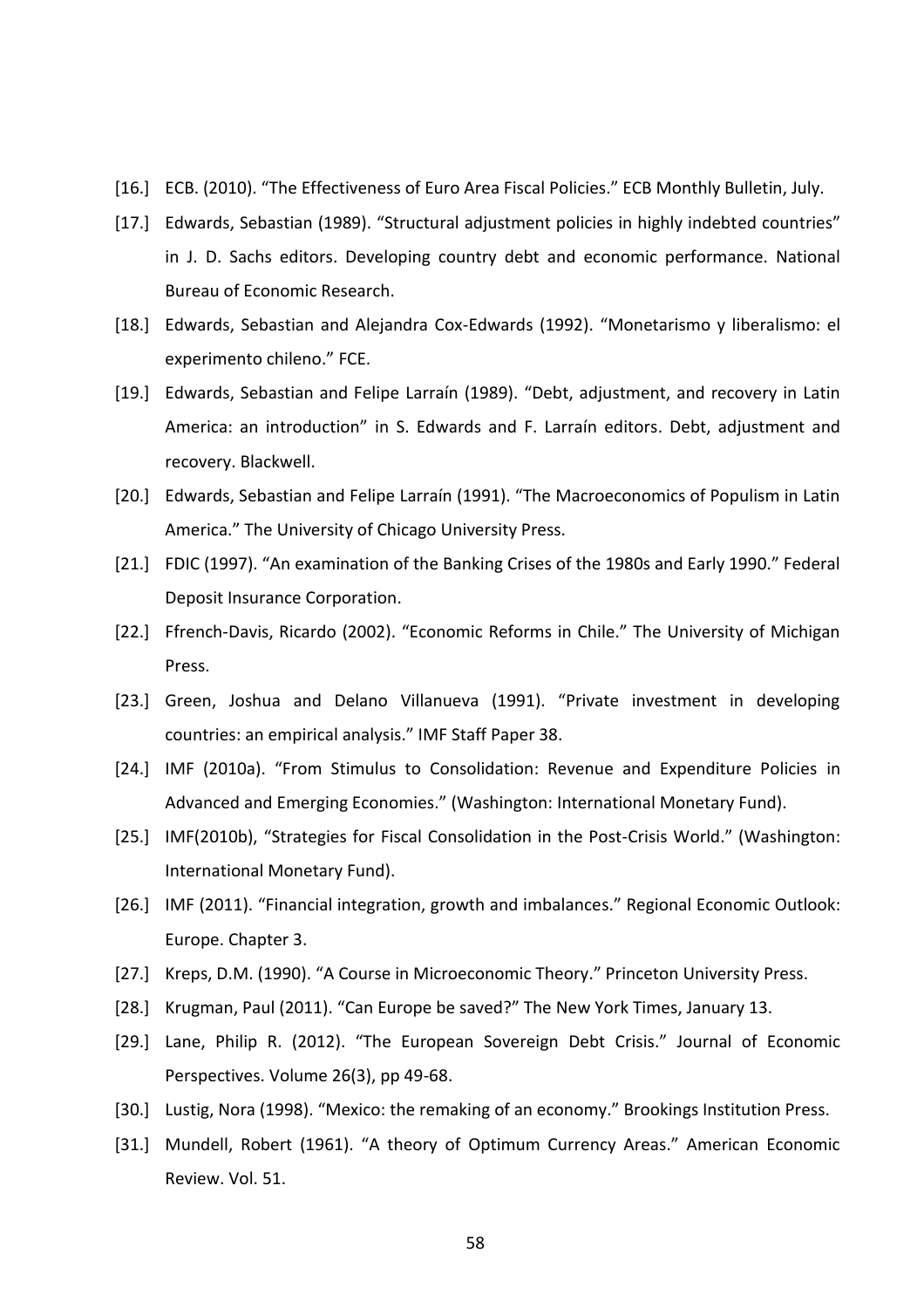- [16.] ECB. (2010). "The Effectiveness of Euro Area Fiscal Policies." ECB Monthly Bulletin, July.
- [17.] Edwards, Sebastian (1989). "Structural adjustment policies in highly indebted countries" in J. D. Sachs editors. Developing country debt and economic performance. National Bureau of Economic Research.
- [18.] Edwards, Sebastian and Alejandra Cox-Edwards (1992). "Monetarismo y liberalismo: el experimento chileno." FCE.
- [19.] Edwards, Sebastian and Felipe Larraín (1989). "Debt, adjustment, and recovery in Latin America: an introduction" in S. Edwards and F. Larraín editors. Debt, adjustment and recovery. Blackwell.
- [20.] Edwards, Sebastian and Felipe Larraín (1991). "The Macroeconomics of Populism in Latin America." The University of Chicago University Press.
- [21.] FDIC (1997). "An examination of the Banking Crises of the 1980s and Early 1990." Federal Deposit Insurance Corporation.
- [22.] Ffrench-Davis, Ricardo (2002). "Economic Reforms in Chile." The University of Michigan Press.
- [23.] Green, Joshua and Delano Villanueva (1991). "Private investment in developing countries: an empirical analysis." IMF Staff Paper 38.
- [24.] IMF (2010a). "From Stimulus to Consolidation: Revenue and Expenditure Policies in Advanced and Emerging Economies." (Washington: International Monetary Fund).
- [25.] IMF(2010b), "Strategies for Fiscal Consolidation in the Post-Crisis World." (Washington: International Monetary Fund).
- [26.] IMF (2011). "Financial integration, growth and imbalances." Regional Economic Outlook: Europe. Chapter 3.
- [27.] Kreps, D.M. (1990). "A Course in Microeconomic Theory." Princeton University Press.
- [28.] Krugman, Paul (2011). "Can Europe be saved?" The New York Times, January 13.
- [29.] Lane, Philip R. (2012). "The European Sovereign Debt Crisis." Journal of Economic Perspectives. Volume 26(3), pp 49-68.
- [30.] Lustig, Nora (1998). "Mexico: the remaking of an economy." Brookings Institution Press.
- [31.] Mundell, Robert (1961). "A theory of Optimum Currency Areas." American Economic Review. Vol. 51.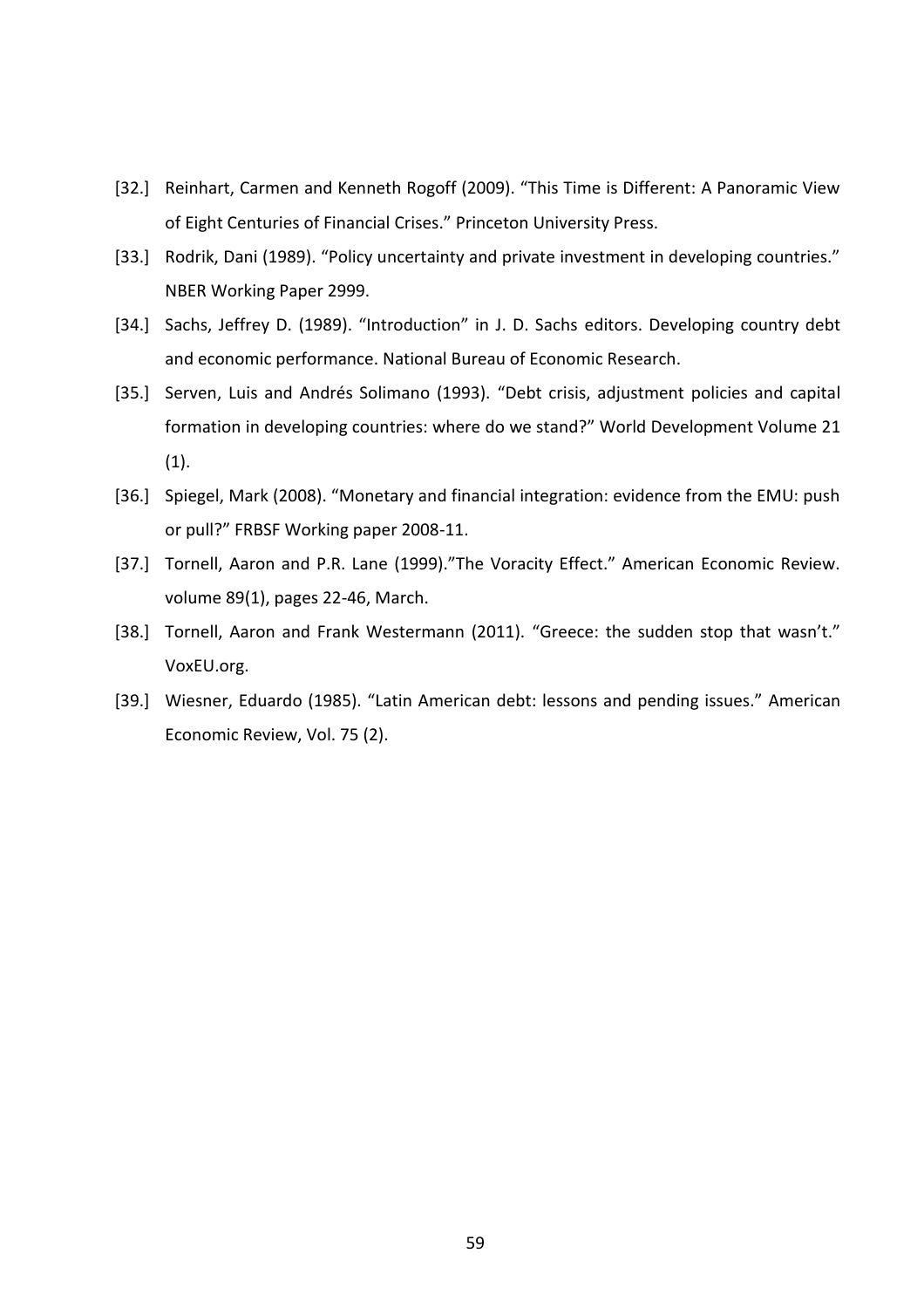- [32.] Reinhart, Carmen and Kenneth Rogoff (2009). "This Time is Different: A Panoramic View of Eight Centuries of Financial Crises." Princeton University Press.
- [33.] Rodrik, Dani (1989). "Policy uncertainty and private investment in developing countries." NBER Working Paper 2999.
- [34.] Sachs, Jeffrey D. (1989). "Introduction" in J. D. Sachs editors. Developing country debt and economic performance. National Bureau of Economic Research.
- [35.] Serven, Luis and Andrés Solimano (1993). "Debt crisis, adjustment policies and capital formation in developing countries: where do we stand?" World Development Volume 21 (1).
- [36.] Spiegel, Mark (2008). "Monetary and financial integration: evidence from the EMU: push or pull?" FRBSF Working paper 2008-11.
- [37.] Tornell, Aaron and P.R. Lane (1999)."The Voracity Effect." American Economic Review. volume 89(1), pages 22-46, March.
- [38.] Tornell, Aaron and Frank Westermann (2011). "Greece: the sudden stop that wasn't." VoxEU.org.
- [39.] Wiesner, Eduardo (1985). "Latin American debt: lessons and pending issues." American Economic Review, Vol. 75 (2).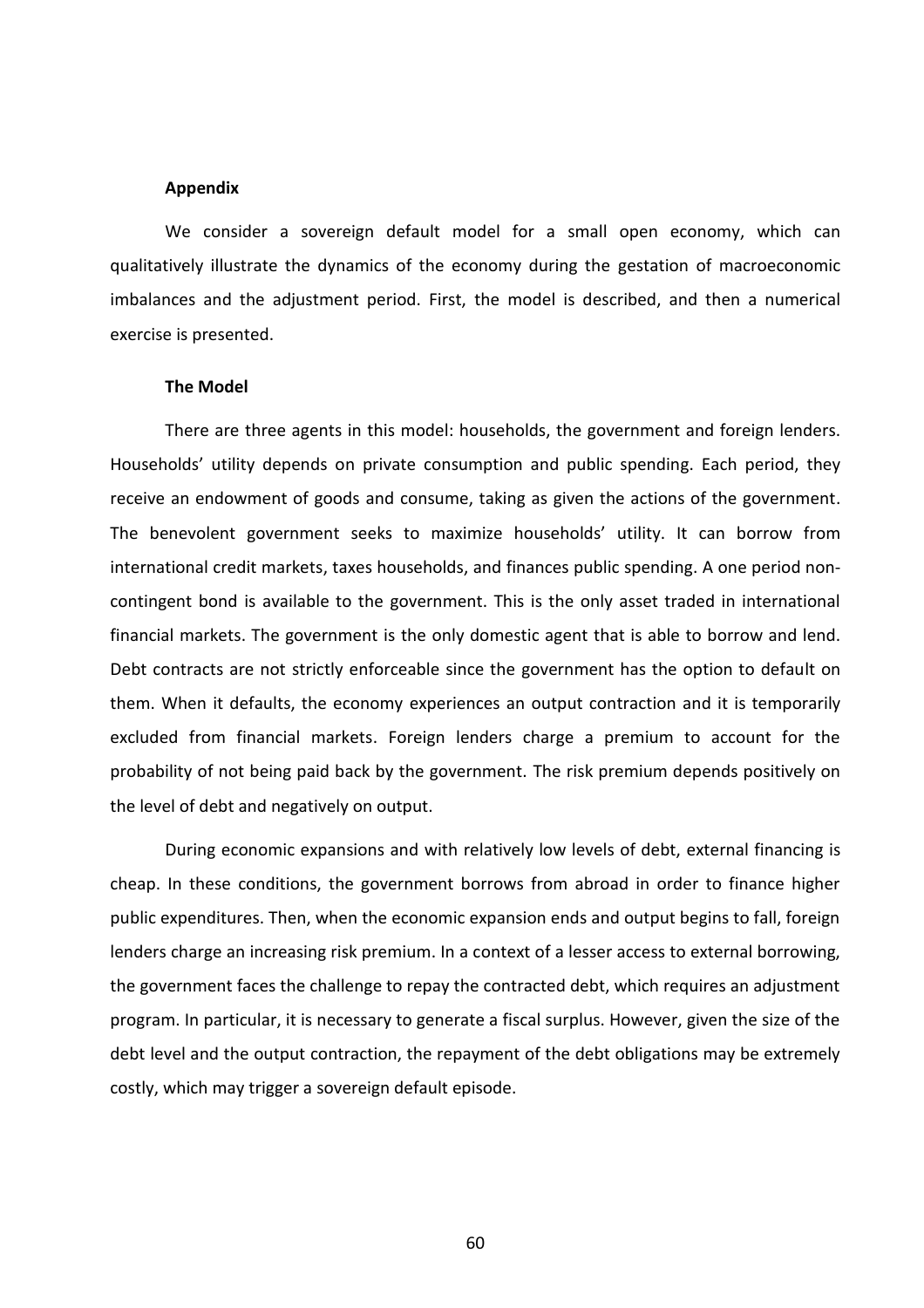#### **Appendix**

We consider a sovereign default model for a small open economy, which can qualitatively illustrate the dynamics of the economy during the gestation of macroeconomic imbalances and the adjustment period. First, the model is described, and then a numerical exercise is presented.

## **The Model**

There are three agents in this model: households, the government and foreign lenders. Households' utility depends on private consumption and public spending. Each period, they receive an endowment of goods and consume, taking as given the actions of the government. The benevolent government seeks to maximize households' utility. It can borrow from international credit markets, taxes households, and finances public spending. A one period noncontingent bond is available to the government. This is the only asset traded in international financial markets. The government is the only domestic agent that is able to borrow and lend. Debt contracts are not strictly enforceable since the government has the option to default on them. When it defaults, the economy experiences an output contraction and it is temporarily excluded from financial markets. Foreign lenders charge a premium to account for the probability of not being paid back by the government. The risk premium depends positively on the level of debt and negatively on output.

During economic expansions and with relatively low levels of debt, external financing is cheap. In these conditions, the government borrows from abroad in order to finance higher public expenditures. Then, when the economic expansion ends and output begins to fall, foreign lenders charge an increasing risk premium. In a context of a lesser access to external borrowing, the government faces the challenge to repay the contracted debt, which requires an adjustment program. In particular, it is necessary to generate a fiscal surplus. However, given the size of the debt level and the output contraction, the repayment of the debt obligations may be extremely costly, which may trigger a sovereign default episode.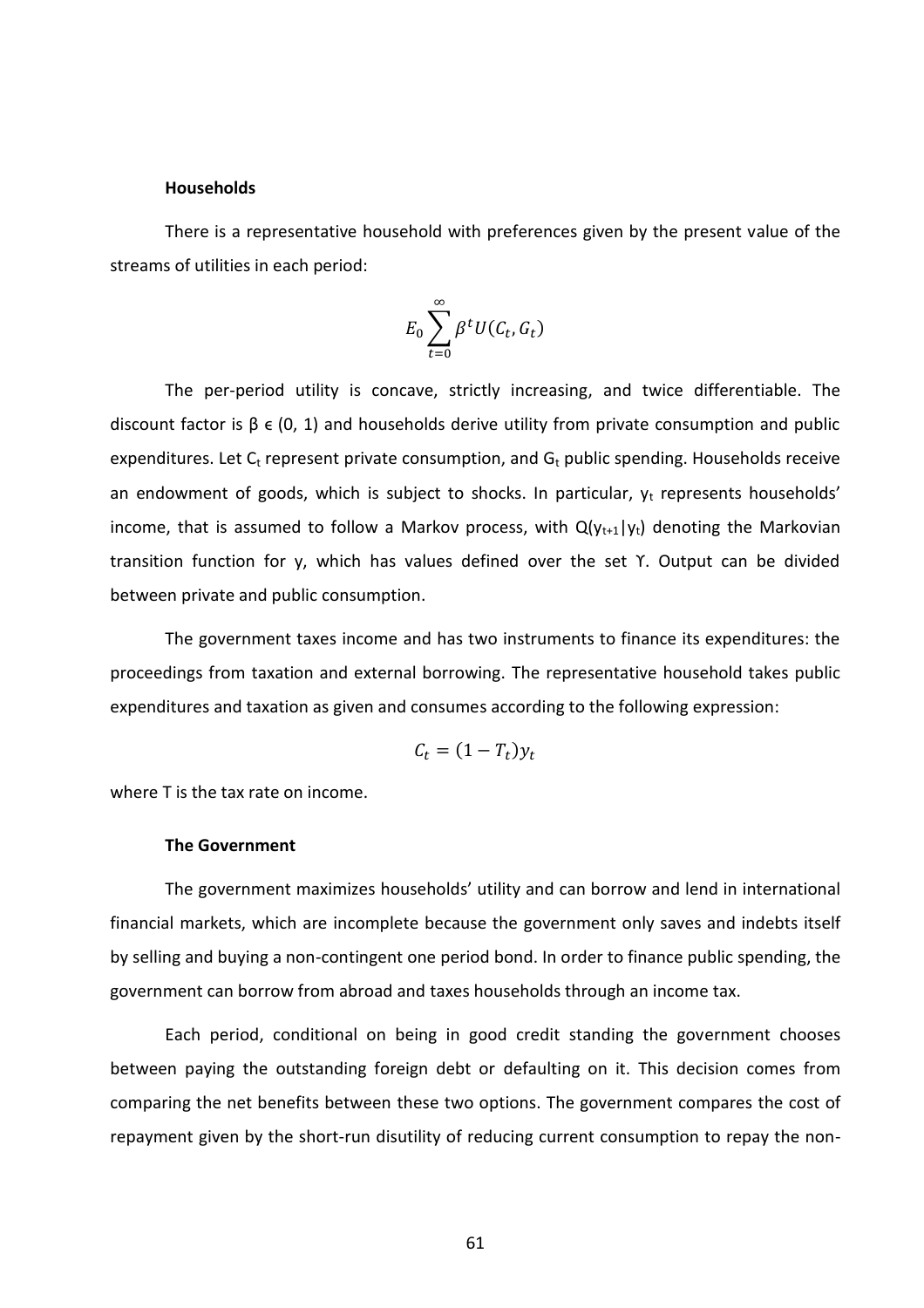#### **Households**

There is a representative household with preferences given by the present value of the streams of utilities in each period:

$$
E_0\sum_{t=0}^{\infty}\beta^tU(C_t,G_t)
$$

The per-period utility is concave, strictly increasing, and twice differentiable. The discount factor is  $\beta \in (0, 1)$  and households derive utility from private consumption and public expenditures. Let  $C_t$  represent private consumption, and  $G_t$  public spending. Households receive an endowment of goods, which is subject to shocks. In particular,  $y_t$  represents households' income, that is assumed to follow a Markov process, with  $Q(y_{t+1}|y_t)$  denoting the Markovian transition function for y, which has values defined over the set ϒ. Output can be divided between private and public consumption.

The government taxes income and has two instruments to finance its expenditures: the proceedings from taxation and external borrowing. The representative household takes public expenditures and taxation as given and consumes according to the following expression:

$$
C_t = (1 - T_t)y_t
$$

where T is the tax rate on income.

# **The Government**

The government maximizes households' utility and can borrow and lend in international financial markets, which are incomplete because the government only saves and indebts itself by selling and buying a non-contingent one period bond. In order to finance public spending, the government can borrow from abroad and taxes households through an income tax.

Each period, conditional on being in good credit standing the government chooses between paying the outstanding foreign debt or defaulting on it. This decision comes from comparing the net benefits between these two options. The government compares the cost of repayment given by the short-run disutility of reducing current consumption to repay the non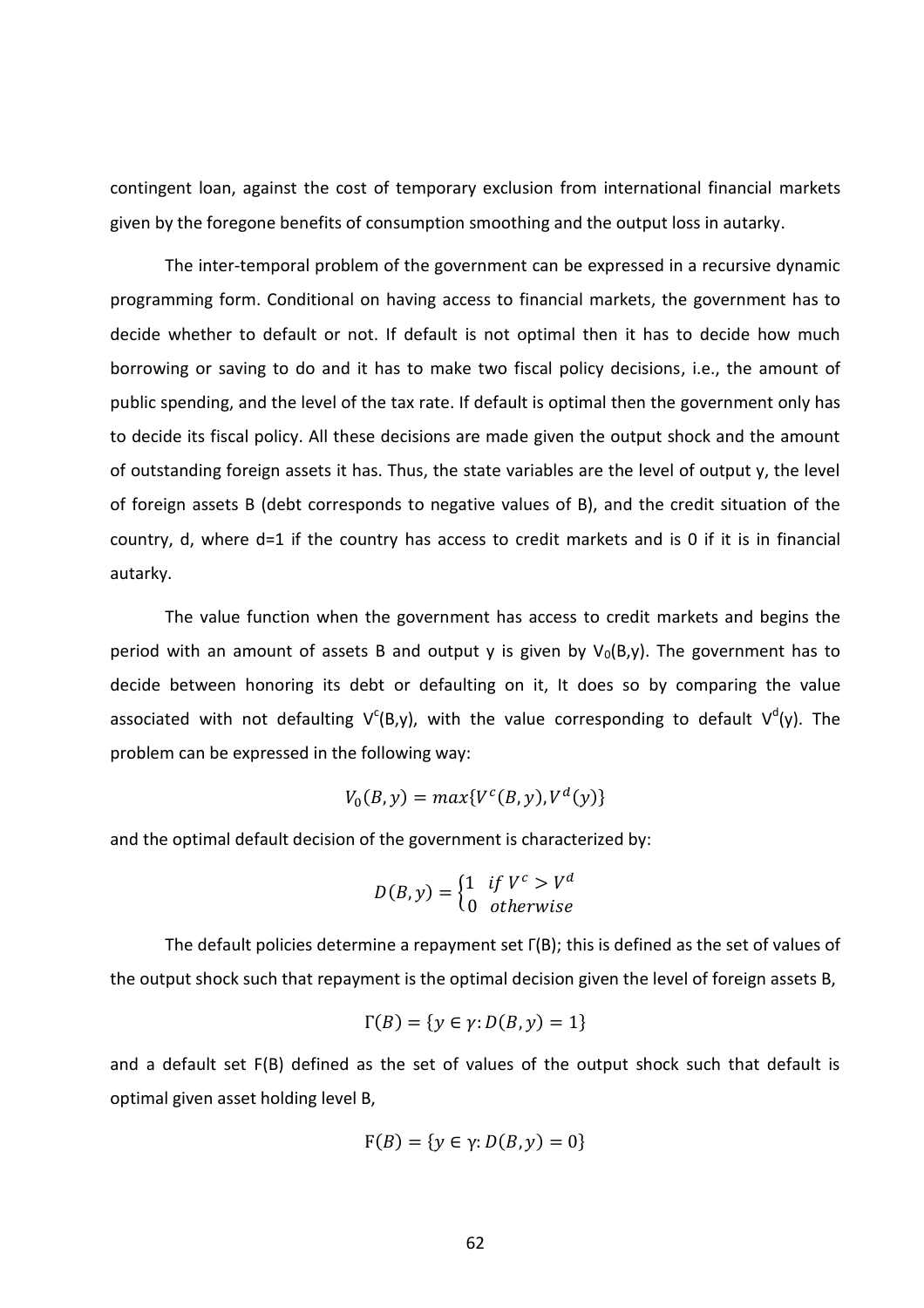contingent loan, against the cost of temporary exclusion from international financial markets given by the foregone benefits of consumption smoothing and the output loss in autarky.

The inter-temporal problem of the government can be expressed in a recursive dynamic programming form. Conditional on having access to financial markets, the government has to decide whether to default or not. If default is not optimal then it has to decide how much borrowing or saving to do and it has to make two fiscal policy decisions, i.e., the amount of public spending, and the level of the tax rate. If default is optimal then the government only has to decide its fiscal policy. All these decisions are made given the output shock and the amount of outstanding foreign assets it has. Thus, the state variables are the level of output y, the level of foreign assets B (debt corresponds to negative values of B), and the credit situation of the country, d, where d=1 if the country has access to credit markets and is 0 if it is in financial autarky.

The value function when the government has access to credit markets and begins the period with an amount of assets B and output y is given by  $V_0(B,y)$ . The government has to decide between honoring its debt or defaulting on it, It does so by comparing the value associated with not defaulting  $V^{c}(B,y)$ , with the value corresponding to default  $V^{d}(y)$ . The problem can be expressed in the following way:

$$
V_0(B, y) = max{Vc(B, y), Vd(y)}
$$

and the optimal default decision of the government is characterized by:

$$
D(B, y) = \begin{cases} 1 & \text{if } V^c > V^d \\ 0 & \text{otherwise} \end{cases}
$$

The default policies determine a repayment set Γ(B); this is defined as the set of values of the output shock such that repayment is the optimal decision given the level of foreign assets B,

$$
\Gamma(B) = \{ y \in \gamma : D(B, y) = 1 \}
$$

and a default set F(B) defined as the set of values of the output shock such that default is optimal given asset holding level B,

$$
F(B) = \{ y \in \gamma : D(B, y) = 0 \}
$$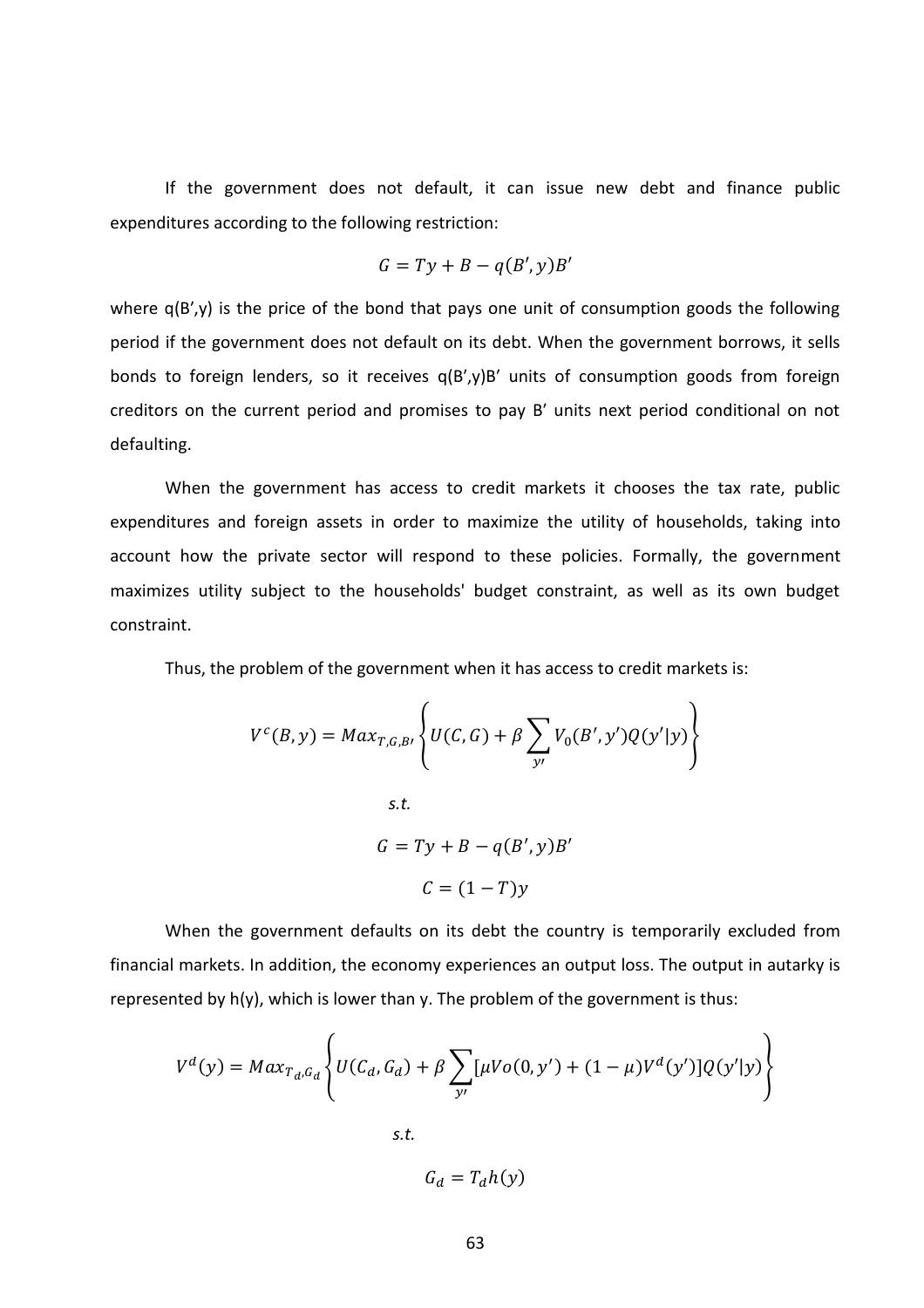If the government does not default, it can issue new debt and finance public expenditures according to the following restriction:

$$
G = Ty + B - q(B', y)B'
$$

where  $q(B', y)$  is the price of the bond that pays one unit of consumption goods the following period if the government does not default on its debt. When the government borrows, it sells bonds to foreign lenders, so it receives q(B′,y)B′ units of consumption goods from foreign creditors on the current period and promises to pay B′ units next period conditional on not defaulting.

When the government has access to credit markets it chooses the tax rate, public expenditures and foreign assets in order to maximize the utility of households, taking into account how the private sector will respond to these policies. Formally, the government maximizes utility subject to the households' budget constraint, as well as its own budget constraint.

Thus, the problem of the government when it has access to credit markets is:

$$
V^{c}(B, y) = Max_{T,G,B} \left\{ U(C, G) + \beta \sum_{y'} V_{0}(B', y')Q(y'|y) \right\}
$$
  
s.t.  

$$
G = Ty + B - q(B', y)B'
$$

$$
C = (1 - T)y
$$

When the government defaults on its debt the country is temporarily excluded from financial markets. In addition, the economy experiences an output loss. The output in autarky is represented by h(y), which is lower than y. The problem of the government is thus:

$$
V^{d}(y) = Max_{T_{d},G_{d}} \left\{ U(C_{d}, G_{d}) + \beta \sum_{y'} [\mu V o(0, y') + (1 - \mu) V^{d}(y')] Q(y'|y) \right\}
$$
  
s.t.

$$
\cdot \mathfrak{t}.
$$

 $G_d = T_d h(y)$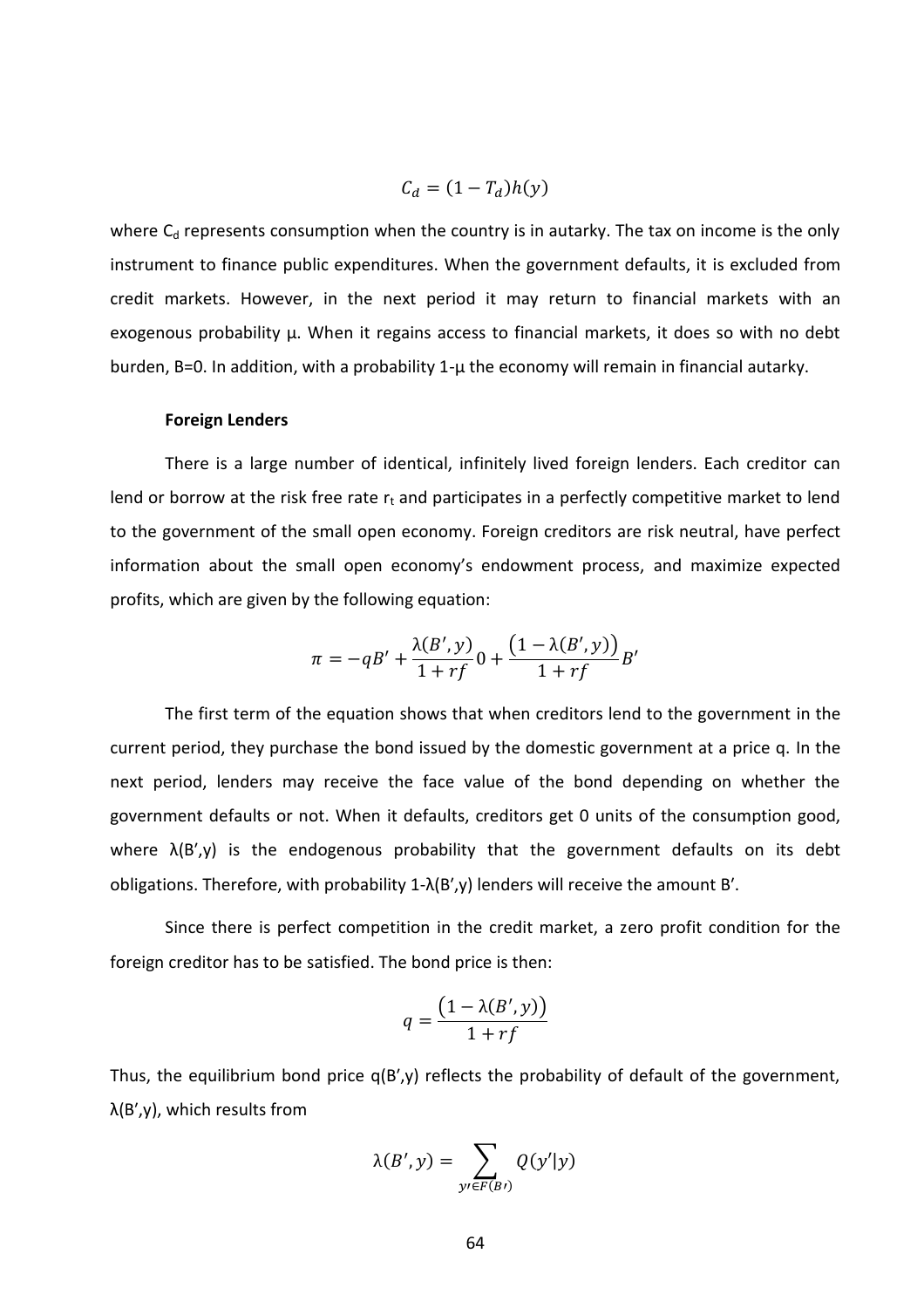$$
C_d = (1 - T_d)h(y)
$$

where  $C_d$  represents consumption when the country is in autarky. The tax on income is the only instrument to finance public expenditures. When the government defaults, it is excluded from credit markets. However, in the next period it may return to financial markets with an exogenous probability μ. When it regains access to financial markets, it does so with no debt burden, B=0. In addition, with a probability 1-μ the economy will remain in financial autarky.

## **Foreign Lenders**

There is a large number of identical, infinitely lived foreign lenders. Each creditor can lend or borrow at the risk free rate  $r_t$  and participates in a perfectly competitive market to lend to the government of the small open economy. Foreign creditors are risk neutral, have perfect information about the small open economy's endowment process, and maximize expected profits, which are given by the following equation:

$$
\pi = -qB' + \frac{\lambda(B',y)}{1+rf}0 + \frac{\left(1 - \lambda(B',y)\right)}{1+rf}B'
$$

The first term of the equation shows that when creditors lend to the government in the current period, they purchase the bond issued by the domestic government at a price q. In the next period, lenders may receive the face value of the bond depending on whether the government defaults or not. When it defaults, creditors get 0 units of the consumption good, where  $\lambda(B',y)$  is the endogenous probability that the government defaults on its debt obligations. Therefore, with probability  $1-\lambda(B',y)$  lenders will receive the amount B'.

Since there is perfect competition in the credit market, a zero profit condition for the foreign creditor has to be satisfied. The bond price is then:

$$
q = \frac{\left(1 - \lambda(B', y)\right)}{1 + rf}
$$

Thus, the equilibrium bond price  $q(B', y)$  reflects the probability of default of the government,  $\lambda(B',y)$ , which results from

$$
\lambda(B', y) = \sum_{y' \in F(B')} Q(y'|y)
$$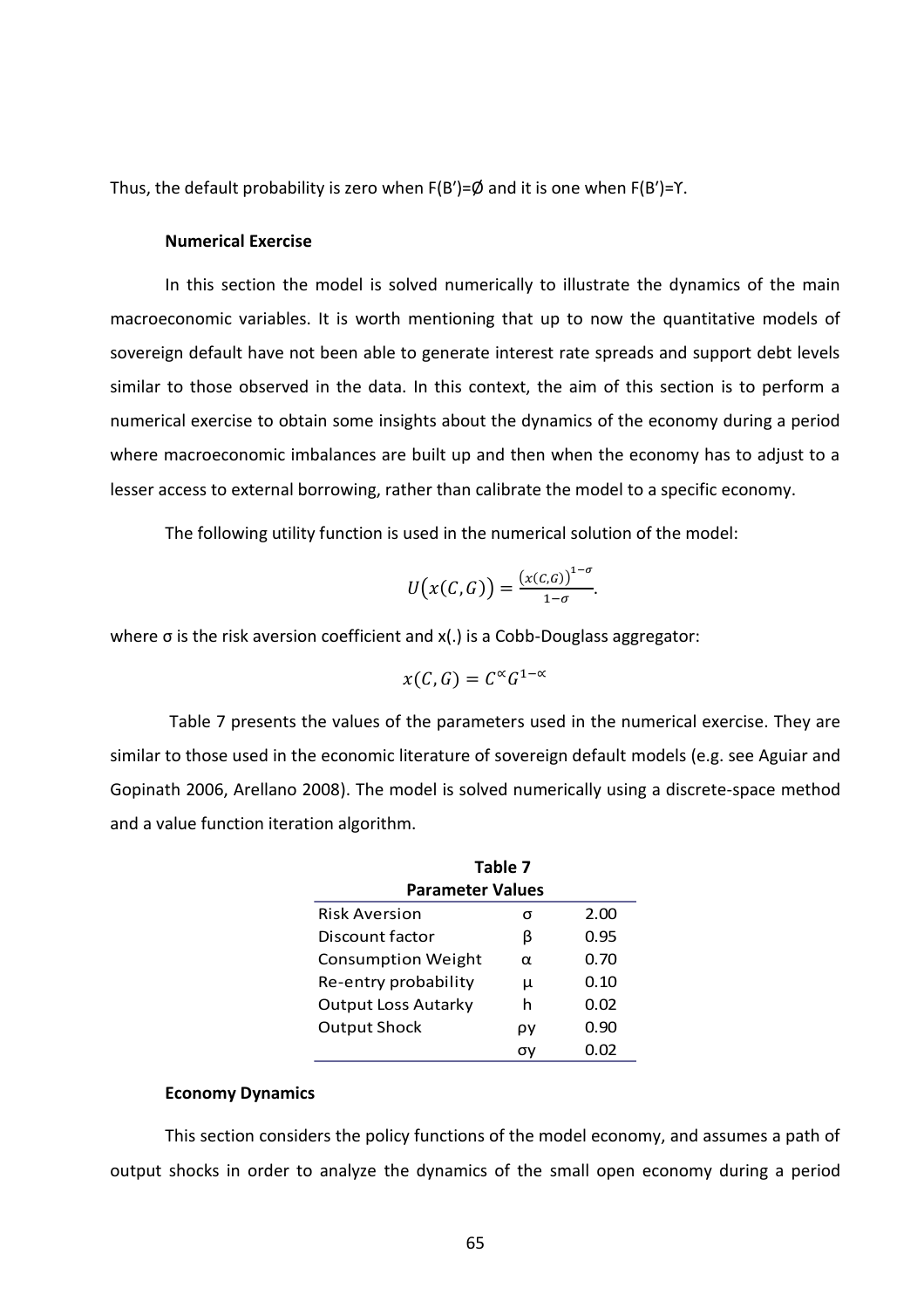Thus, the default probability is zero when Ϝ(B′)=Ø and it is one when Ϝ(B′)=ϒ.

## **Numerical Exercise**

In this section the model is solved numerically to illustrate the dynamics of the main macroeconomic variables. It is worth mentioning that up to now the quantitative models of sovereign default have not been able to generate interest rate spreads and support debt levels similar to those observed in the data. In this context, the aim of this section is to perform a numerical exercise to obtain some insights about the dynamics of the economy during a period where macroeconomic imbalances are built up and then when the economy has to adjust to a lesser access to external borrowing, rather than calibrate the model to a specific economy.

The following utility function is used in the numerical solution of the model:

$$
U(x(C,G))=\frac{(x(C,G))^{1-\sigma}}{1-\sigma}.
$$

where σ is the risk aversion coefficient and x(.) is a Cobb-Douglass aggregator:

$$
x(C,G)=C^{\infty}G^{1-\infty}
$$

Table 7 presents the values of the parameters used in the numerical exercise. They are similar to those used in the economic literature of sovereign default models (e.g. see Aguiar and Gopinath 2006, Arellano 2008). The model is solved numerically using a discrete-space method and a value function iteration algorithm.

| Table 7                    |    |      |
|----------------------------|----|------|
| <b>Parameter Values</b>    |    |      |
| <b>Risk Aversion</b>       | σ  | 2.00 |
| Discount factor            | β  | 0.95 |
| <b>Consumption Weight</b>  | α  | 0.70 |
| Re-entry probability       | μ  | 0.10 |
| <b>Output Loss Autarky</b> | h  | 0.02 |
| <b>Output Shock</b>        | ρy | 0.90 |
|                            | σν | 0.02 |

#### **Economy Dynamics**

This section considers the policy functions of the model economy, and assumes a path of output shocks in order to analyze the dynamics of the small open economy during a period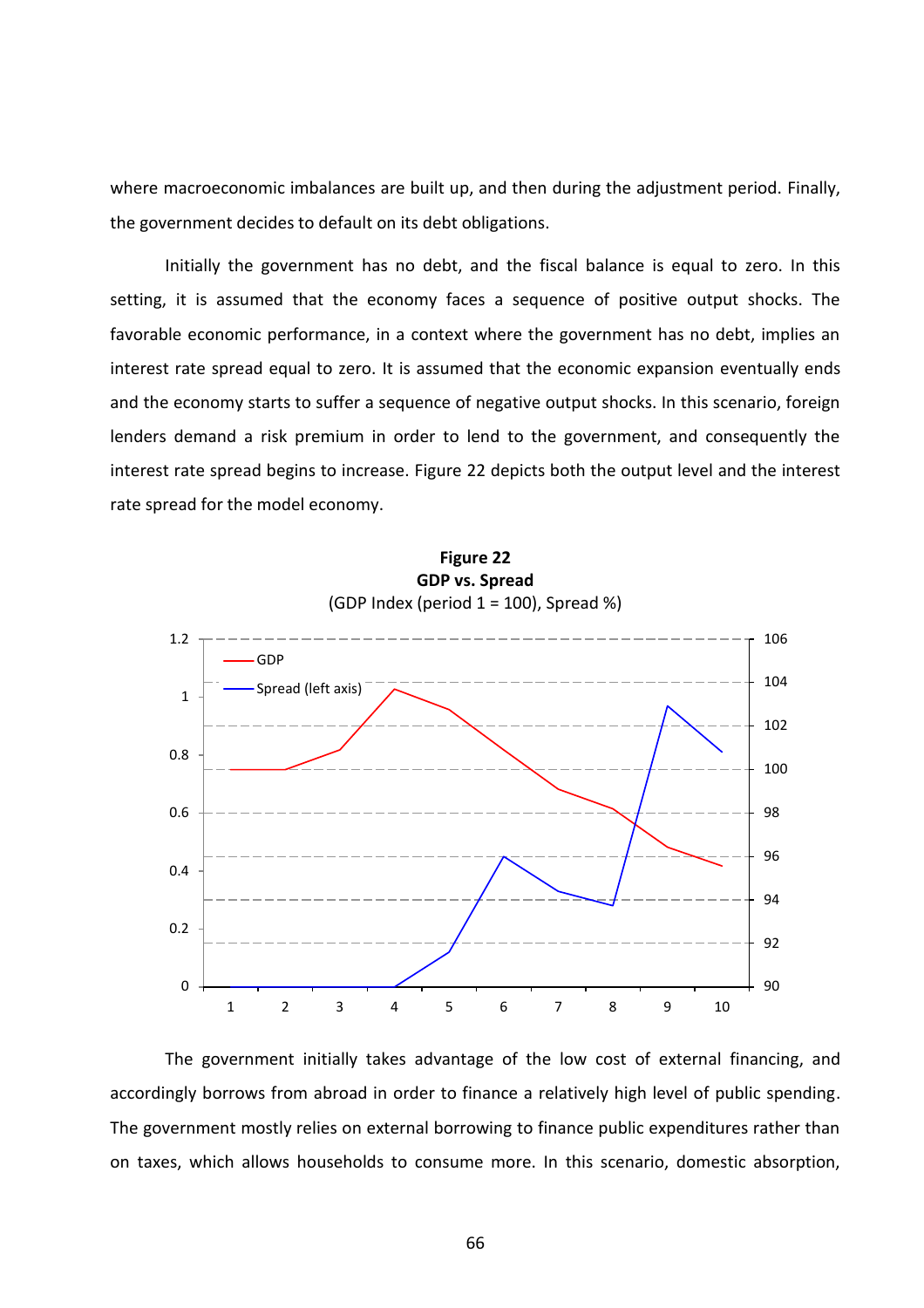where macroeconomic imbalances are built up, and then during the adjustment period. Finally, the government decides to default on its debt obligations.

Initially the government has no debt, and the fiscal balance is equal to zero. In this setting, it is assumed that the economy faces a sequence of positive output shocks. The favorable economic performance, in a context where the government has no debt, implies an interest rate spread equal to zero. It is assumed that the economic expansion eventually ends and the economy starts to suffer a sequence of negative output shocks. In this scenario, foreign lenders demand a risk premium in order to lend to the government, and consequently the interest rate spread begins to increase. Figure 22 depicts both the output level and the interest rate spread for the model economy.



The government initially takes advantage of the low cost of external financing, and accordingly borrows from abroad in order to finance a relatively high level of public spending. The government mostly relies on external borrowing to finance public expenditures rather than on taxes, which allows households to consume more. In this scenario, domestic absorption,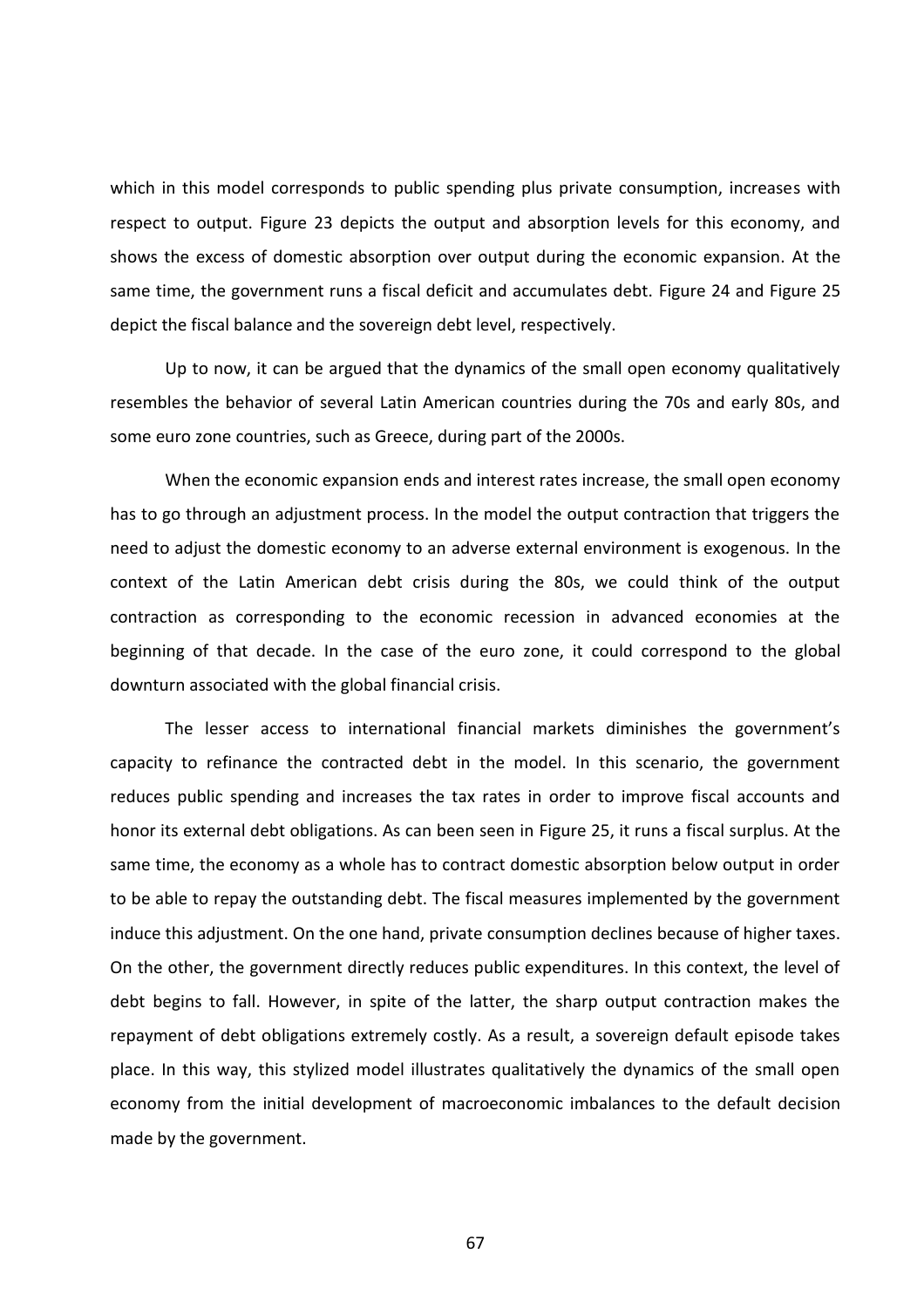which in this model corresponds to public spending plus private consumption, increases with respect to output. Figure 23 depicts the output and absorption levels for this economy, and shows the excess of domestic absorption over output during the economic expansion. At the same time, the government runs a fiscal deficit and accumulates debt. Figure 24 and Figure 25 depict the fiscal balance and the sovereign debt level, respectively.

Up to now, it can be argued that the dynamics of the small open economy qualitatively resembles the behavior of several Latin American countries during the 70s and early 80s, and some euro zone countries, such as Greece, during part of the 2000s.

When the economic expansion ends and interest rates increase, the small open economy has to go through an adjustment process. In the model the output contraction that triggers the need to adjust the domestic economy to an adverse external environment is exogenous. In the context of the Latin American debt crisis during the 80s, we could think of the output contraction as corresponding to the economic recession in advanced economies at the beginning of that decade. In the case of the euro zone, it could correspond to the global downturn associated with the global financial crisis.

The lesser access to international financial markets diminishes the government's capacity to refinance the contracted debt in the model. In this scenario, the government reduces public spending and increases the tax rates in order to improve fiscal accounts and honor its external debt obligations. As can been seen in Figure 25, it runs a fiscal surplus. At the same time, the economy as a whole has to contract domestic absorption below output in order to be able to repay the outstanding debt. The fiscal measures implemented by the government induce this adjustment. On the one hand, private consumption declines because of higher taxes. On the other, the government directly reduces public expenditures. In this context, the level of debt begins to fall. However, in spite of the latter, the sharp output contraction makes the repayment of debt obligations extremely costly. As a result, a sovereign default episode takes place. In this way, this stylized model illustrates qualitatively the dynamics of the small open economy from the initial development of macroeconomic imbalances to the default decision made by the government.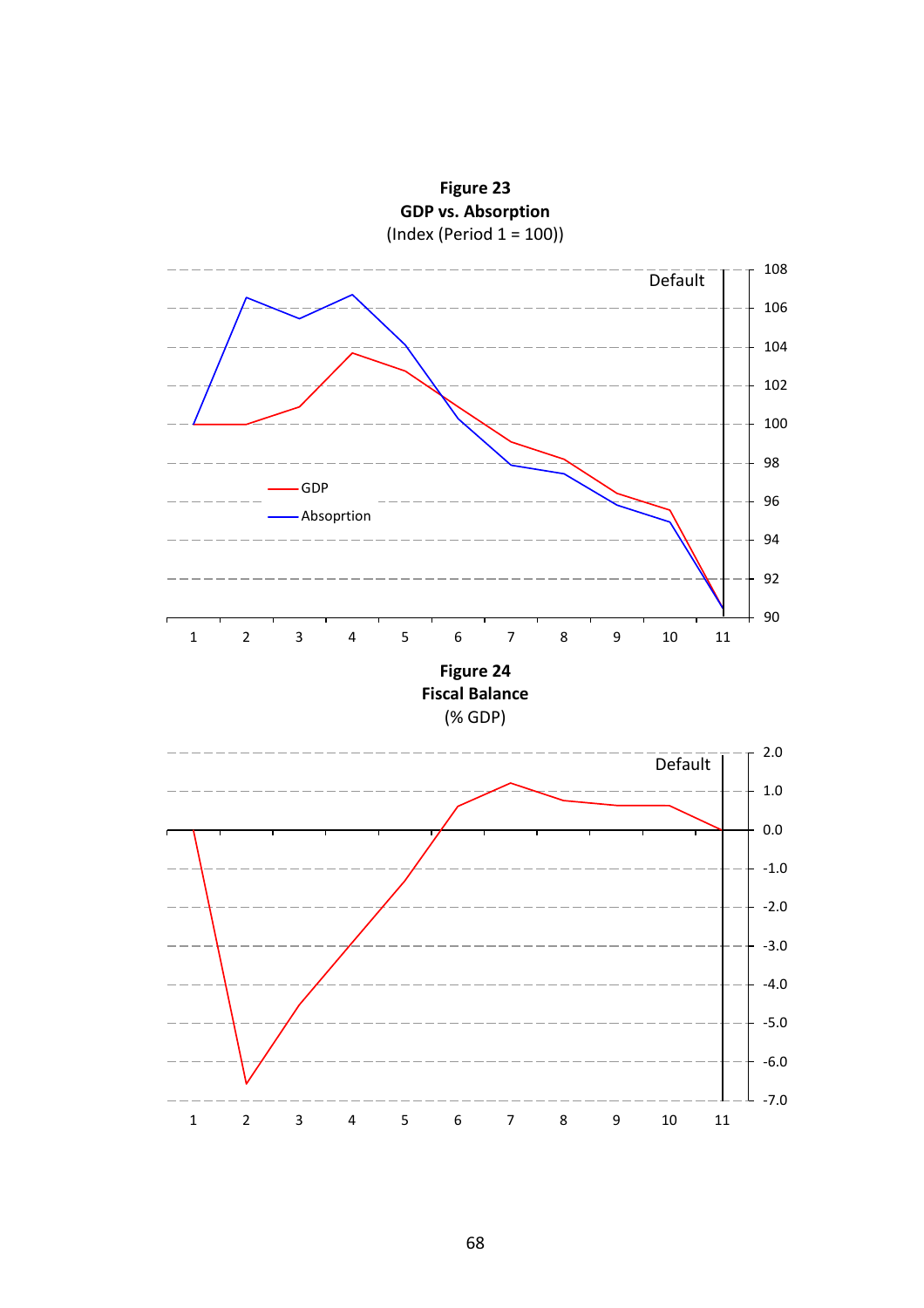

**Figure 23**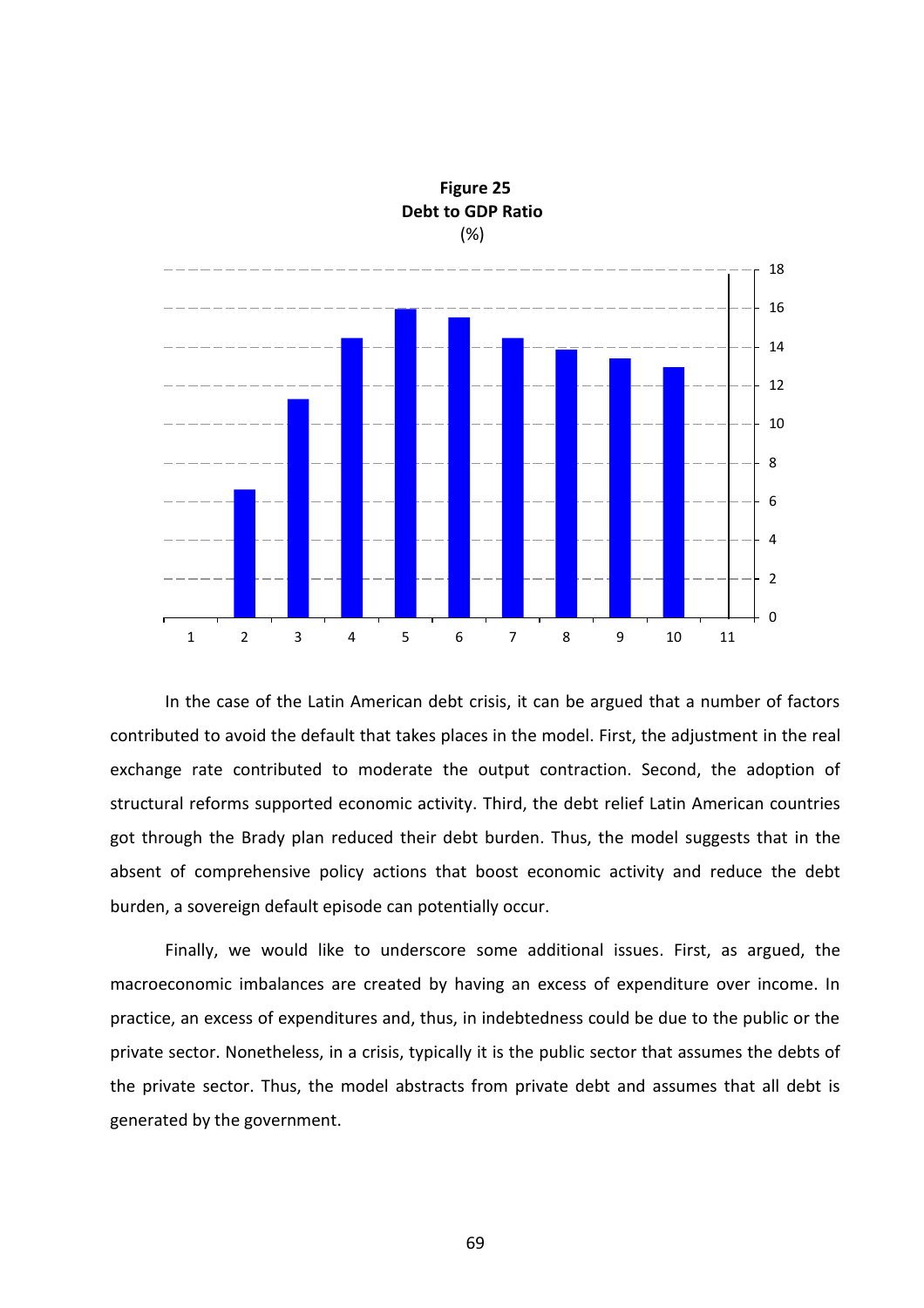

**Figure 25 Debt to GDP Ratio** (%)

In the case of the Latin American debt crisis, it can be argued that a number of factors contributed to avoid the default that takes places in the model. First, the adjustment in the real exchange rate contributed to moderate the output contraction. Second, the adoption of structural reforms supported economic activity. Third, the debt relief Latin American countries got through the Brady plan reduced their debt burden. Thus, the model suggests that in the absent of comprehensive policy actions that boost economic activity and reduce the debt burden, a sovereign default episode can potentially occur.

Finally, we would like to underscore some additional issues. First, as argued, the macroeconomic imbalances are created by having an excess of expenditure over income. In practice, an excess of expenditures and, thus, in indebtedness could be due to the public or the private sector. Nonetheless, in a crisis, typically it is the public sector that assumes the debts of the private sector. Thus, the model abstracts from private debt and assumes that all debt is generated by the government.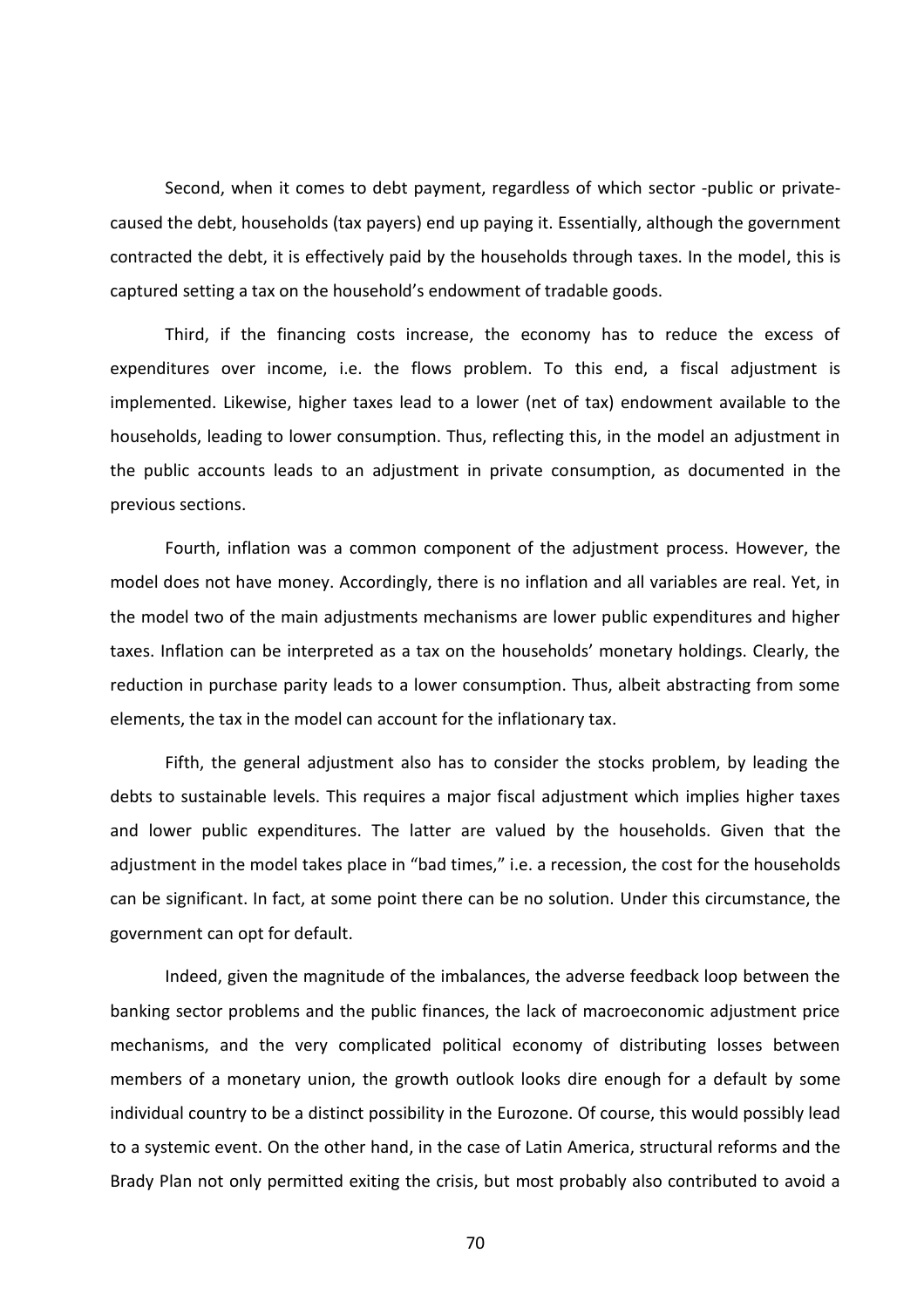Second, when it comes to debt payment, regardless of which sector -public or privatecaused the debt, households (tax payers) end up paying it. Essentially, although the government contracted the debt, it is effectively paid by the households through taxes. In the model, this is captured setting a tax on the household's endowment of tradable goods.

Third, if the financing costs increase, the economy has to reduce the excess of expenditures over income, i.e. the flows problem. To this end, a fiscal adjustment is implemented. Likewise, higher taxes lead to a lower (net of tax) endowment available to the households, leading to lower consumption. Thus, reflecting this, in the model an adjustment in the public accounts leads to an adjustment in private consumption, as documented in the previous sections.

Fourth, inflation was a common component of the adjustment process. However, the model does not have money. Accordingly, there is no inflation and all variables are real. Yet, in the model two of the main adjustments mechanisms are lower public expenditures and higher taxes. Inflation can be interpreted as a tax on the households' monetary holdings. Clearly, the reduction in purchase parity leads to a lower consumption. Thus, albeit abstracting from some elements, the tax in the model can account for the inflationary tax.

Fifth, the general adjustment also has to consider the stocks problem, by leading the debts to sustainable levels. This requires a major fiscal adjustment which implies higher taxes and lower public expenditures. The latter are valued by the households. Given that the adjustment in the model takes place in "bad times," i.e. a recession, the cost for the households can be significant. In fact, at some point there can be no solution. Under this circumstance, the government can opt for default.

Indeed, given the magnitude of the imbalances, the adverse feedback loop between the banking sector problems and the public finances, the lack of macroeconomic adjustment price mechanisms, and the very complicated political economy of distributing losses between members of a monetary union, the growth outlook looks dire enough for a default by some individual country to be a distinct possibility in the Eurozone. Of course, this would possibly lead to a systemic event. On the other hand, in the case of Latin America, structural reforms and the Brady Plan not only permitted exiting the crisis, but most probably also contributed to avoid a